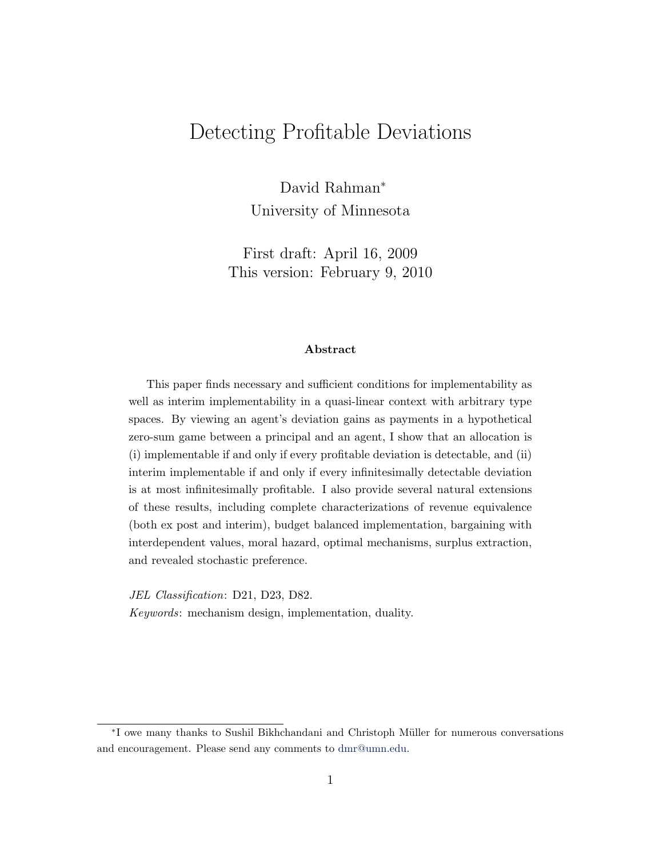# Detecting Profitable Deviations

David Rahman<sup>∗</sup> University of Minnesota

First draft: April 16, 2009 This version: February 9, 2010

#### Abstract

This paper finds necessary and sufficient conditions for implementability as well as interim implementability in a quasi-linear context with arbitrary type spaces. By viewing an agent's deviation gains as payments in a hypothetical zero-sum game between a principal and an agent, I show that an allocation is (i) implementable if and only if every profitable deviation is detectable, and (ii) interim implementable if and only if every infinitesimally detectable deviation is at most infinitesimally profitable. I also provide several natural extensions of these results, including complete characterizations of revenue equivalence (both ex post and interim), budget balanced implementation, bargaining with interdependent values, moral hazard, optimal mechanisms, surplus extraction, and revealed stochastic preference.

JEL Classification: D21, D23, D82. Keywords: mechanism design, implementation, duality.

<sup>∗</sup> I owe many thanks to Sushil Bikhchandani and Christoph M¨uller for numerous conversations and encouragement. Please send any comments to [dmr@umn.edu.](mailto:dmr@umn.edu)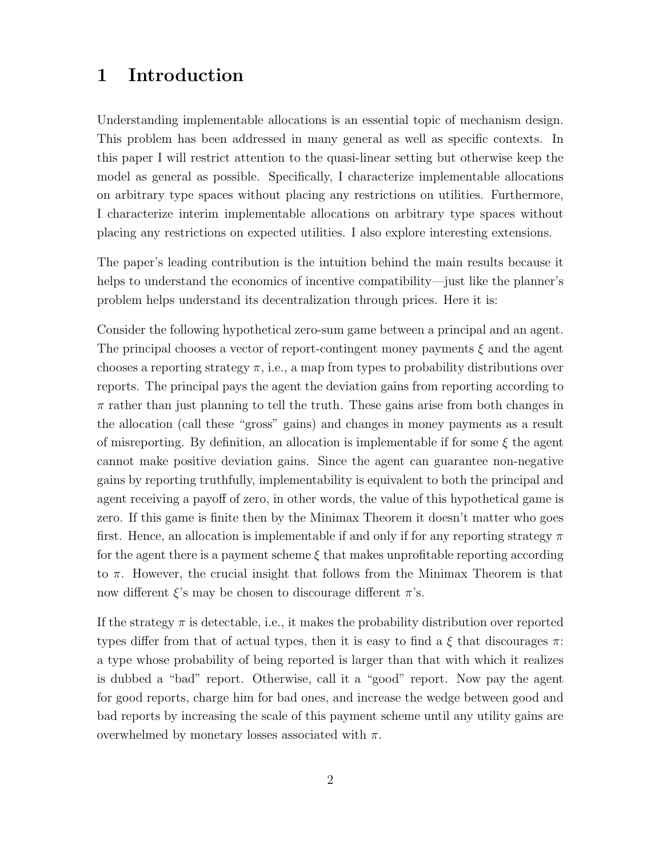## 1 Introduction

Understanding implementable allocations is an essential topic of mechanism design. This problem has been addressed in many general as well as specific contexts. In this paper I will restrict attention to the quasi-linear setting but otherwise keep the model as general as possible. Specifically, I characterize implementable allocations on arbitrary type spaces without placing any restrictions on utilities. Furthermore, I characterize interim implementable allocations on arbitrary type spaces without placing any restrictions on expected utilities. I also explore interesting extensions.

The paper's leading contribution is the intuition behind the main results because it helps to understand the economics of incentive compatibility—just like the planner's problem helps understand its decentralization through prices. Here it is:

Consider the following hypothetical zero-sum game between a principal and an agent. The principal chooses a vector of report-contingent money payments  $\xi$  and the agent chooses a reporting strategy  $\pi$ , i.e., a map from types to probability distributions over reports. The principal pays the agent the deviation gains from reporting according to  $\pi$  rather than just planning to tell the truth. These gains arise from both changes in the allocation (call these "gross" gains) and changes in money payments as a result of misreporting. By definition, an allocation is implementable if for some  $\xi$  the agent cannot make positive deviation gains. Since the agent can guarantee non-negative gains by reporting truthfully, implementability is equivalent to both the principal and agent receiving a payoff of zero, in other words, the value of this hypothetical game is zero. If this game is finite then by the Minimax Theorem it doesn't matter who goes first. Hence, an allocation is implementable if and only if for any reporting strategy  $\pi$ for the agent there is a payment scheme  $\xi$  that makes unprofitable reporting according to  $\pi$ . However, the crucial insight that follows from the Minimax Theorem is that now different  $\xi$ 's may be chosen to discourage different  $\pi$ 's.

If the strategy  $\pi$  is detectable, i.e., it makes the probability distribution over reported types differ from that of actual types, then it is easy to find a  $\xi$  that discourages  $\pi$ : a type whose probability of being reported is larger than that with which it realizes is dubbed a "bad" report. Otherwise, call it a "good" report. Now pay the agent for good reports, charge him for bad ones, and increase the wedge between good and bad reports by increasing the scale of this payment scheme until any utility gains are overwhelmed by monetary losses associated with  $\pi$ .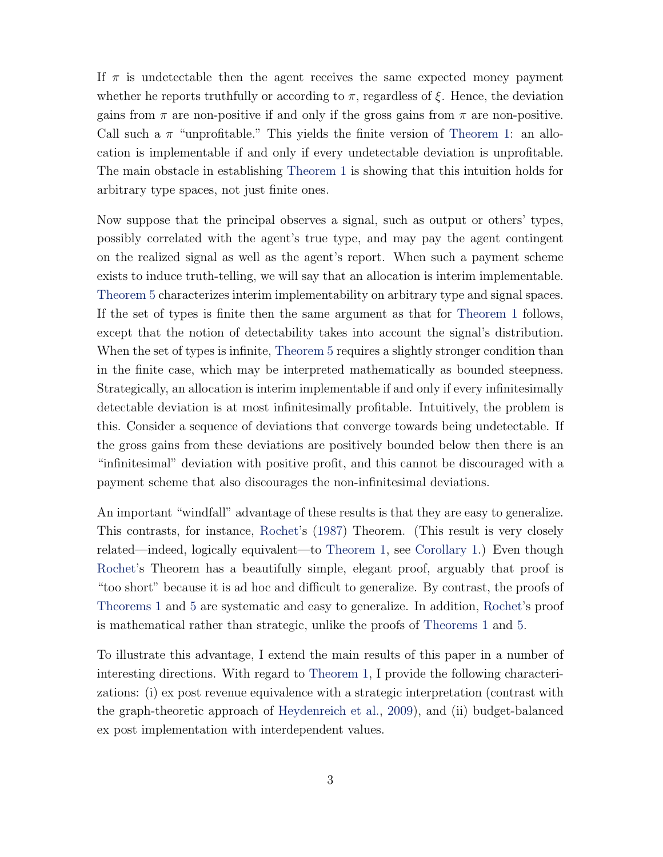<span id="page-2-0"></span>If  $\pi$  is undetectable then the agent receives the same expected money payment whether he reports truthfully or according to  $\pi$ , regardless of  $\xi$ . Hence, the deviation gains from  $\pi$  are non-positive if and only if the gross gains from  $\pi$  are non-positive. Call such a  $\pi$  "unprofitable." This yields the finite version of [Theorem 1:](#page-4-0) an allocation is implementable if and only if every undetectable deviation is unprofitable. The main obstacle in establishing [Theorem 1](#page-4-0) is showing that this intuition holds for arbitrary type spaces, not just finite ones.

Now suppose that the principal observes a signal, such as output or others' types, possibly correlated with the agent's true type, and may pay the agent contingent on the realized signal as well as the agent's report. When such a payment scheme exists to induce truth-telling, we will say that an allocation is interim implementable. [Theorem 5](#page-13-0) characterizes interim implementability on arbitrary type and signal spaces. If the set of types is finite then the same argument as that for [Theorem 1](#page-4-0) follows, except that the notion of detectability takes into account the signal's distribution. When the set of types is infinite, [Theorem 5](#page-13-0) requires a slightly stronger condition than in the finite case, which may be interpreted mathematically as bounded steepness. Strategically, an allocation is interim implementable if and only if every infinitesimally detectable deviation is at most infinitesimally profitable. Intuitively, the problem is this. Consider a sequence of deviations that converge towards being undetectable. If the gross gains from these deviations are positively bounded below then there is an "infinitesimal" deviation with positive profit, and this cannot be discouraged with a payment scheme that also discourages the non-infinitesimal deviations.

An important "windfall" advantage of these results is that they are easy to generalize. This contrasts, for instance, [Rochet'](#page-47-0)s [\(1987\)](#page-47-0) Theorem. (This result is very closely related—indeed, logically equivalent—to [Theorem 1,](#page-4-0) see [Corollary 1.](#page-5-0)) Even though [Rochet'](#page-47-0)s Theorem has a beautifully simple, elegant proof, arguably that proof is "too short" because it is ad hoc and difficult to generalize. By contrast, the proofs of [Theorems 1](#page-4-0) and [5](#page-13-0) are systematic and easy to generalize. In addition, [Rochet'](#page-47-0)s proof is mathematical rather than strategic, unlike the proofs of [Theorems 1](#page-4-0) and [5.](#page-13-0)

To illustrate this advantage, I extend the main results of this paper in a number of interesting directions. With regard to [Theorem 1,](#page-4-0) I provide the following characterizations: (i) ex post revenue equivalence with a strategic interpretation (contrast with the graph-theoretic approach of [Heydenreich et al.,](#page-47-1) [2009\)](#page-47-1), and (ii) budget-balanced ex post implementation with interdependent values.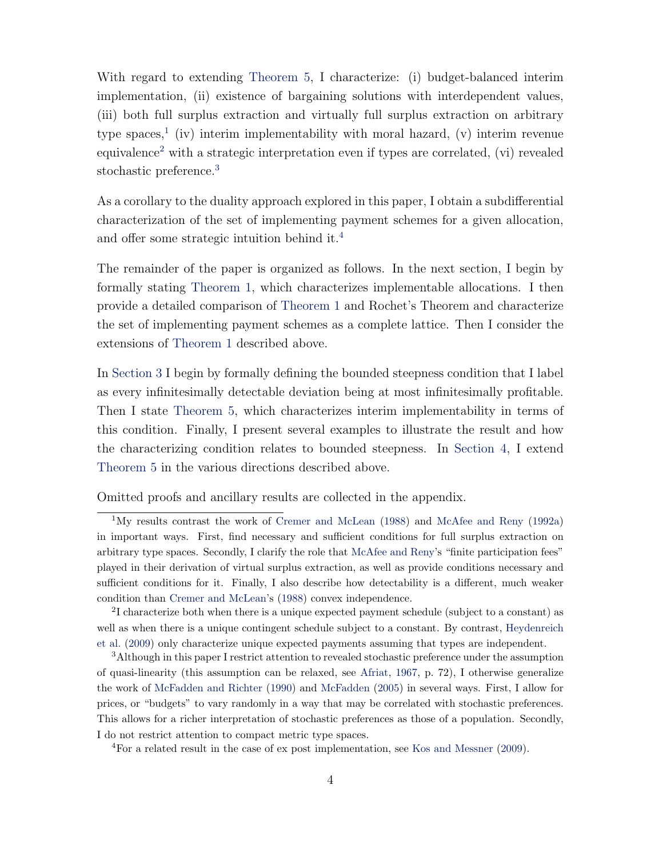<span id="page-3-4"></span>With regard to extending [Theorem 5,](#page-13-0) I characterize: (i) budget-balanced interim implementation, (ii) existence of bargaining solutions with interdependent values, (iii) both full surplus extraction and virtually full surplus extraction on arbitrary type spaces,<sup>[1](#page-3-0)</sup> (iv) interim implementability with moral hazard, (v) interim revenue equivalence<sup>[2](#page-3-1)</sup> with a strategic interpretation even if types are correlated, (vi) revealed stochastic preference.<sup>[3](#page-3-2)</sup>

As a corollary to the duality approach explored in this paper, I obtain a subdifferential characterization of the set of implementing payment schemes for a given allocation, and offer some strategic intuition behind it.[4](#page-3-3)

The remainder of the paper is organized as follows. In the next section, I begin by formally stating [Theorem 1,](#page-4-0) which characterizes implementable allocations. I then provide a detailed comparison of [Theorem 1](#page-4-0) and Rochet's Theorem and characterize the set of implementing payment schemes as a complete lattice. Then I consider the extensions of [Theorem 1](#page-4-0) described above.

In [Section 3](#page-12-0) I begin by formally defining the bounded steepness condition that I label as every infinitesimally detectable deviation being at most infinitesimally profitable. Then I state [Theorem 5,](#page-13-0) which characterizes interim implementability in terms of this condition. Finally, I present several examples to illustrate the result and how the characterizing condition relates to bounded steepness. In [Section 4,](#page-15-0) I extend [Theorem 5](#page-13-0) in the various directions described above.

Omitted proofs and ancillary results are collected in the appendix.

<span id="page-3-3"></span><sup>4</sup>For a related result in the case of ex post implementation, see [Kos and Messner](#page-47-5) [\(2009\)](#page-47-5).

<span id="page-3-0"></span><sup>&</sup>lt;sup>1</sup>My results contrast the work of [Cremer and McLean](#page-46-0) [\(1988\)](#page-46-0) and [McAfee and Reny](#page-47-2) [\(1992a\)](#page-47-2) in important ways. First, find necessary and sufficient conditions for full surplus extraction on arbitrary type spaces. Secondly, I clarify the role that [McAfee and Reny'](#page-47-2)s "finite participation fees" played in their derivation of virtual surplus extraction, as well as provide conditions necessary and sufficient conditions for it. Finally, I also describe how detectability is a different, much weaker condition than [Cremer and McLean'](#page-46-0)s [\(1988\)](#page-46-0) convex independence.

<span id="page-3-1"></span><sup>&</sup>lt;sup>2</sup>I characterize both when there is a unique expected payment schedule (subject to a constant) as well as when there is a unique contingent schedule subject to a constant. By contrast, [Heydenreich](#page-47-1) [et al.](#page-47-1) [\(2009\)](#page-47-1) only characterize unique expected payments assuming that types are independent.

<span id="page-3-2"></span><sup>3</sup>Although in this paper I restrict attention to revealed stochastic preference under the assumption of quasi-linearity (this assumption can be relaxed, see [Afriat,](#page-46-1) [1967,](#page-46-1) p. 72), I otherwise generalize the work of [McFadden and Richter](#page-47-3) [\(1990\)](#page-47-3) and [McFadden](#page-47-4) [\(2005\)](#page-47-4) in several ways. First, I allow for prices, or "budgets" to vary randomly in a way that may be correlated with stochastic preferences. This allows for a richer interpretation of stochastic preferences as those of a population. Secondly, I do not restrict attention to compact metric type spaces.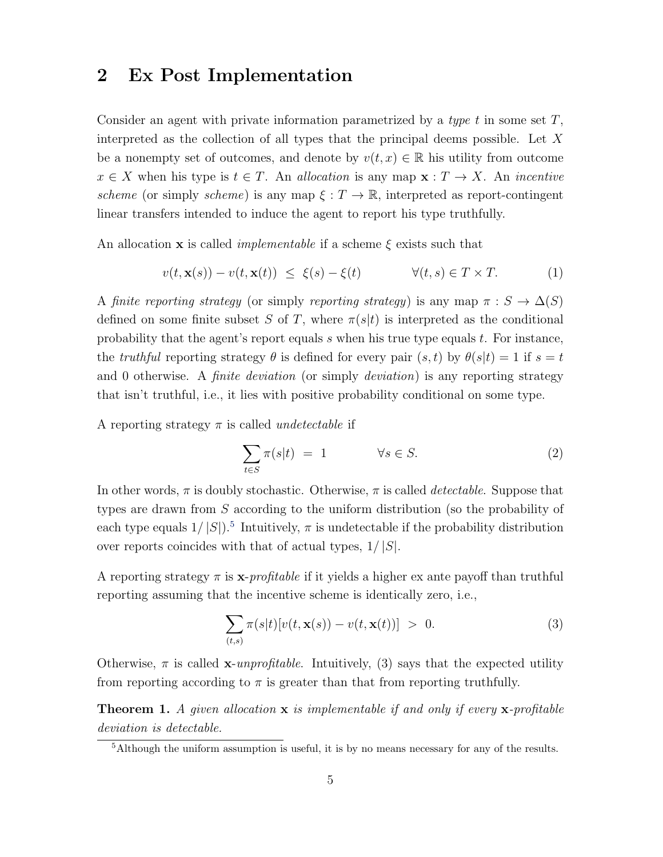### 2 Ex Post Implementation

Consider an agent with private information parametrized by a type t in some set  $T$ , interpreted as the collection of all types that the principal deems possible. Let  $X$ be a nonempty set of outcomes, and denote by  $v(t, x) \in \mathbb{R}$  his utility from outcome  $x \in X$  when his type is  $t \in T$ . An allocation is any map  $\mathbf{x} : T \to X$ . An incentive scheme (or simply scheme) is any map  $\xi : T \to \mathbb{R}$ , interpreted as report-contingent linear transfers intended to induce the agent to report his type truthfully.

An allocation **x** is called *implementable* if a scheme  $\xi$  exists such that

$$
v(t, \mathbf{x}(s)) - v(t, \mathbf{x}(t)) \le \xi(s) - \xi(t) \qquad \forall (t, s) \in T \times T. \tag{1}
$$

A finite reporting strategy (or simply reporting strategy) is any map  $\pi : S \to \Delta(S)$ defined on some finite subset S of T, where  $\pi(s|t)$  is interpreted as the conditional probability that the agent's report equals s when his true type equals  $t$ . For instance, the truthful reporting strategy  $\theta$  is defined for every pair  $(s,t)$  by  $\theta(s|t) = 1$  if  $s = t$ and 0 otherwise. A *finite deviation* (or simply *deviation*) is any reporting strategy that isn't truthful, i.e., it lies with positive probability conditional on some type.

A reporting strategy  $\pi$  is called *undetectable* if

$$
\sum_{t \in S} \pi(s|t) = 1 \qquad \forall s \in S. \tag{2}
$$

In other words,  $\pi$  is doubly stochastic. Otherwise,  $\pi$  is called *detectable*. Suppose that types are drawn from S according to the uniform distribution (so the probability of each type equals  $1/|S|$ .<sup>[5](#page-4-1)</sup> Intuitively,  $\pi$  is undetectable if the probability distribution over reports coincides with that of actual types,  $1/|S|$ .

A reporting strategy  $\pi$  is  $\mathbf{x}$ -profitable if it yields a higher ex ante payoff than truthful reporting assuming that the incentive scheme is identically zero, i.e.,

$$
\sum_{(t,s)} \pi(s|t) [v(t, \mathbf{x}(s)) - v(t, \mathbf{x}(t))] > 0.
$$
 (3)

Otherwise,  $\pi$  is called x-unprofitable. Intuitively, (3) says that the expected utility from reporting according to  $\pi$  is greater than that from reporting truthfully.

<span id="page-4-0"></span>**Theorem 1.** A given allocation  $\bf{x}$  is implementable if and only if every  $\bf{x}$ -profitable deviation is detectable.

<span id="page-4-1"></span><sup>&</sup>lt;sup>5</sup>Although the uniform assumption is useful, it is by no means necessary for any of the results.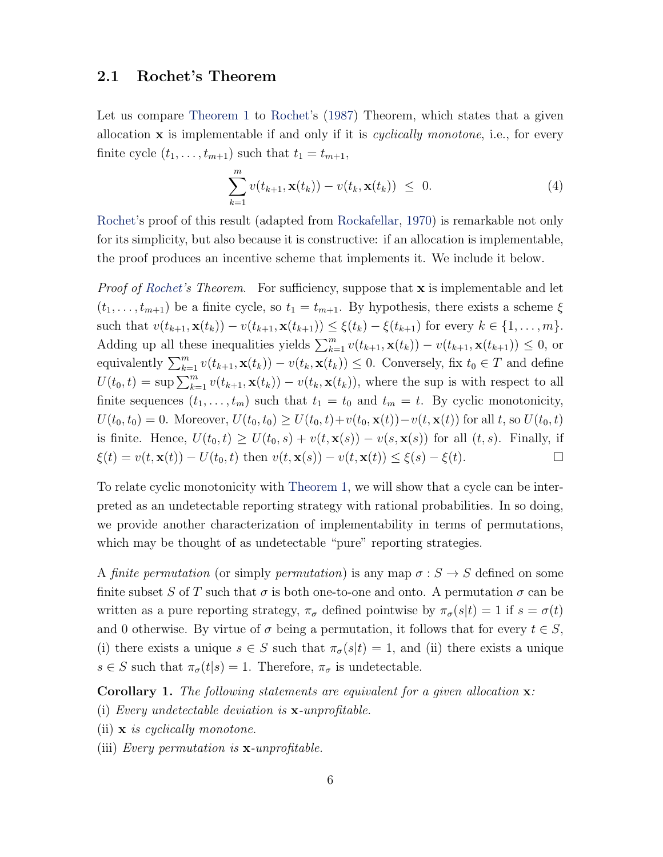#### <span id="page-5-2"></span><span id="page-5-1"></span>2.1 Rochet's Theorem

Let us compare [Theorem 1](#page-4-0) to [Rochet'](#page-47-0)s [\(1987\)](#page-47-0) Theorem, which states that a given allocation  $x$  is implementable if and only if it is *cyclically monotone*, i.e., for every finite cycle  $(t_1, \ldots, t_{m+1})$  such that  $t_1 = t_{m+1}$ ,

$$
\sum_{k=1}^{m} v(t_{k+1}, \mathbf{x}(t_k)) - v(t_k, \mathbf{x}(t_k)) \leq 0.
$$
 (4)

[Rochet'](#page-47-0)s proof of this result (adapted from [Rockafellar,](#page-47-6) [1970\)](#page-47-6) is remarkable not only for its simplicity, but also because it is constructive: if an allocation is implementable, the proof produces an incentive scheme that implements it. We include it below.

*Proof of [Rochet'](#page-47-0)s Theorem.* For sufficiency, suppose that **x** is implementable and let  $(t_1, \ldots, t_{m+1})$  be a finite cycle, so  $t_1 = t_{m+1}$ . By hypothesis, there exists a scheme  $\xi$ such that  $v(t_{k+1}, \mathbf{x}(t_k)) - v(t_{k+1}, \mathbf{x}(t_{k+1})) \leq \xi(t_k) - \xi(t_{k+1})$  for every  $k \in \{1, ..., m\}$ . Adding up all these inequalities yields  $\sum_{k=1}^{m} v(t_{k+1}, \mathbf{x}(t_k)) - v(t_{k+1}, \mathbf{x}(t_{k+1})) \leq 0$ , or equivalently  $\sum_{k=1}^{m} v(t_{k+1}, \mathbf{x}(t_k)) - v(t_k, \mathbf{x}(t_k)) \leq 0$ . Conversely, fix  $t_0 \in T$  and define  $U(t_0,t) = \sup \sum_{k=1}^m v(t_{k+1}, \mathbf{x}(t_k)) - v(t_k, \mathbf{x}(t_k))$ , where the sup is with respect to all finite sequences  $(t_1, \ldots, t_m)$  such that  $t_1 = t_0$  and  $t_m = t$ . By cyclic monotonicity,  $U(t_0, t_0) = 0$ . Moreover,  $U(t_0, t_0) \ge U(t_0, t) + v(t_0, \mathbf{x}(t)) - v(t, \mathbf{x}(t))$  for all t, so  $U(t_0, t)$ is finite. Hence,  $U(t_0, t) \ge U(t_0, s) + v(t, \mathbf{x}(s)) - v(s, \mathbf{x}(s))$  for all  $(t, s)$ . Finally, if  $\xi(t) = v(t, \mathbf{x}(t)) - U(t_0, t)$  then  $v(t, \mathbf{x}(s)) - v(t, \mathbf{x}(t)) \leq \xi(s) - \xi(t)$ .

To relate cyclic monotonicity with [Theorem 1,](#page-4-0) we will show that a cycle can be interpreted as an undetectable reporting strategy with rational probabilities. In so doing, we provide another characterization of implementability in terms of permutations, which may be thought of as undetectable "pure" reporting strategies.

A finite permutation (or simply permutation) is any map  $\sigma : S \to S$  defined on some finite subset S of T such that  $\sigma$  is both one-to-one and onto. A permutation  $\sigma$  can be written as a pure reporting strategy,  $\pi_{\sigma}$  defined pointwise by  $\pi_{\sigma}(s|t) = 1$  if  $s = \sigma(t)$ and 0 otherwise. By virtue of  $\sigma$  being a permutation, it follows that for every  $t \in S$ , (i) there exists a unique  $s \in S$  such that  $\pi_{\sigma}(s|t) = 1$ , and (ii) there exists a unique  $s \in S$  such that  $\pi_{\sigma}(t|s) = 1$ . Therefore,  $\pi_{\sigma}$  is undetectable.

<span id="page-5-0"></span>**Corollary 1.** The following statements are equivalent for a given allocation  $\mathbf{x}$ :

- (i) Every undetectable deviation is  $\mathbf{x}$ -unprofitable.
- (ii)  $\mathbf{x}$  is cyclically monotone.
- (iii) Every permutation is  $\mathbf{x}$ -unprofitable.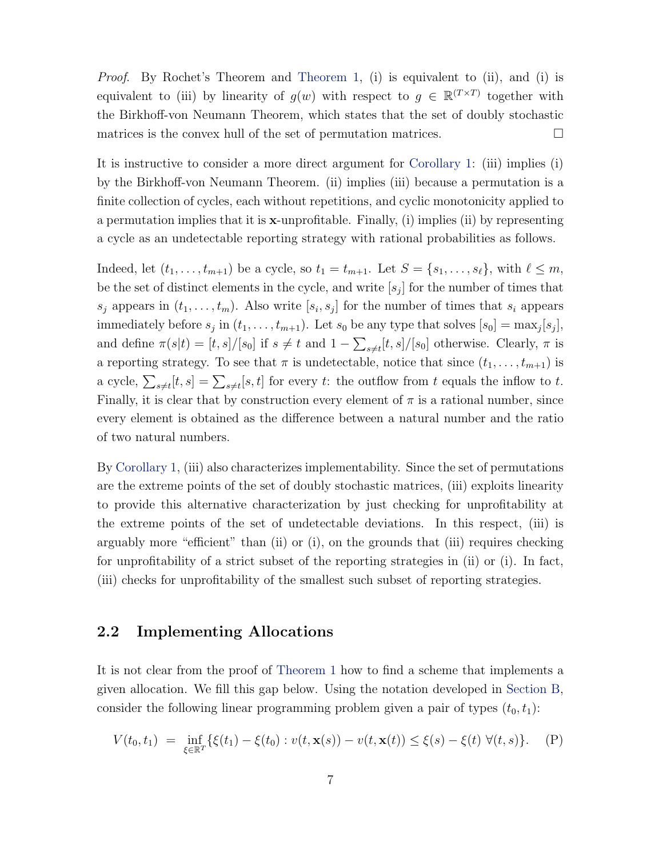Proof. By Rochet's Theorem and [Theorem 1,](#page-4-0) (i) is equivalent to (ii), and (i) is equivalent to (iii) by linearity of  $g(w)$  with respect to  $g \in \mathbb{R}^{(T \times T)}$  together with the Birkhoff-von Neumann Theorem, which states that the set of doubly stochastic matrices is the convex hull of the set of permutation matrices.  $\Box$ 

It is instructive to consider a more direct argument for [Corollary 1:](#page-5-0) (iii) implies (i) by the Birkhoff-von Neumann Theorem. (ii) implies (iii) because a permutation is a finite collection of cycles, each without repetitions, and cyclic monotonicity applied to a permutation implies that it is  $x$ -unprofitable. Finally, (i) implies (ii) by representing a cycle as an undetectable reporting strategy with rational probabilities as follows.

Indeed, let  $(t_1, \ldots, t_{m+1})$  be a cycle, so  $t_1 = t_{m+1}$ . Let  $S = \{s_1, \ldots, s_\ell\}$ , with  $\ell \leq m$ , be the set of distinct elements in the cycle, and write  $[s_j]$  for the number of times that  $s_j$  appears in  $(t_1, \ldots, t_m)$ . Also write  $[s_i, s_j]$  for the number of times that  $s_i$  appears immediately before  $s_j$  in  $(t_1, \ldots, t_{m+1})$ . Let  $s_0$  be any type that solves  $[s_0] = \max_j [s_j]$ , and define  $\pi(s|t) = [t, s]/[s_0]$  if  $s \neq t$  and  $1 - \sum_{s \neq t} [t, s]/[s_0]$  otherwise. Clearly,  $\pi$  is a reporting strategy. To see that  $\pi$  is undetectable, notice that since  $(t_1, \ldots, t_{m+1})$  is a cycle,  $\sum_{s\neq t}[t,s] = \sum_{s\neq t}[s,t]$  for every t: the outflow from t equals the inflow to t. Finally, it is clear that by construction every element of  $\pi$  is a rational number, since every element is obtained as the difference between a natural number and the ratio of two natural numbers.

By [Corollary 1,](#page-5-0) (iii) also characterizes implementability. Since the set of permutations are the extreme points of the set of doubly stochastic matrices, (iii) exploits linearity to provide this alternative characterization by just checking for unprofitability at the extreme points of the set of undetectable deviations. In this respect, (iii) is arguably more "efficient" than (ii) or (i), on the grounds that (iii) requires checking for unprofitability of a strict subset of the reporting strategies in (ii) or (i). In fact, (iii) checks for unprofitability of the smallest such subset of reporting strategies.

#### <span id="page-6-1"></span>2.2 Implementing Allocations

It is not clear from the proof of [Theorem 1](#page-4-0) how to find a scheme that implements a given allocation. We fill this gap below. Using the notation developed in [Section B,](#page-32-0) consider the following linear programming problem given a pair of types  $(t_0, t_1)$ :

<span id="page-6-0"></span>
$$
V(t_0, t_1) = \inf_{\xi \in \mathbb{R}^T} \{ \xi(t_1) - \xi(t_0) : v(t, \mathbf{x}(s)) - v(t, \mathbf{x}(t)) \le \xi(s) - \xi(t) \ \forall (t, s) \}. \tag{P}
$$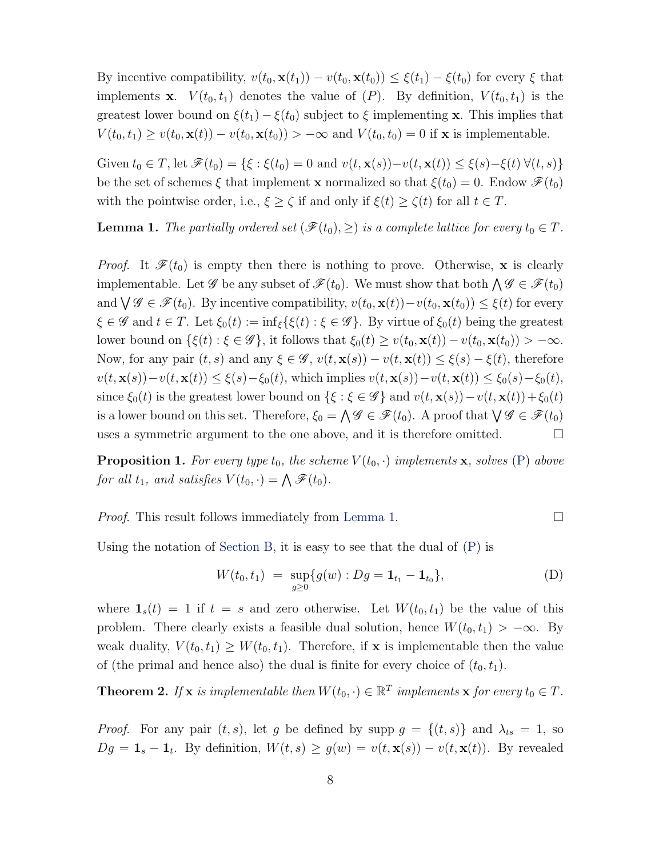By incentive compatibility,  $v(t_0, \mathbf{x}(t_1)) - v(t_0, \mathbf{x}(t_0)) \leq \xi(t_1) - \xi(t_0)$  for every  $\xi$  that implements **x**.  $V(t_0, t_1)$  denotes the value of  $(P)$ . By definition,  $V(t_0, t_1)$  is the greatest lower bound on  $\xi(t_1) - \xi(t_0)$  subject to  $\xi$  implementing x. This implies that  $V(t_0, t_1) \ge v(t_0, \mathbf{x}(t)) - v(t_0, \mathbf{x}(t_0)) > -\infty$  and  $V(t_0, t_0) = 0$  if **x** is implementable.

Given  $t_0 \in T$ , let  $\mathscr{F}(t_0) = \{ \xi : \xi(t_0) = 0 \text{ and } v(t, \mathbf{x}(s)) - v(t, \mathbf{x}(t)) \leq \xi(s) - \xi(t) \ \forall (t, s) \}$ be the set of schemes  $\xi$  that implement **x** normalized so that  $\xi(t_0) = 0$ . Endow  $\mathscr{F}(t_0)$ with the pointwise order, i.e.,  $\xi \ge \zeta$  if and only if  $\xi(t) \ge \zeta(t)$  for all  $t \in T$ .

<span id="page-7-0"></span>**Lemma 1.** The partially ordered set  $(\mathscr{F}(t_0), \geq)$  is a complete lattice for every  $t_0 \in T$ .

*Proof.* It  $\mathcal{F}(t_0)$  is empty then there is nothing to prove. Otherwise, x is clearly implementable. Let  $\mathscr{G}$  be any subset of  $\mathscr{F}(t_0)$ . We must show that both  $\bigwedge \mathscr{G} \in \mathscr{F}(t_0)$ and  $\bigvee \mathscr{G} \in \mathscr{F}(t_0)$ . By incentive compatibility,  $v(t_0, \mathbf{x}(t)) - v(t_0, \mathbf{x}(t_0)) \leq \xi(t)$  for every  $\xi \in \mathscr{G}$  and  $t \in T$ . Let  $\xi_0(t) := \inf_{\xi} {\{\xi(t) : \xi \in \mathscr{G}\}}$ . By virtue of  $\xi_0(t)$  being the greatest lower bound on  $\{\xi(t): \xi \in \mathscr{G}\}\$ , it follows that  $\xi_0(t) \geq v(t_0, \mathbf{x}(t)) - v(t_0, \mathbf{x}(t_0)) > -\infty$ . Now, for any pair  $(t, s)$  and any  $\xi \in \mathscr{G}$ ,  $v(t, \mathbf{x}(s)) - v(t, \mathbf{x}(t)) \leq \xi(s) - \xi(t)$ , therefore  $v(t, \mathbf{x}(s)) - v(t, \mathbf{x}(t)) \leq \xi(s) - \xi_0(t)$ , which implies  $v(t, \mathbf{x}(s)) - v(t, \mathbf{x}(t)) \leq \xi_0(s) - \xi_0(t)$ , since  $\xi_0(t)$  is the greatest lower bound on  $\{\xi : \xi \in \mathscr{G}\}\$  and  $v(t, \mathbf{x}(s)) - v(t, \mathbf{x}(t)) + \xi_0(t)$ is a lower bound on this set. Therefore,  $\xi_0 = \bigwedge \mathscr{G} \in \mathscr{F}(t_0)$ . A proof that  $\bigvee \mathscr{G} \in \mathscr{F}(t_0)$ uses a symmetric argument to the one above, and it is therefore omitted.  $\Box$ 

<span id="page-7-3"></span>**Proposition 1.** For every type  $t_0$ , the scheme  $V(t_0, \cdot)$  implements **x**, solves [\(P\)](#page-6-0) above for all  $t_1$ , and satisfies  $V(t_0, \cdot) = \bigwedge \mathscr{F}(t_0)$ .

*Proof.* This result follows immediately from [Lemma 1.](#page-7-0)  $\Box$ 

Using the notation of [Section B,](#page-32-0) it is easy to see that the dual of [\(P\)](#page-6-0) is

<span id="page-7-2"></span>
$$
W(t_0, t_1) = \sup_{g \ge 0} \{ g(w) : Dg = \mathbf{1}_{t_1} - \mathbf{1}_{t_0} \},
$$
 (D)

where  $\mathbf{1}_s(t) = 1$  if  $t = s$  and zero otherwise. Let  $W(t_0, t_1)$  be the value of this problem. There clearly exists a feasible dual solution, hence  $W(t_0, t_1) > -\infty$ . By weak duality,  $V(t_0, t_1) \geq W(t_0, t_1)$ . Therefore, if **x** is implementable then the value of (the primal and hence also) the dual is finite for every choice of  $(t_0, t_1)$ .

<span id="page-7-1"></span>**Theorem 2.** If **x** is implementable then  $W(t_0, \cdot) \in \mathbb{R}^T$  implements **x** for every  $t_0 \in T$ .

*Proof.* For any pair  $(t, s)$ , let g be defined by supp  $g = \{(t, s)\}\$ and  $\lambda_{ts} = 1$ , so  $Dg = \mathbf{1}_s - \mathbf{1}_t$ . By definition,  $W(t, s) \ge g(w) = v(t, \mathbf{x}(s)) - v(t, \mathbf{x}(t))$ . By revealed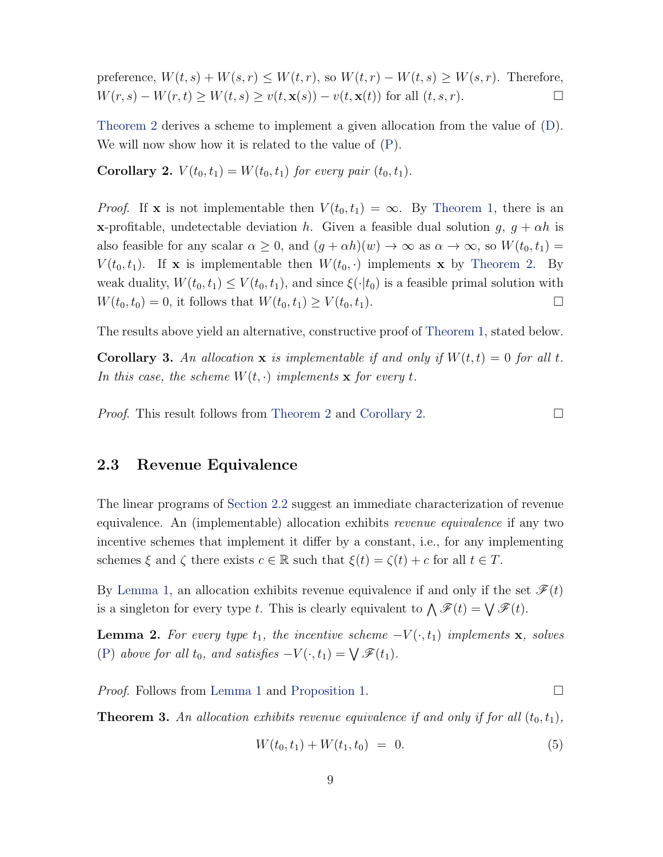preference,  $W(t,s) + W(s,r) \leq W(t,r)$ , so  $W(t,r) - W(t,s) \geq W(s,r)$ . Therefore,  $W(r, s) - W(r, t) \ge W(t, s) \ge v(t, \mathbf{x}(s)) - v(t, \mathbf{x}(t))$  for all  $(t, s, r)$ .

[Theorem 2](#page-7-1) derives a scheme to implement a given allocation from the value of [\(D\)](#page-7-2). We will now show how it is related to the value of [\(P\)](#page-6-0).

<span id="page-8-0"></span>**Corollary 2.**  $V(t_0, t_1) = W(t_0, t_1)$  for every pair  $(t_0, t_1)$ .

*Proof.* If **x** is not implementable then  $V(t_0, t_1) = \infty$ . By [Theorem 1,](#page-4-0) there is an **x**-profitable, undetectable deviation h. Given a feasible dual solution g,  $g + \alpha h$  is also feasible for any scalar  $\alpha \geq 0$ , and  $(g + \alpha h)(w) \to \infty$  as  $\alpha \to \infty$ , so  $W(t_0, t_1) =$  $V(t_0, t_1)$ . If **x** is implementable then  $W(t_0, \cdot)$  implements **x** by [Theorem 2.](#page-7-1) By weak duality,  $W(t_0, t_1) \leq V(t_0, t_1)$ , and since  $\xi(\cdot|t_0)$  is a feasible primal solution with  $W(t_0, t_0) = 0$ , it follows that  $W(t_0, t_1) \ge V(t_0, t_1)$ .

The results above yield an alternative, constructive proof of [Theorem 1,](#page-4-0) stated below.

<span id="page-8-4"></span>**Corollary 3.** An allocation **x** is implementable if and only if  $W(t,t) = 0$  for all t. In this case, the scheme  $W(t, \cdot)$  implements **x** for every t.

*Proof.* This result follows from [Theorem 2](#page-7-1) and [Corollary 2.](#page-8-0)

#### <span id="page-8-3"></span>2.3 Revenue Equivalence

The linear programs of [Section 2.2](#page-6-1) suggest an immediate characterization of revenue equivalence. An (implementable) allocation exhibits revenue equivalence if any two incentive schemes that implement it differ by a constant, i.e., for any implementing schemes  $\xi$  and  $\zeta$  there exists  $c \in \mathbb{R}$  such that  $\xi(t) = \zeta(t) + c$  for all  $t \in T$ .

By [Lemma 1,](#page-7-0) an allocation exhibits revenue equivalence if and only if the set  $\mathscr{F}(t)$ is a singleton for every type t. This is clearly equivalent to  $\bigwedge \mathscr{F}(t) = \bigvee \mathscr{F}(t)$ .

<span id="page-8-1"></span>**Lemma 2.** For every type  $t_1$ , the incentive scheme  $-V(\cdot, t_1)$  implements **x**, solves [\(P\)](#page-6-0) above for all  $t_0$ , and satisfies  $-V(\cdot, t_1) = \bigvee \mathscr{F}(t_1)$ .

*Proof.* Follows from [Lemma 1](#page-7-0) and [Proposition 1.](#page-7-3) □

<span id="page-8-2"></span>**Theorem 3.** An allocation exhibits revenue equivalence if and only if for all  $(t_0, t_1)$ ,

$$
W(t_0, t_1) + W(t_1, t_0) = 0. \t\t(5)
$$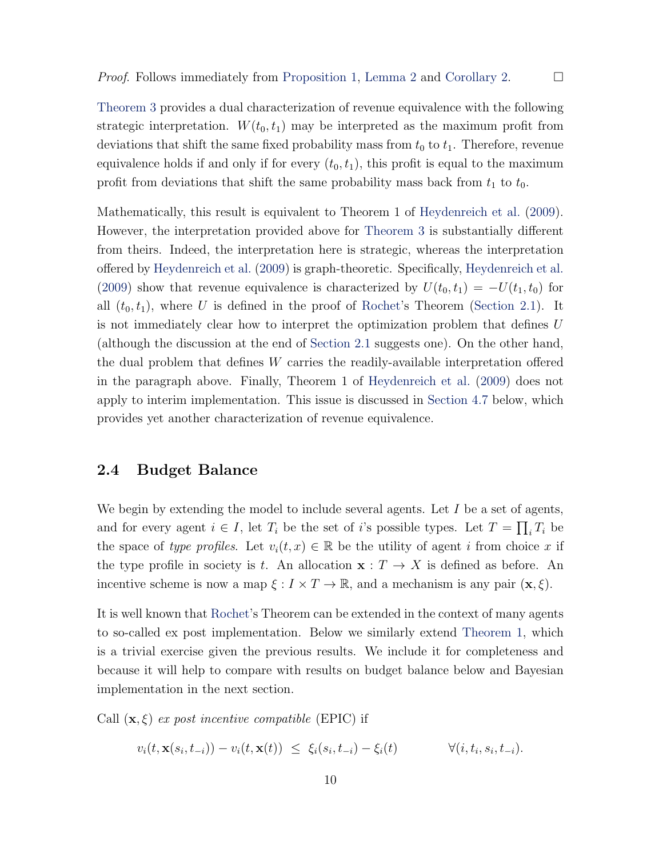<span id="page-9-0"></span>[Theorem 3](#page-8-2) provides a dual characterization of revenue equivalence with the following

strategic interpretation.  $W(t_0, t_1)$  may be interpreted as the maximum profit from deviations that shift the same fixed probability mass from  $t_0$  to  $t_1$ . Therefore, revenue equivalence holds if and only if for every  $(t_0, t_1)$ , this profit is equal to the maximum profit from deviations that shift the same probability mass back from  $t_1$  to  $t_0$ .

Mathematically, this result is equivalent to Theorem 1 of [Heydenreich et al.](#page-47-1) [\(2009\)](#page-47-1). However, the interpretation provided above for [Theorem 3](#page-8-2) is substantially different from theirs. Indeed, the interpretation here is strategic, whereas the interpretation offered by [Heydenreich et al.](#page-47-1) [\(2009\)](#page-47-1) is graph-theoretic. Specifically, [Heydenreich et al.](#page-47-1) [\(2009\)](#page-47-1) show that revenue equivalence is characterized by  $U(t_0, t_1) = -U(t_1, t_0)$  for all  $(t_0, t_1)$ , where U is defined in the proof of [Rochet'](#page-47-0)s Theorem [\(Section 2.1\)](#page-5-1). It is not immediately clear how to interpret the optimization problem that defines U (although the discussion at the end of [Section 2.1](#page-5-1) suggests one). On the other hand, the dual problem that defines W carries the readily-available interpretation offered in the paragraph above. Finally, Theorem 1 of [Heydenreich et al.](#page-47-1) [\(2009\)](#page-47-1) does not apply to interim implementation. This issue is discussed in [Section 4.7](#page-29-0) below, which provides yet another characterization of revenue equivalence.

#### 2.4 Budget Balance

We begin by extending the model to include several agents. Let  $I$  be a set of agents, and for every agent  $i \in I$ , let  $T_i$  be the set of i's possible types. Let  $T = \prod_i T_i$  be the space of type profiles. Let  $v_i(t, x) \in \mathbb{R}$  be the utility of agent i from choice x if the type profile in society is t. An allocation  $\mathbf{x}: T \to X$  is defined as before. An incentive scheme is now a map  $\xi : I \times T \to \mathbb{R}$ , and a mechanism is any pair  $(\mathbf{x}, \xi)$ .

It is well known that [Rochet'](#page-47-0)s Theorem can be extended in the context of many agents to so-called ex post implementation. Below we similarly extend [Theorem 1,](#page-4-0) which is a trivial exercise given the previous results. We include it for completeness and because it will help to compare with results on budget balance below and Bayesian implementation in the next section.

Call  $(\mathbf{x}, \xi)$  ex post incentive compatible (EPIC) if

 $v_i(t, \mathbf{x}(s_i, t_{-i})) - v_i(t, \mathbf{x}(t)) \leq \xi_i(s_i, t_{-i}) - \xi_i(t)$   $\forall (i, t_i)$  $, s_i, t_{-i}).$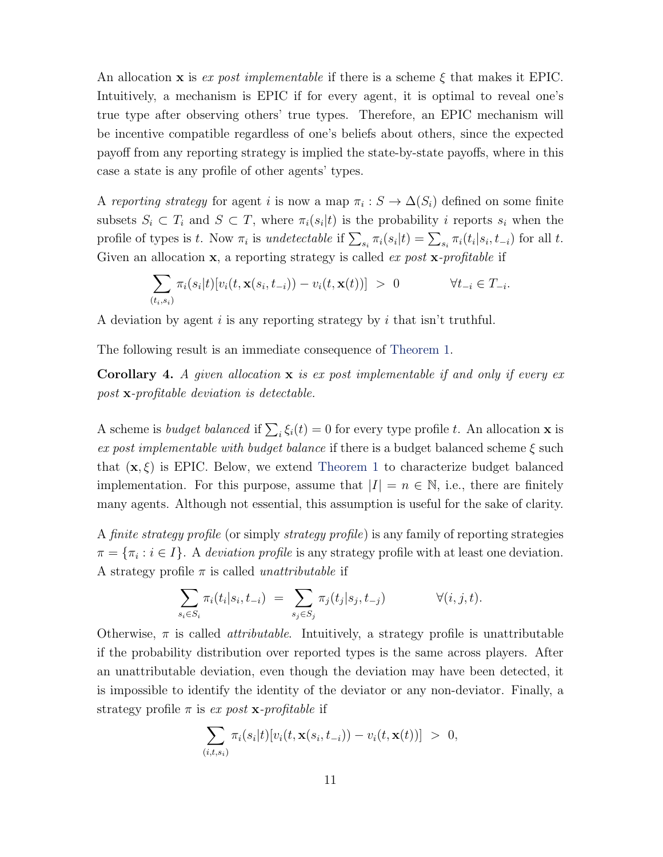An allocation **x** is ex post implementable if there is a scheme  $\xi$  that makes it EPIC. Intuitively, a mechanism is EPIC if for every agent, it is optimal to reveal one's true type after observing others' true types. Therefore, an EPIC mechanism will be incentive compatible regardless of one's beliefs about others, since the expected payoff from any reporting strategy is implied the state-by-state payoffs, where in this case a state is any profile of other agents' types.

A reporting strategy for agent i is now a map  $\pi_i : S \to \Delta(S_i)$  defined on some finite subsets  $S_i \subset T_i$  and  $S \subset T$ , where  $\pi_i(s_i|t)$  is the probability i reports  $s_i$  when the profile of types is t. Now  $\pi_i$  is undetectable if  $\sum_{s_i} \pi_i(s_i|t) = \sum_{s_i} \pi_i(t_i|s_i, t_{-i})$  for all t. Given an allocation  $x$ , a reporting strategy is called *ex post*  $x$ -profitable if

$$
\sum_{(t_i,s_i)} \pi_i(s_i|t) [v_i(t,\mathbf{x}(s_i,t_{-i})) - v_i(t,\mathbf{x}(t))] > 0 \qquad \forall t_{-i} \in T_{-i}.
$$

A deviation by agent i is any reporting strategy by i that isn't truthful.

The following result is an immediate consequence of [Theorem 1.](#page-4-0)

<span id="page-10-0"></span>**Corollary 4.** A given allocation  $x$  is expost implementable if and only if every ex post x-profitable deviation is detectable.

A scheme is *budget balanced* if  $\sum_i \xi_i(t) = 0$  for every type profile t. An allocation **x** is ex post implementable with budget balance if there is a budget balanced scheme  $\xi$  such that  $(x, \xi)$  is EPIC. Below, we extend [Theorem 1](#page-4-0) to characterize budget balanced implementation. For this purpose, assume that  $|I| = n \in \mathbb{N}$ , i.e., there are finitely many agents. Although not essential, this assumption is useful for the sake of clarity.

A finite strategy profile (or simply strategy profile) is any family of reporting strategies  $\pi = {\pi_i : i \in I}.$  A deviation profile is any strategy profile with at least one deviation. A strategy profile  $\pi$  is called *unattributable* if

$$
\sum_{s_i \in S_i} \pi_i(t_i|s_i, t_{-i}) = \sum_{s_j \in S_j} \pi_j(t_j|s_j, t_{-j}) \qquad \forall (i, j, t).
$$

Otherwise,  $\pi$  is called *attributable*. Intuitively, a strategy profile is unattributable if the probability distribution over reported types is the same across players. After an unattributable deviation, even though the deviation may have been detected, it is impossible to identify the identity of the deviator or any non-deviator. Finally, a strategy profile  $\pi$  is ex post **x**-profitable if

$$
\sum_{(i,t,s_i)} \pi_i(s_i|t) [v_i(t,\mathbf{x}(s_i,t_{-i})) - v_i(t,\mathbf{x}(t))] > 0,
$$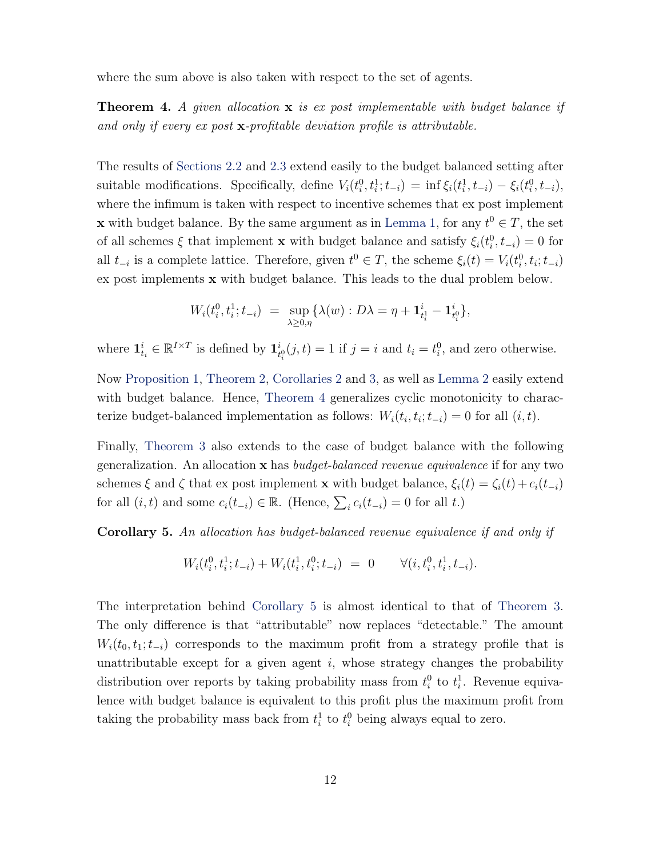where the sum above is also taken with respect to the set of agents.

<span id="page-11-0"></span>**Theorem 4.** A given allocation  $x$  is expost implementable with budget balance if and only if every ex post x-profitable deviation profile is attributable.

The results of [Sections 2.2](#page-6-1) and [2.3](#page-8-3) extend easily to the budget balanced setting after suitable modifications. Specifically, define  $V_i(t_i^0, t_i^1; t_{-i}) = \inf \xi_i(t_i^1, t_{-i}) - \xi_i(t_i^0, t_{-i}),$ where the infimum is taken with respect to incentive schemes that ex post implement **x** with budget balance. By the same argument as in [Lemma 1,](#page-7-0) for any  $t^0 \in T$ , the set of all schemes  $\xi$  that implement **x** with budget balance and satisfy  $\xi_i(t_i^0, t_{-i}) = 0$  for all  $t_{-i}$  is a complete lattice. Therefore, given  $t^0 \in T$ , the scheme  $\xi_i(t) = V_i(t_i^0, t_i; t_{-i})$ ex post implements x with budget balance. This leads to the dual problem below.

$$
W_i(t_i^0, t_i^1; t_{-i}) = \sup_{\lambda \ge 0, \eta} \{ \lambda(w) : D\lambda = \eta + \mathbf{1}_{t_i^1}^i - \mathbf{1}_{t_i^0}^i \},
$$

where  $\mathbf{1}_{t_i}^i \in \mathbb{R}^{I \times T}$  is defined by  $\mathbf{1}_t^i$  $t_{i}^{i}(j, t) = 1$  if  $j = i$  and  $t_{i} = t_{i}^{0}$ , and zero otherwise.

Now [Proposition 1,](#page-7-3) [Theorem 2,](#page-7-1) [Corollaries 2](#page-8-0) and [3,](#page-8-4) as well as [Lemma 2](#page-8-1) easily extend with budget balance. Hence, [Theorem 4](#page-11-0) generalizes cyclic monotonicity to characterize budget-balanced implementation as follows:  $W_i(t_i, t_i; t_{-i}) = 0$  for all  $(i, t)$ .

Finally, [Theorem 3](#page-8-2) also extends to the case of budget balance with the following generalization. An allocation  $x$  has *budget-balanced revenue equivalence* if for any two schemes  $\xi$  and  $\zeta$  that ex post implement x with budget balance,  $\xi_i(t) = \zeta_i(t) + c_i(t_{-i})$ for all  $(i, t)$  and some  $c_i(t_{-i}) \in \mathbb{R}$ . (Hence,  $\sum_i c_i(t_{-i}) = 0$  for all t.)

<span id="page-11-1"></span>Corollary 5. An allocation has budget-balanced revenue equivalence if and only if

$$
W_i(t_i^0, t_i^1; t_{-i}) + W_i(t_i^1, t_i^0; t_{-i}) = 0 \qquad \forall (i, t_i^0, t_i^1, t_{-i}).
$$

The interpretation behind [Corollary 5](#page-11-1) is almost identical to that of [Theorem 3.](#page-8-2) The only difference is that "attributable" now replaces "detectable." The amount  $W_i(t_0, t_1; t_{-i})$  corresponds to the maximum profit from a strategy profile that is unattributable except for a given agent  $i$ , whose strategy changes the probability distribution over reports by taking probability mass from  $t_i^0$  to  $t_i^1$ . Revenue equivalence with budget balance is equivalent to this profit plus the maximum profit from taking the probability mass back from  $t_i^1$  to  $t_i^0$  being always equal to zero.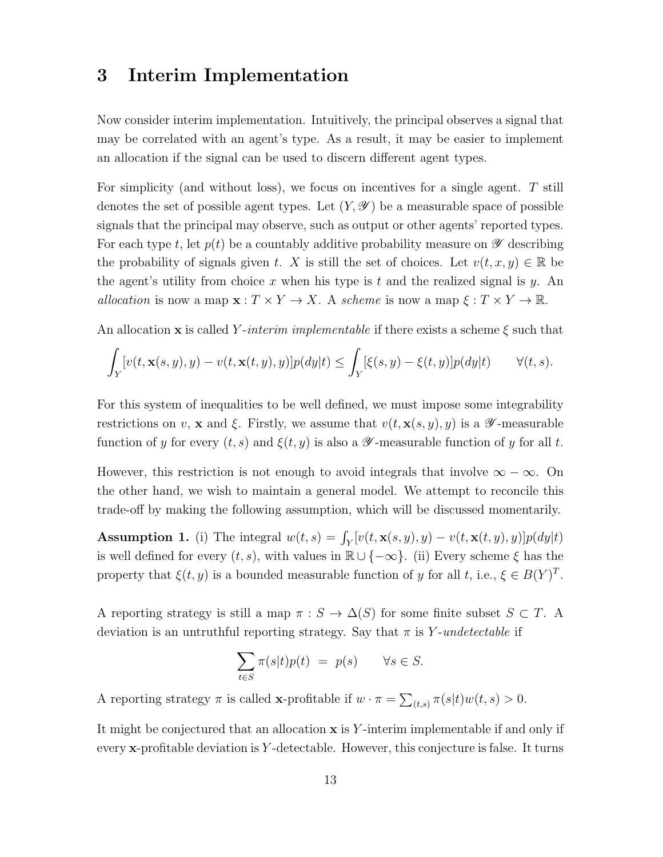### <span id="page-12-0"></span>3 Interim Implementation

Now consider interim implementation. Intuitively, the principal observes a signal that may be correlated with an agent's type. As a result, it may be easier to implement an allocation if the signal can be used to discern different agent types.

For simplicity (and without loss), we focus on incentives for a single agent. T still denotes the set of possible agent types. Let  $(Y, \mathscr{Y})$  be a measurable space of possible signals that the principal may observe, such as output or other agents' reported types. For each type t, let  $p(t)$  be a countably additive probability measure on  $\mathscr Y$  describing the probability of signals given t. X is still the set of choices. Let  $v(t, x, y) \in \mathbb{R}$  be the agent's utility from choice x when his type is t and the realized signal is y. An allocation is now a map  $\mathbf{x} : T \times Y \to X$ . A scheme is now a map  $\xi : T \times Y \to \mathbb{R}$ .

An allocation **x** is called Y-interim implementable if there exists a scheme  $\xi$  such that

$$
\int_Y [v(t, \mathbf{x}(s, y), y) - v(t, \mathbf{x}(t, y), y)] p(dy|t) \le \int_Y [\xi(s, y) - \xi(t, y)] p(dy|t) \qquad \forall (t, s).
$$

For this system of inequalities to be well defined, we must impose some integrability restrictions on v, x and ξ. Firstly, we assume that  $v(t, \mathbf{x}(s, y), y)$  is a  $\mathscr{Y}$ -measurable function of y for every  $(t, s)$  and  $\xi(t, y)$  is also a  $\mathscr Y$ -measurable function of y for all t.

However, this restriction is not enough to avoid integrals that involve  $\infty - \infty$ . On the other hand, we wish to maintain a general model. We attempt to reconcile this trade-off by making the following assumption, which will be discussed momentarily.

<span id="page-12-1"></span>**Assumption 1.** (i) The integral  $w(t,s) = \int_Y [v(t,\mathbf{x}(s,y), y) - v(t,\mathbf{x}(t,y), y)] p(dy|t)$ is well defined for every  $(t, s)$ , with values in  $\mathbb{R} \cup \{-\infty\}$ . (ii) Every scheme  $\xi$  has the property that  $\xi(t, y)$  is a bounded measurable function of y for all t, i.e.,  $\xi \in B(Y)^T$ .

A reporting strategy is still a map  $\pi : S \to \Delta(S)$  for some finite subset  $S \subset T$ . A deviation is an untruthful reporting strategy. Say that  $\pi$  is Y-undetectable if

$$
\sum_{t \in S} \pi(s|t) p(t) = p(s) \quad \forall s \in S.
$$

A reporting strategy  $\pi$  is called **x**-profitable if  $w \cdot \pi = \sum_{(t,s)} \pi(s|t)w(t,s) > 0$ .

It might be conjectured that an allocation  $x$  is Y-interim implementable if and only if every  $\mathbf{x}$ -profitable deviation is Y-detectable. However, this conjecture is false. It turns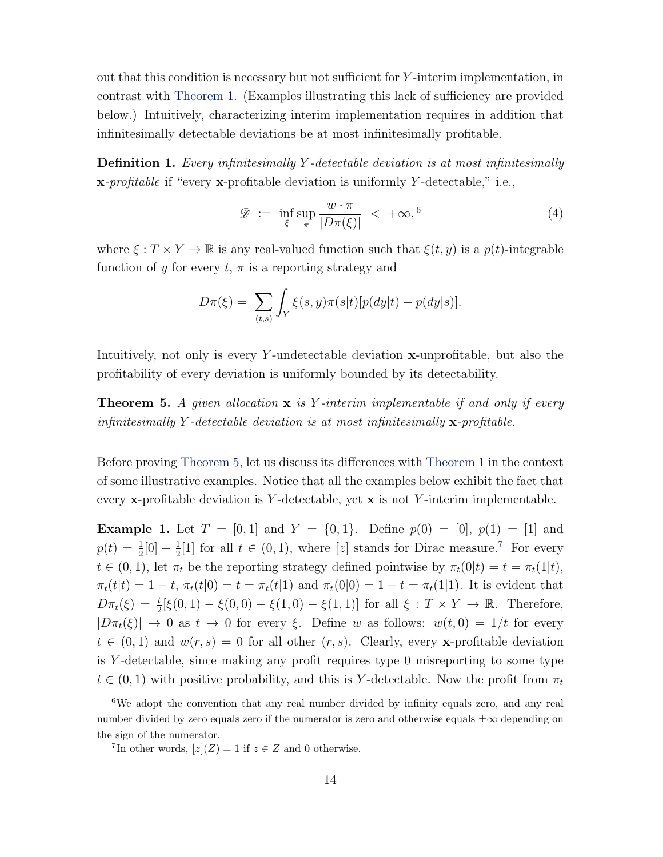out that this condition is necessary but not sufficient for Y -interim implementation, in contrast with [Theorem 1.](#page-4-0) (Examples illustrating this lack of sufficiency are provided below.) Intuitively, characterizing interim implementation requires in addition that infinitesimally detectable deviations be at most infinitesimally profitable.

**Definition 1.** Every infinitesimally Y-detectable deviation is at most infinitesimally x-profitable if "every x-profitable deviation is uniformly Y -detectable," i.e.,

$$
\mathcal{D} := \inf_{\xi} \sup_{\pi} \frac{w \cdot \pi}{|D\pi(\xi)|} < +\infty,^6 \tag{4}
$$

where  $\xi : T \times Y \to \mathbb{R}$  is any real-valued function such that  $\xi(t, y)$  is a  $p(t)$ -integrable function of y for every  $t, \pi$  is a reporting strategy and

$$
D\pi(\xi) = \sum_{(t,s)} \int_Y \xi(s,y)\pi(s|t)[p(dy|t) - p(dy|s)].
$$

Intuitively, not only is every Y-undetectable deviation  $\mathbf{x}$ -unprofitable, but also the profitability of every deviation is uniformly bounded by its detectability.

<span id="page-13-0"></span>**Theorem 5.** A given allocation  $x$  is Y-interim implementable if and only if every infinitesimally Y-detectable deviation is at most infinitesimally  $\mathbf{x}$ -profitable.

Before proving [Theorem 5,](#page-13-0) let us discuss its differences with [Theorem 1](#page-4-0) in the context of some illustrative examples. Notice that all the examples below exhibit the fact that every  $\mathbf{x}$ -profitable deviation is Y-detectable, yet  $\mathbf{x}$  is not Y-interim implementable.

<span id="page-13-3"></span>**Example 1.** Let  $T = [0, 1]$  and  $Y = \{0, 1\}$ . Define  $p(0) = [0], p(1) = [1]$  and  $p(t) = \frac{1}{2}[0] + \frac{1}{2}[1]$  for all  $t \in (0, 1)$ , where [z] stands for Dirac measure.<sup>[7](#page-13-2)</sup> For every  $t \in (0, 1)$ , let  $\pi_t$  be the reporting strategy defined pointwise by  $\pi_t(0|t) = t = \pi_t(1|t)$ ,  $\pi_t(t|t) = 1 - t$ ,  $\pi_t(t|0) = t = \pi_t(t|1)$  and  $\pi_t(0|0) = 1 - t = \pi_t(1|1)$ . It is evident that  $D\pi_t(\xi) = \frac{t}{2} [\xi(0, 1) - \xi(0, 0) + \xi(1, 0) - \xi(1, 1)]$  for all  $\xi : T \times Y \to \mathbb{R}$ . Therefore,  $|D\pi_t(\xi)| \to 0$  as  $t \to 0$  for every  $\xi$ . Define w as follows:  $w(t, 0) = 1/t$  for every  $t \in (0,1)$  and  $w(r, s) = 0$  for all other  $(r, s)$ . Clearly, every x-profitable deviation is Y-detectable, since making any profit requires type  $0$  misreporting to some type  $t \in (0,1)$  with positive probability, and this is Y-detectable. Now the profit from  $\pi_t$ 

<span id="page-13-1"></span><sup>6</sup>We adopt the convention that any real number divided by infinity equals zero, and any real number divided by zero equals zero if the numerator is zero and otherwise equals  $\pm \infty$  depending on the sign of the numerator.

<span id="page-13-2"></span><sup>&</sup>lt;sup>7</sup>In other words,  $[z](Z) = 1$  if  $z \in Z$  and 0 otherwise.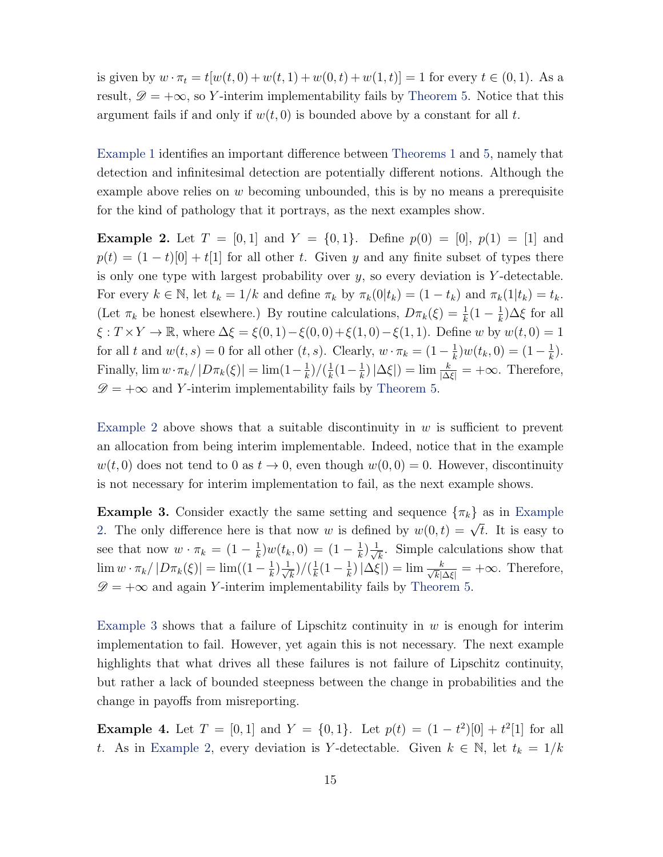is given by  $w \cdot \pi_t = t[w(t, 0) + w(t, 1) + w(0, t) + w(1, t)] = 1$  for every  $t \in (0, 1)$ . As a result,  $\mathscr{D} = +\infty$ , so Y-interim implementability fails by [Theorem 5.](#page-13-0) Notice that this argument fails if and only if  $w(t, 0)$  is bounded above by a constant for all t.

[Example 1](#page-13-3) identifies an important difference between [Theorems 1](#page-4-0) and [5,](#page-13-0) namely that detection and infinitesimal detection are potentially different notions. Although the example above relies on  $w$  becoming unbounded, this is by no means a prerequisite for the kind of pathology that it portrays, as the next examples show.

<span id="page-14-0"></span>**Example 2.** Let  $T = [0, 1]$  and  $Y = \{0, 1\}$ . Define  $p(0) = [0], p(1) = [1]$  and  $p(t) = (1-t)[0] + t[1]$  for all other t. Given y and any finite subset of types there is only one type with largest probability over  $y$ , so every deviation is Y-detectable. For every  $k \in \mathbb{N}$ , let  $t_k = 1/k$  and define  $\pi_k$  by  $\pi_k(0|t_k) = (1 - t_k)$  and  $\pi_k(1|t_k) = t_k$ . (Let  $\pi_k$  be honest elsewhere.) By routine calculations,  $D\pi_k(\xi) = \frac{1}{k}(1 - \frac{1}{k})$  $(\frac{1}{k})\Delta \xi$  for all  $\xi : T \times Y \to \mathbb{R}$ , where  $\Delta \xi = \xi(0, 1) - \xi(0, 0) + \xi(1, 0) - \xi(1, 1)$ . Define w by  $w(t, 0) = 1$ for all t and  $w(t,s) = 0$  for all other  $(t, s)$ . Clearly,  $w \cdot \pi_k = (1 - \frac{1}{k})$  $(\frac{1}{k})w(t_k, 0) = (1 - \frac{1}{k})$  $(\frac{1}{k})$ . Finally,  $\lim w \cdot \pi_k / |D \pi_k(\xi)| = \lim (1 - \frac{1}{k})$  $\frac{1}{k}$ )/( $\frac{1}{k}$  $\frac{1}{k}(1-\frac{1}{k})$  $(\frac{1}{k}) |\Delta \xi|$  = lim  $\frac{k}{|\Delta \xi|}$  =  $+\infty$ . Therefore,  $\mathscr{D} = +\infty$  and Y-interim implementability fails by [Theorem 5.](#page-13-0)

[Example 2](#page-14-0) above shows that a suitable discontinuity in  $w$  is sufficient to prevent an allocation from being interim implementable. Indeed, notice that in the example  $w(t, 0)$  does not tend to 0 as  $t \to 0$ , even though  $w(0, 0) = 0$ . However, discontinuity is not necessary for interim implementation to fail, as the next example shows.

<span id="page-14-1"></span>**[Example](#page-14-0) 3.** Consider exactly the same setting and sequence  $\{\pi_k\}$  as in Example [2.](#page-14-0) The only difference here is that now w is defined by  $w(0,t) = \sqrt{t}$ . It is easy to see that now  $w \cdot \pi_k = (1 - \frac{1}{k})$  $(\frac{1}{k})w(t_k,0) = (1 - \frac{1}{k})$  $\frac{1}{k}$  $\frac{1}{\sqrt{n}}$  $\overline{\overline{k}}$ . Simple calculations show that  $\lim w \cdot \pi_k / |D \pi_k(\xi)| = \lim ((1 - \frac{1}{k})$  $\frac{1}{k}$  $\frac{1}{\sqrt{n}}$  $(\frac{1}{k})/(\frac{1}{k})$  $\frac{1}{k}(1 - \frac{1}{k})$  $(\frac{1}{k}) |\Delta \xi|) = \lim \frac{k}{\sqrt{k}|\lambda|}$  $\frac{k}{\overline{k}|\Delta\xi|}$  = +∞. Therefore,  $\mathscr{D} = +\infty$  and again Y-interim implementability fails by [Theorem 5.](#page-13-0)

[Example 3](#page-14-1) shows that a failure of Lipschitz continuity in  $w$  is enough for interim implementation to fail. However, yet again this is not necessary. The next example highlights that what drives all these failures is not failure of Lipschitz continuity, but rather a lack of bounded steepness between the change in probabilities and the change in payoffs from misreporting.

<span id="page-14-2"></span>**Example 4.** Let  $T = [0, 1]$  and  $Y = \{0, 1\}$ . Let  $p(t) = (1 - t^2)[0] + t^2[1]$  for all t. As in [Example 2,](#page-14-0) every deviation is Y-detectable. Given  $k \in \mathbb{N}$ , let  $t_k = 1/k$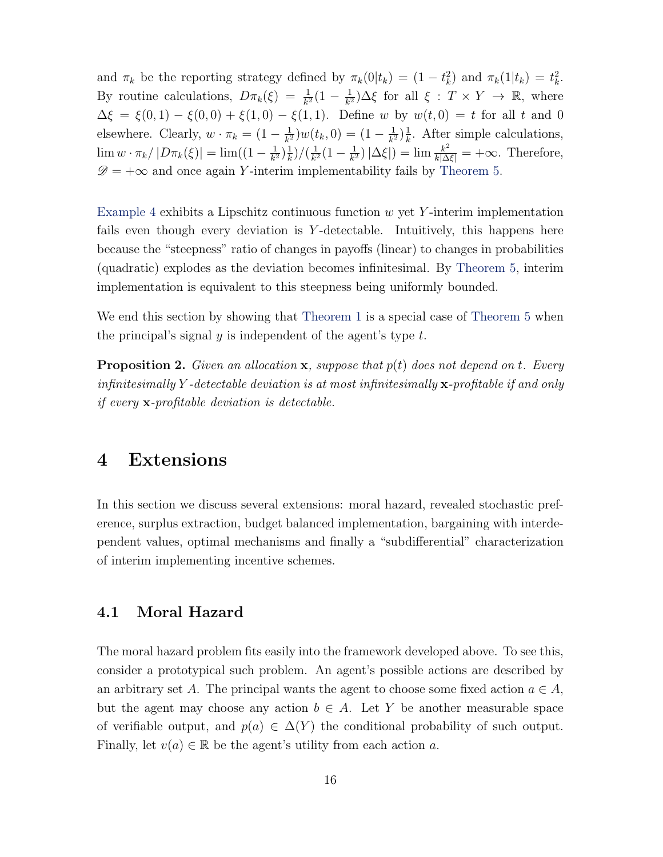and  $\pi_k$  be the reporting strategy defined by  $\pi_k(0|t_k) = (1 - t_k^2)$  and  $\pi_k(1|t_k) = t_k^2$ . By routine calculations,  $D\pi_k(\xi) = \frac{1}{k^2}(1 - \frac{1}{k^2})$  $\frac{1}{k^2}$ ) $\Delta \xi$  for all  $\xi : T \times Y \to \mathbb{R}$ , where  $\Delta \xi = \xi(0,1) - \xi(0,0) + \xi(1,0) - \xi(1,1)$ . Define w by  $w(t,0) = t$  for all t and 0 elsewhere. Clearly,  $w \cdot \pi_k = (1 - \frac{1}{k^2})$  $(\frac{1}{k^2})w(t_k,0) = (1 - \frac{1}{k^2})$  $\frac{1}{k^2}$ ) $\frac{1}{k}$  $\frac{1}{k}$ . After simple calculations,  $\lim w \cdot \pi_k / |D \pi_k(\xi)| = \lim (1 - \frac{1}{k^2})$  $\frac{1}{k^2}$ ) $\frac{1}{k}$  $(\frac{1}{k})/(\frac{1}{k^2})$  $\frac{1}{k^2}(1-\frac{1}{k^2})$  $\frac{1}{k^2}$ )  $|\Delta \xi|$  = lim  $\frac{k^2}{k|\Delta \xi|}$  = + $\infty$ . Therefore,  $\mathscr{D} = +\infty$  and once again Y-interim implementability fails by [Theorem 5.](#page-13-0)

[Example 4](#page-14-2) exhibits a Lipschitz continuous function  $w$  yet Y-interim implementation fails even though every deviation is Y-detectable. Intuitively, this happens here because the "steepness" ratio of changes in payoffs (linear) to changes in probabilities (quadratic) explodes as the deviation becomes infinitesimal. By [Theorem 5,](#page-13-0) interim implementation is equivalent to this steepness being uniformly bounded.

We end this section by showing that [Theorem 1](#page-4-0) is a special case of [Theorem 5](#page-13-0) when the principal's signal y is independent of the agent's type  $t$ .

<span id="page-15-1"></span>**Proposition 2.** Given an allocation **x**, suppose that  $p(t)$  does not depend on t. Every infinitesimally Y-detectable deviation is at most infinitesimally  $\mathbf{x}$ -profitable if and only if every x-profitable deviation is detectable.

### <span id="page-15-0"></span>4 Extensions

In this section we discuss several extensions: moral hazard, revealed stochastic preference, surplus extraction, budget balanced implementation, bargaining with interdependent values, optimal mechanisms and finally a "subdifferential" characterization of interim implementing incentive schemes.

#### 4.1 Moral Hazard

The moral hazard problem fits easily into the framework developed above. To see this, consider a prototypical such problem. An agent's possible actions are described by an arbitrary set A. The principal wants the agent to choose some fixed action  $a \in A$ , but the agent may choose any action  $b \in A$ . Let Y be another measurable space of verifiable output, and  $p(a) \in \Delta(Y)$  the conditional probability of such output. Finally, let  $v(a) \in \mathbb{R}$  be the agent's utility from each action a.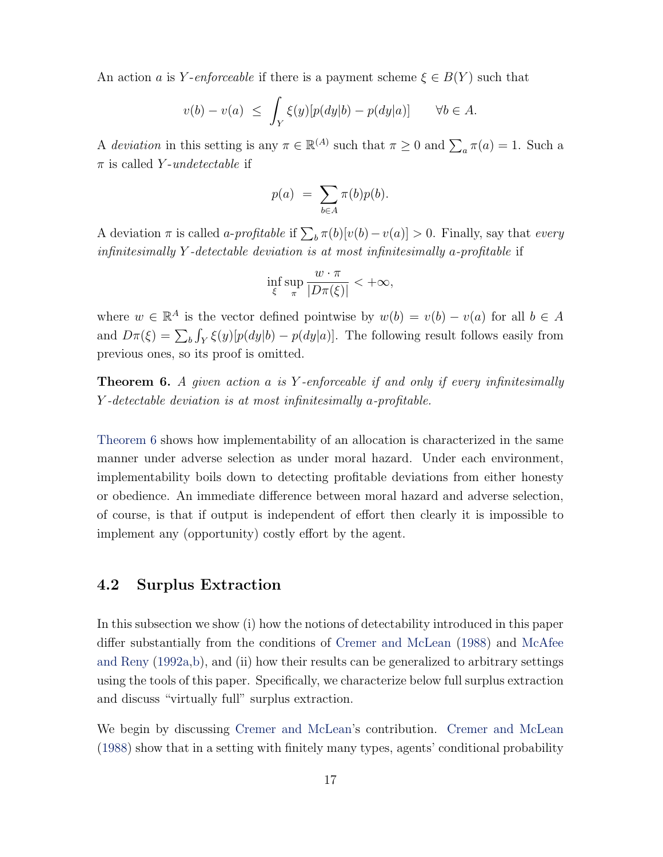<span id="page-16-1"></span>An action a is Y-enforceable if there is a payment scheme  $\xi \in B(Y)$  such that

$$
v(b) - v(a) \le \int_Y \xi(y)[p(dy|b) - p(dy|a)] \qquad \forall b \in A.
$$

A deviation in this setting is any  $\pi \in \mathbb{R}^{(A)}$  such that  $\pi \geq 0$  and  $\sum_{a} \pi(a) = 1$ . Such a  $\pi$  is called Y-undetectable if

$$
p(a) = \sum_{b \in A} \pi(b)p(b).
$$

A deviation  $\pi$  is called *a-profitable* if  $\sum_b \pi(b)[v(b) - v(a)] > 0$ . Finally, say that *every* infinitesimally Y -detectable deviation is at most infinitesimally a-profitable if

$$
\inf_{\xi} \sup_{\pi} \frac{w \cdot \pi}{|D\pi(\xi)|} < +\infty,
$$

where  $w \in \mathbb{R}^A$  is the vector defined pointwise by  $w(b) = v(b) - v(a)$  for all  $b \in A$ and  $D\pi(\xi) = \sum_b \int_Y \xi(y)[p(dy|b) - p(dy|a)]$ . The following result follows easily from previous ones, so its proof is omitted.

<span id="page-16-0"></span>**Theorem 6.** A given action a is Y-enforceable if and only if every infinitesimally Y -detectable deviation is at most infinitesimally a-profitable.

[Theorem 6](#page-16-0) shows how implementability of an allocation is characterized in the same manner under adverse selection as under moral hazard. Under each environment, implementability boils down to detecting profitable deviations from either honesty or obedience. An immediate difference between moral hazard and adverse selection, of course, is that if output is independent of effort then clearly it is impossible to implement any (opportunity) costly effort by the agent.

#### 4.2 Surplus Extraction

In this subsection we show (i) how the notions of detectability introduced in this paper differ substantially from the conditions of [Cremer and McLean](#page-46-0) [\(1988\)](#page-46-0) and [McAfee](#page-47-2) [and Reny](#page-47-2) [\(1992a,](#page-47-2)[b\)](#page-47-7), and (ii) how their results can be generalized to arbitrary settings using the tools of this paper. Specifically, we characterize below full surplus extraction and discuss "virtually full" surplus extraction.

We begin by discussing [Cremer and McLean'](#page-46-0)s contribution. [Cremer and McLean](#page-46-0) [\(1988\)](#page-46-0) show that in a setting with finitely many types, agents' conditional probability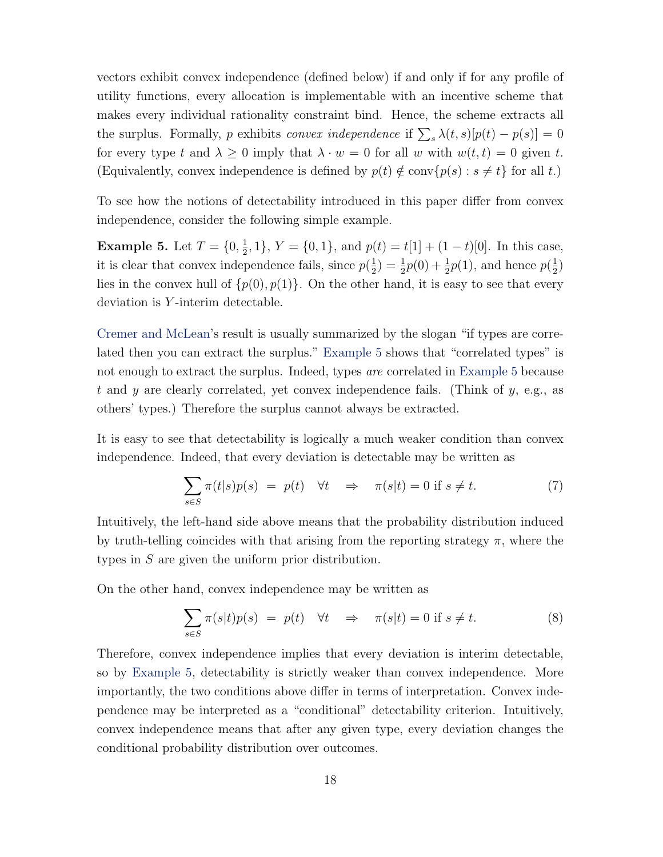<span id="page-17-1"></span>vectors exhibit convex independence (defined below) if and only if for any profile of utility functions, every allocation is implementable with an incentive scheme that makes every individual rationality constraint bind. Hence, the scheme extracts all the surplus. Formally, p exhibits convex independence if  $\sum_s \lambda(t,s)[p(t)-p(s)] = 0$ for every type t and  $\lambda \geq 0$  imply that  $\lambda \cdot w = 0$  for all w with  $w(t, t) = 0$  given t. (Equivalently, convex independence is defined by  $p(t) \notin \text{conv}{p(s) : s \neq t}$  for all t.)

To see how the notions of detectability introduced in this paper differ from convex independence, consider the following simple example.

<span id="page-17-0"></span>**Example 5.** Let  $T = \{0, \frac{1}{2}\}$  $\frac{1}{2}$ , 1},  $Y = \{0, 1\}$ , and  $p(t) = t[1] + (1 - t)[0]$ . In this case, it is clear that convex independence fails, since  $p(\frac{1}{2})$  $(\frac{1}{2}) = \frac{1}{2}p(0) + \frac{1}{2}p(1)$ , and hence  $p(\frac{1}{2})$  $\frac{1}{2})$ lies in the convex hull of  $\{p(0), p(1)\}\)$ . On the other hand, it is easy to see that every deviation is Y -interim detectable.

[Cremer and McLean'](#page-46-0)s result is usually summarized by the slogan "if types are correlated then you can extract the surplus." [Example 5](#page-17-0) shows that "correlated types" is not enough to extract the surplus. Indeed, types are correlated in [Example 5](#page-17-0) because t and y are clearly correlated, yet convex independence fails. (Think of  $y$ , e.g., as others' types.) Therefore the surplus cannot always be extracted.

It is easy to see that detectability is logically a much weaker condition than convex independence. Indeed, that every deviation is detectable may be written as

$$
\sum_{s \in S} \pi(t|s) p(s) = p(t) \quad \forall t \quad \Rightarrow \quad \pi(s|t) = 0 \text{ if } s \neq t. \tag{7}
$$

Intuitively, the left-hand side above means that the probability distribution induced by truth-telling coincides with that arising from the reporting strategy  $\pi$ , where the types in S are given the uniform prior distribution.

On the other hand, convex independence may be written as

$$
\sum_{s \in S} \pi(s|t) p(s) = p(t) \quad \forall t \quad \Rightarrow \quad \pi(s|t) = 0 \text{ if } s \neq t. \tag{8}
$$

Therefore, convex independence implies that every deviation is interim detectable, so by [Example 5,](#page-17-0) detectability is strictly weaker than convex independence. More importantly, the two conditions above differ in terms of interpretation. Convex independence may be interpreted as a "conditional" detectability criterion. Intuitively, convex independence means that after any given type, every deviation changes the conditional probability distribution over outcomes.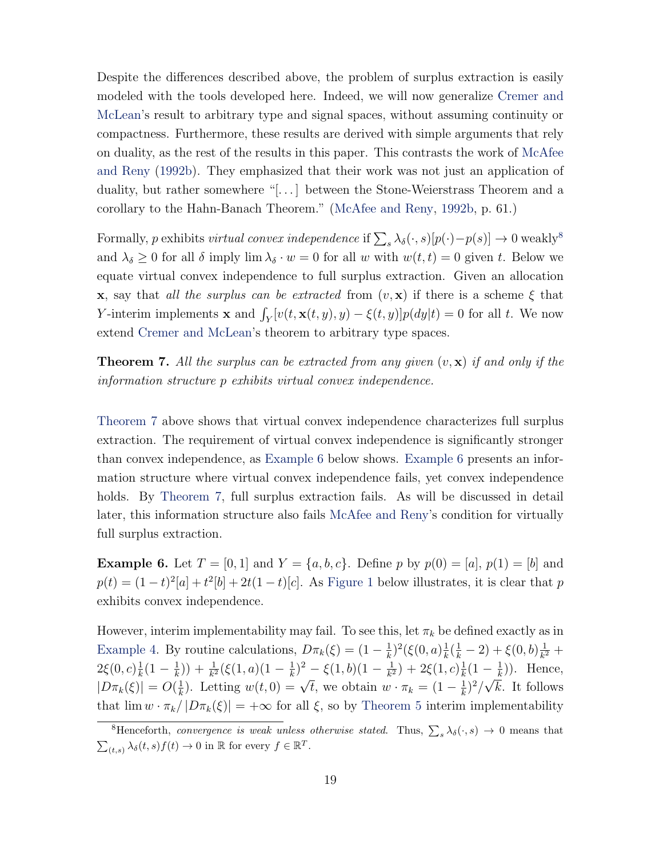<span id="page-18-3"></span>Despite the differences described above, the problem of surplus extraction is easily modeled with the tools developed here. Indeed, we will now generalize [Cremer and](#page-46-0) [McLean'](#page-46-0)s result to arbitrary type and signal spaces, without assuming continuity or compactness. Furthermore, these results are derived with simple arguments that rely on duality, as the rest of the results in this paper. This contrasts the work of [McAfee](#page-47-7) [and Reny](#page-47-7) [\(1992b\)](#page-47-7). They emphasized that their work was not just an application of duality, but rather somewhere "[...] between the Stone-Weierstrass Theorem and a corollary to the Hahn-Banach Theorem." [\(McAfee and Reny,](#page-47-7) [1992b,](#page-47-7) p. 61.)

Formally, p exhibits *virtual convex independence* if  $\sum_s \lambda_\delta(\cdot, s)[p(\cdot)-p(s)] \to 0$  weakly<sup>[8](#page-18-0)</sup> and  $\lambda_{\delta} \geq 0$  for all  $\delta$  imply  $\lim \lambda_{\delta} \cdot w = 0$  for all w with  $w(t, t) = 0$  given t. Below we equate virtual convex independence to full surplus extraction. Given an allocation **x**, say that all the surplus can be extracted from  $(v, x)$  if there is a scheme  $\xi$  that Y-interim implements **x** and  $\int_Y [v(t, \mathbf{x}(t, y), y) - \xi(t, y)] p(dy|t) = 0$  for all t. We now extend [Cremer and McLean'](#page-46-0)s theorem to arbitrary type spaces.

<span id="page-18-1"></span>**Theorem 7.** All the surplus can be extracted from any given  $(v, \mathbf{x})$  if and only if the information structure p exhibits virtual convex independence.

[Theorem 7](#page-18-1) above shows that virtual convex independence characterizes full surplus extraction. The requirement of virtual convex independence is significantly stronger than convex independence, as [Example 6](#page-18-2) below shows. [Example 6](#page-18-2) presents an information structure where virtual convex independence fails, yet convex independence holds. By [Theorem 7,](#page-18-1) full surplus extraction fails. As will be discussed in detail later, this information structure also fails [McAfee and Reny'](#page-47-2)s condition for virtually full surplus extraction.

<span id="page-18-2"></span>**Example 6.** Let  $T = [0, 1]$  and  $Y = \{a, b, c\}$ . Define p by  $p(0) = [a], p(1) = [b]$  and  $p(t) = (1-t)^2[a] + t^2[b] + 2t(1-t)[c]$ . As [Figure 1](#page-19-0) below illustrates, it is clear that p exhibits convex independence.

However, interim implementability may fail. To see this, let  $\pi_k$  be defined exactly as in [Example 4.](#page-14-2) By routine calculations,  $D\pi_k(\xi) = (1 - \frac{1}{k})$  $(\frac{1}{k})^2 (\xi(0, a)) \frac{1}{k}$  $\frac{1}{k}(\frac{1}{k}-2)+\xi(0,b)\frac{1}{k^2}$  $\frac{1}{k^2} +$  $2\xi(0,c)\frac{1}{k}$  $\frac{1}{k}(1-\frac{1}{k})$  $(\frac{1}{k}) + \frac{1}{k^2}(\xi(1, a)(1 - \frac{1}{k}))$  $(\frac{1}{k})^2 - \xi(1,b)(1-\frac{1}{k^2})$  $\frac{1}{k^2})+2\xi(1,c)\frac{1}{k}$  $\frac{1}{k}(1-\frac{1}{k})$  $\left(-\frac{1}{k}\right)$ . Hence,  $|D\pi_k(\xi)| = O(\frac{1}{k})$ Letting  $w(t, 0) = \sqrt{t}$ , we obtain  $w \cdot \pi_k = (1 - \frac{1}{k})$ .  $(\frac{1}{k})^2/\sqrt{k}$ . It follows that  $\lim w \cdot \pi_k / |D\pi_k(\xi)| = +\infty$  for all  $\xi$ , so by [Theorem 5](#page-13-0) interim implementability

<span id="page-18-0"></span><sup>&</sup>lt;sup>8</sup>Henceforth, *convergence is weak unless otherwise stated*. Thus,  $\sum_s \lambda_{\delta}(\cdot, s) \rightarrow 0$  means that  $\sum_{(t,s)} \lambda_{\delta}(t,s) f(t) \to 0$  in  $\mathbb R$  for every  $f \in \mathbb R^T$ .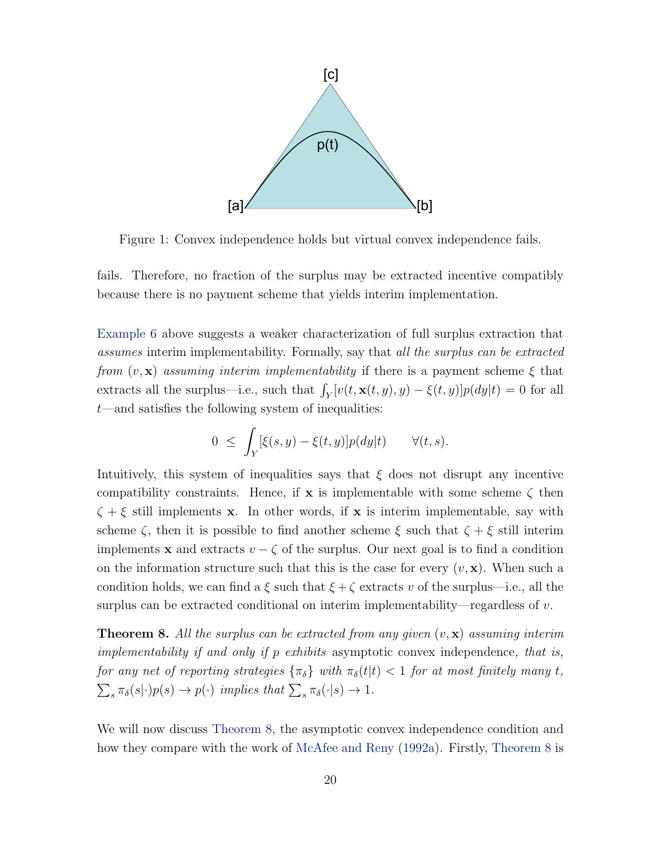<span id="page-19-2"></span>

<span id="page-19-0"></span>Figure 1: Convex independence holds but virtual convex independence fails.

fails. Therefore, no fraction of the surplus may be extracted incentive compatibly because there is no payment scheme that yields interim implementation.

[Example 6](#page-18-2) above suggests a weaker characterization of full surplus extraction that assumes interim implementability. Formally, say that all the surplus can be extracted from  $(v, \mathbf{x})$  assuming interim implementability if there is a payment scheme  $\xi$  that extracts all the surplus—i.e., such that  $\int_Y [v(t, \mathbf{x}(t, y), y) - \xi(t, y)] p(dy|t) = 0$  for all t—and satisfies the following system of inequalities:

$$
0 \leq \int_Y [\xi(s,y) - \xi(t,y)] p(dy|t) \qquad \forall (t,s).
$$

Intuitively, this system of inequalities says that  $\xi$  does not disrupt any incentive compatibility constraints. Hence, if **x** is implementable with some scheme  $\zeta$  then  $\zeta + \xi$  still implements **x**. In other words, if **x** is interim implementable, say with scheme  $\zeta$ , then it is possible to find another scheme  $\xi$  such that  $\zeta + \xi$  still interim implements **x** and extracts  $v - \zeta$  of the surplus. Our next goal is to find a condition on the information structure such that this is the case for every  $(v, x)$ . When such a condition holds, we can find a  $\xi$  such that  $\xi + \zeta$  extracts v of the surplus—i.e., all the surplus can be extracted conditional on interim implementability—regardless of  $v$ .

<span id="page-19-1"></span>**Theorem 8.** All the surplus can be extracted from any given  $(v, \mathbf{x})$  assuming interim implementability if and only if p exhibits asymptotic convex independence, that is, for any net of reporting strategies  $\{\pi_{\delta}\}\$  with  $\pi_{\delta}(t|t) < 1$  for at most finitely many t,  $\sum_{s} \pi_{\delta}(s|\cdot)p(s) \to p(\cdot)$  implies that  $\sum_{s} \pi_{\delta}(\cdot|s) \to 1$ .

We will now discuss [Theorem 8,](#page-19-1) the asymptotic convex independence condition and how they compare with the work of [McAfee and Reny](#page-47-2) [\(1992a\)](#page-47-2). Firstly, [Theorem 8](#page-19-1) is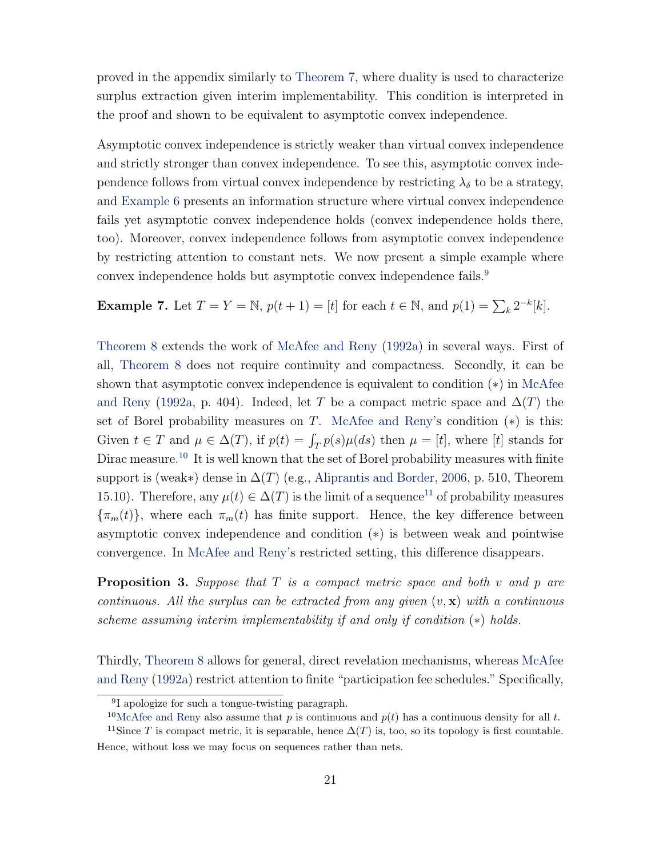<span id="page-20-4"></span>proved in the appendix similarly to [Theorem 7,](#page-18-1) where duality is used to characterize surplus extraction given interim implementability. This condition is interpreted in the proof and shown to be equivalent to asymptotic convex independence.

Asymptotic convex independence is strictly weaker than virtual convex independence and strictly stronger than convex independence. To see this, asymptotic convex independence follows from virtual convex independence by restricting  $\lambda_{\delta}$  to be a strategy, and [Example 6](#page-18-2) presents an information structure where virtual convex independence fails yet asymptotic convex independence holds (convex independence holds there, too). Moreover, convex independence follows from asymptotic convex independence by restricting attention to constant nets. We now present a simple example where convex independence holds but asymptotic convex independence fails.<sup>[9](#page-20-0)</sup>

**Example 7.** Let  $T = Y = \mathbb{N}$ ,  $p(t + 1) = [t]$  for each  $t \in \mathbb{N}$ , and  $p(1) = \sum_{k} 2^{-k} [k]$ .

[Theorem 8](#page-19-1) extends the work of [McAfee and Reny](#page-47-2) [\(1992a\)](#page-47-2) in several ways. First of all, [Theorem 8](#page-19-1) does not require continuity and compactness. Secondly, it can be shown that asymptotic convex independence is equivalent to condition  $(*)$  in [McAfee](#page-47-2) [and Reny](#page-47-2) [\(1992a,](#page-47-2) p. 404). Indeed, let T be a compact metric space and  $\Delta(T)$  the set of Borel probability measures on T. [McAfee and Reny'](#page-47-2)s condition  $(*)$  is this: Given  $t \in T$  and  $\mu \in \Delta(T)$ , if  $p(t) = \int_T p(s) \mu(ds)$  then  $\mu = [t]$ , where  $[t]$  stands for Dirac measure.<sup>[10](#page-20-1)</sup> It is well known that the set of Borel probability measures with finite support is (weak∗) dense in  $\Delta(T)$  (e.g., [Aliprantis and Border,](#page-46-2) [2006,](#page-46-2) p. 510, Theorem 15.10). Therefore, any  $\mu(t) \in \Delta(T)$  is the limit of a sequence<sup>[11](#page-20-2)</sup> of probability measures  ${\lbrace \pi_m(t) \rbrace}$ , where each  ${\pi_m(t)}$  has finite support. Hence, the key difference between asymptotic convex independence and condition (∗) is between weak and pointwise convergence. In [McAfee and Reny'](#page-47-2)s restricted setting, this difference disappears.

<span id="page-20-3"></span>**Proposition 3.** Suppose that  $T$  is a compact metric space and both  $v$  and  $p$  are continuous. All the surplus can be extracted from any given  $(v, x)$  with a continuous scheme assuming interim implementability if and only if condition (\*) holds.

Thirdly, [Theorem 8](#page-19-1) allows for general, direct revelation mechanisms, whereas [McAfee](#page-47-2) [and Reny](#page-47-2) [\(1992a\)](#page-47-2) restrict attention to finite "participation fee schedules." Specifically,

<span id="page-20-1"></span><span id="page-20-0"></span><sup>&</sup>lt;sup>9</sup>I apologize for such a tongue-twisting paragraph.

<span id="page-20-2"></span><sup>&</sup>lt;sup>10</sup>[McAfee and Reny](#page-47-2) also assume that p is continuous and  $p(t)$  has a continuous density for all t.

<sup>&</sup>lt;sup>11</sup>Since T is compact metric, it is separable, hence  $\Delta(T)$  is, too, so its topology is first countable. Hence, without loss we may focus on sequences rather than nets.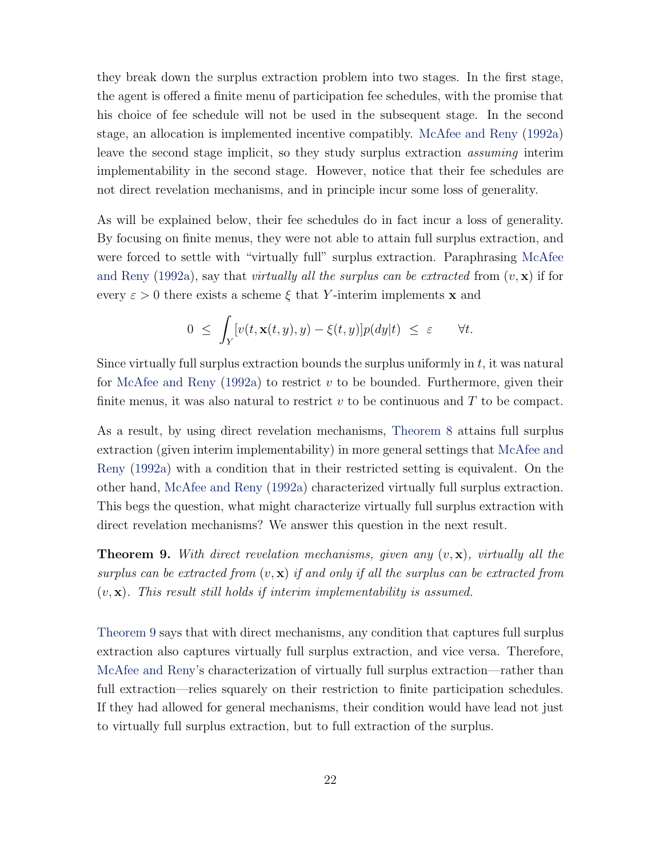<span id="page-21-1"></span>they break down the surplus extraction problem into two stages. In the first stage, the agent is offered a finite menu of participation fee schedules, with the promise that his choice of fee schedule will not be used in the subsequent stage. In the second stage, an allocation is implemented incentive compatibly. [McAfee and Reny](#page-47-2) [\(1992a\)](#page-47-2) leave the second stage implicit, so they study surplus extraction assuming interim implementability in the second stage. However, notice that their fee schedules are not direct revelation mechanisms, and in principle incur some loss of generality.

As will be explained below, their fee schedules do in fact incur a loss of generality. By focusing on finite menus, they were not able to attain full surplus extraction, and were forced to settle with "virtually full" surplus extraction. Paraphrasing [McAfee](#page-47-2) [and Reny](#page-47-2) [\(1992a\)](#page-47-2), say that *virtually all the surplus can be extracted* from  $(v, x)$  if for every  $\varepsilon > 0$  there exists a scheme  $\xi$  that Y-interim implements x and

$$
0 \leq \int_Y [v(t, \mathbf{x}(t,y), y) - \xi(t,y)] p(dy|t) \leq \varepsilon \qquad \forall t.
$$

Since virtually full surplus extraction bounds the surplus uniformly in  $t$ , it was natural for [McAfee and Reny](#page-47-2) [\(1992a\)](#page-47-2) to restrict  $v$  to be bounded. Furthermore, given their finite menus, it was also natural to restrict  $v$  to be continuous and  $T$  to be compact.

As a result, by using direct revelation mechanisms, [Theorem 8](#page-19-1) attains full surplus extraction (given interim implementability) in more general settings that [McAfee and](#page-47-2) [Reny](#page-47-2) [\(1992a\)](#page-47-2) with a condition that in their restricted setting is equivalent. On the other hand, [McAfee and Reny](#page-47-2) [\(1992a\)](#page-47-2) characterized virtually full surplus extraction. This begs the question, what might characterize virtually full surplus extraction with direct revelation mechanisms? We answer this question in the next result.

<span id="page-21-0"></span>**Theorem 9.** With direct revelation mechanisms, given any  $(v, x)$ , virtually all the surplus can be extracted from  $(v, x)$  if and only if all the surplus can be extracted from  $(v, x)$ . This result still holds if interim implementability is assumed.

[Theorem 9](#page-21-0) says that with direct mechanisms, any condition that captures full surplus extraction also captures virtually full surplus extraction, and vice versa. Therefore, [McAfee and Reny'](#page-47-2)s characterization of virtually full surplus extraction—rather than full extraction—relies squarely on their restriction to finite participation schedules. If they had allowed for general mechanisms, their condition would have lead not just to virtually full surplus extraction, but to full extraction of the surplus.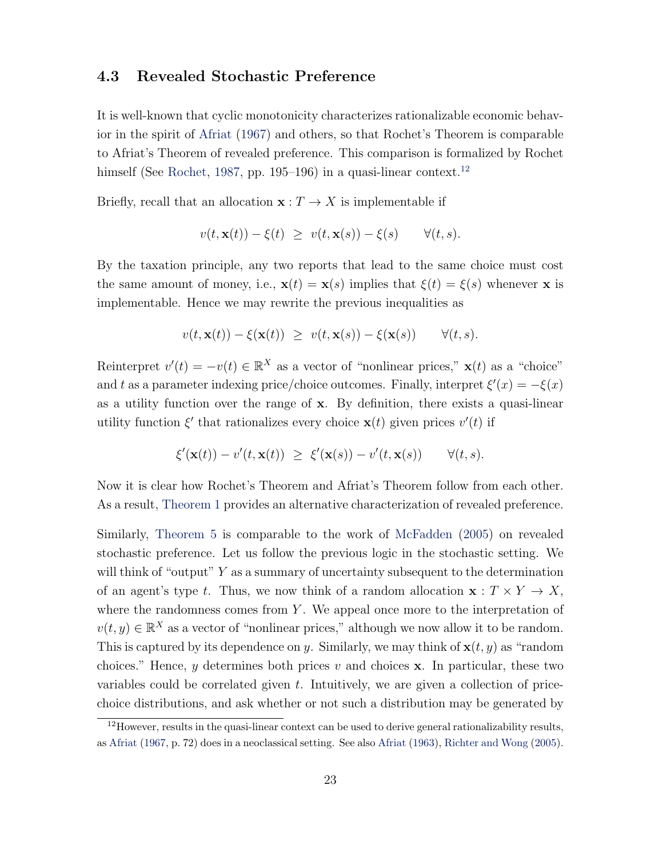#### <span id="page-22-1"></span>4.3 Revealed Stochastic Preference

It is well-known that cyclic monotonicity characterizes rationalizable economic behavior in the spirit of [Afriat](#page-46-1) [\(1967\)](#page-46-1) and others, so that Rochet's Theorem is comparable to Afriat's Theorem of revealed preference. This comparison is formalized by Rochet himself (See [Rochet,](#page-47-0) [1987,](#page-47-0) pp. 195–196) in a quasi-linear context.<sup>[12](#page-22-0)</sup>

Briefly, recall that an allocation  $\mathbf{x}: T \to X$  is implementable if

$$
v(t, \mathbf{x}(t)) - \xi(t) \geq v(t, \mathbf{x}(s)) - \xi(s) \qquad \forall (t, s).
$$

By the taxation principle, any two reports that lead to the same choice must cost the same amount of money, i.e.,  $\mathbf{x}(t) = \mathbf{x}(s)$  implies that  $\xi(t) = \xi(s)$  whenever x is implementable. Hence we may rewrite the previous inequalities as

$$
v(t, \mathbf{x}(t)) - \xi(\mathbf{x}(t)) \geq v(t, \mathbf{x}(s)) - \xi(\mathbf{x}(s)) \qquad \forall (t, s).
$$

Reinterpret  $v'(t) = -v(t) \in \mathbb{R}^{X}$  as a vector of "nonlinear prices,"  $\mathbf{x}(t)$  as a "choice" and t as a parameter indexing price/choice outcomes. Finally, interpret  $\xi'(x) = -\xi(x)$ as a utility function over the range of x. By definition, there exists a quasi-linear utility function  $\xi'$  that rationalizes every choice  $\mathbf{x}(t)$  given prices  $v'(t)$  if

$$
\xi'(\mathbf{x}(t)) - v'(t, \mathbf{x}(t)) \geq \xi'(\mathbf{x}(s)) - v'(t, \mathbf{x}(s)) \qquad \forall (t, s).
$$

Now it is clear how Rochet's Theorem and Afriat's Theorem follow from each other. As a result, [Theorem 1](#page-4-0) provides an alternative characterization of revealed preference.

Similarly, [Theorem 5](#page-13-0) is comparable to the work of [McFadden](#page-47-4) [\(2005\)](#page-47-4) on revealed stochastic preference. Let us follow the previous logic in the stochastic setting. We will think of "output"  $Y$  as a summary of uncertainty subsequent to the determination of an agent's type t. Thus, we now think of a random allocation  $\mathbf{x} : T \times Y \to X$ , where the randomness comes from  $Y$ . We appeal once more to the interpretation of  $v(t, y) \in \mathbb{R}^X$  as a vector of "nonlinear prices," although we now allow it to be random. This is captured by its dependence on y. Similarly, we may think of  $\mathbf{x}(t, y)$  as "random choices." Hence, y determines both prices v and choices  $x$ . In particular, these two variables could be correlated given t. Intuitively, we are given a collection of pricechoice distributions, and ask whether or not such a distribution may be generated by

<span id="page-22-0"></span> $12$ However, results in the quasi-linear context can be used to derive general rationalizability results, as [Afriat](#page-46-1) [\(1967,](#page-46-1) p. 72) does in a neoclassical setting. See also [Afriat](#page-46-3) [\(1963\)](#page-46-3), [Richter and Wong](#page-47-8) [\(2005\)](#page-47-8).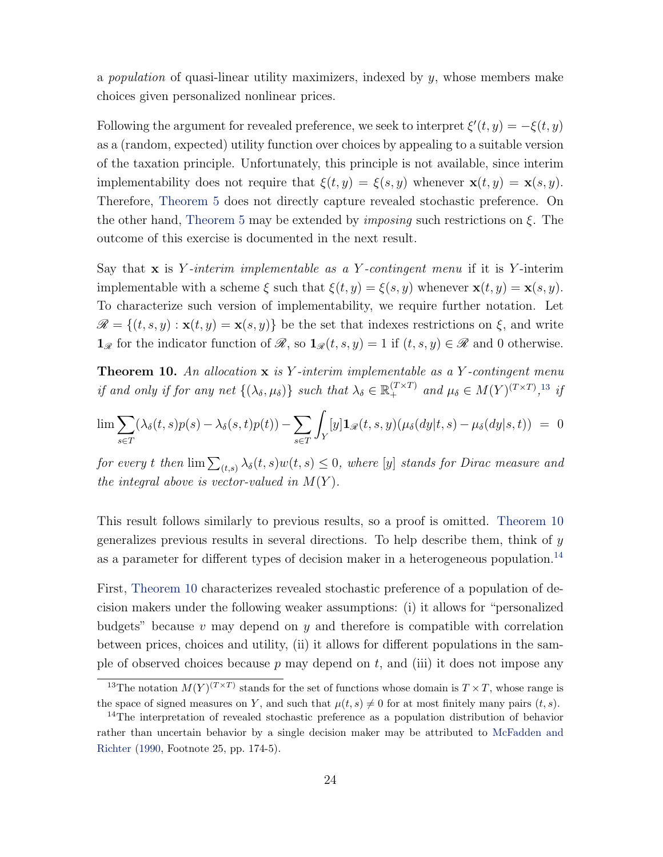<span id="page-23-3"></span>a *population* of quasi-linear utility maximizers, indexed by  $y$ , whose members make choices given personalized nonlinear prices.

Following the argument for revealed preference, we seek to interpret  $\xi'(t, y) = -\xi(t, y)$ as a (random, expected) utility function over choices by appealing to a suitable version of the taxation principle. Unfortunately, this principle is not available, since interim implementability does not require that  $\xi(t, y) = \xi(s, y)$  whenever  $\mathbf{x}(t, y) = \mathbf{x}(s, y)$ . Therefore, [Theorem 5](#page-13-0) does not directly capture revealed stochastic preference. On the other hand, [Theorem 5](#page-13-0) may be extended by *imposing* such restrictions on  $\xi$ . The outcome of this exercise is documented in the next result.

Say that  $\bf{x}$  is Y-interim implementable as a Y-contingent menu if it is Y-interim implementable with a scheme  $\xi$  such that  $\xi(t, y) = \xi(s, y)$  whenever  $\mathbf{x}(t, y) = \mathbf{x}(s, y)$ . To characterize such version of implementability, we require further notation. Let  $\mathscr{R} = \{(t, s, y) : \mathbf{x}(t, y) = \mathbf{x}(s, y)\}\$ be the set that indexes restrictions on  $\xi$ , and write  $\mathbf{1}_{\mathscr{R}}$  for the indicator function of  $\mathscr{R}$ , so  $\mathbf{1}_{\mathscr{R}}(t, s, y) = 1$  if  $(t, s, y) \in \mathscr{R}$  and 0 otherwise.

<span id="page-23-1"></span>**Theorem 10.** An allocation  $x$  is Y-interim implementable as a Y-contingent menu if and only if for any net  $\{(\lambda_{\delta}, \mu_{\delta})\}$  such that  $\lambda_{\delta} \in \mathbb{R}_+^{(T \times T)}$  and  $\mu_{\delta} \in M(Y)^{(T \times T)}$ ,<sup>[13](#page-23-0)</sup> if

$$
\lim \sum_{s \in T} (\lambda_{\delta}(t,s)p(s) - \lambda_{\delta}(s,t)p(t)) - \sum_{s \in T} \int_{Y} [y] \mathbf{1}_{\mathscr{R}}(t,s,y) (\mu_{\delta}(dy|t,s) - \mu_{\delta}(dy|s,t)) = 0
$$

for every t then  $\lim_{(t,s)} \lambda_{\delta}(t,s) w(t,s) \leq 0$ , where [y] stands for Dirac measure and the integral above is vector-valued in  $M(Y)$ .

This result follows similarly to previous results, so a proof is omitted. [Theorem 10](#page-23-1) generalizes previous results in several directions. To help describe them, think of  $y$ as a parameter for different types of decision maker in a heterogeneous population.<sup>[14](#page-23-2)</sup>

First, [Theorem 10](#page-23-1) characterizes revealed stochastic preference of a population of decision makers under the following weaker assumptions: (i) it allows for "personalized budgets" because v may depend on y and therefore is compatible with correlation between prices, choices and utility, (ii) it allows for different populations in the sample of observed choices because  $p$  may depend on  $t$ , and (iii) it does not impose any

<span id="page-23-0"></span><sup>&</sup>lt;sup>13</sup>The notation  $M(Y)^{(T\times T)}$  stands for the set of functions whose domain is  $T\times T$ , whose range is the space of signed measures on Y, and such that  $\mu(t, s) \neq 0$  for at most finitely many pairs  $(t, s)$ .

<span id="page-23-2"></span><sup>&</sup>lt;sup>14</sup>The interpretation of revealed stochastic preference as a population distribution of behavior rather than uncertain behavior by a single decision maker may be attributed to [McFadden and](#page-47-3) [Richter](#page-47-3) [\(1990,](#page-47-3) Footnote 25, pp. 174-5).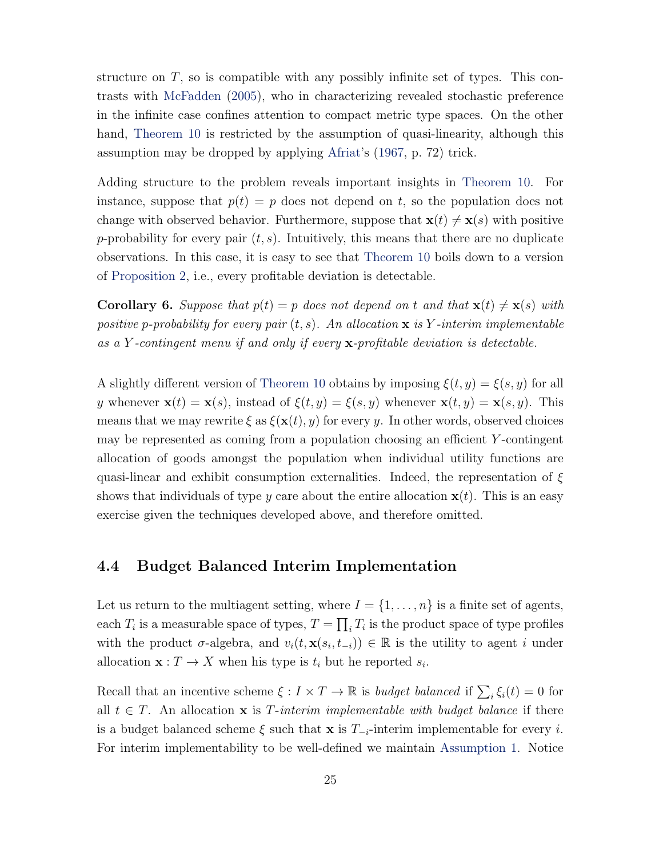<span id="page-24-0"></span>structure on  $T$ , so is compatible with any possibly infinite set of types. This contrasts with [McFadden](#page-47-4) [\(2005\)](#page-47-4), who in characterizing revealed stochastic preference in the infinite case confines attention to compact metric type spaces. On the other hand, [Theorem 10](#page-23-1) is restricted by the assumption of quasi-linearity, although this assumption may be dropped by applying [Afriat'](#page-46-1)s [\(1967,](#page-46-1) p. 72) trick.

Adding structure to the problem reveals important insights in [Theorem 10.](#page-23-1) For instance, suppose that  $p(t) = p$  does not depend on t, so the population does not change with observed behavior. Furthermore, suppose that  $\mathbf{x}(t) \neq \mathbf{x}(s)$  with positive p-probability for every pair  $(t, s)$ . Intuitively, this means that there are no duplicate observations. In this case, it is easy to see that [Theorem 10](#page-23-1) boils down to a version of [Proposition 2,](#page-15-1) i.e., every profitable deviation is detectable.

**Corollary 6.** Suppose that  $p(t) = p$  does not depend on t and that  $\mathbf{x}(t) \neq \mathbf{x}(s)$  with positive p-probability for every pair  $(t, s)$ . An allocation  $\bf{x}$  is Y-interim implementable as a Y -contingent menu if and only if every x-profitable deviation is detectable.

A slightly different version of [Theorem 10](#page-23-1) obtains by imposing  $\xi(t, y) = \xi(s, y)$  for all y whenever  $\mathbf{x}(t) = \mathbf{x}(s)$ , instead of  $\xi(t, y) = \xi(s, y)$  whenever  $\mathbf{x}(t, y) = \mathbf{x}(s, y)$ . This means that we may rewrite  $\xi$  as  $\xi(\mathbf{x}(t), y)$  for every y. In other words, observed choices may be represented as coming from a population choosing an efficient Y -contingent allocation of goods amongst the population when individual utility functions are quasi-linear and exhibit consumption externalities. Indeed, the representation of  $\xi$ shows that individuals of type y care about the entire allocation  $\mathbf{x}(t)$ . This is an easy exercise given the techniques developed above, and therefore omitted.

#### 4.4 Budget Balanced Interim Implementation

Let us return to the multiagent setting, where  $I = \{1, \ldots, n\}$  is a finite set of agents, each  $T_i$  is a measurable space of types,  $T = \prod_i T_i$  is the product space of type profiles with the product  $\sigma$ -algebra, and  $v_i(t, \mathbf{x}(s_i, t_{-i})) \in \mathbb{R}$  is the utility to agent i under allocation  $\mathbf{x}: T \to X$  when his type is  $t_i$  but he reported  $s_i$ .

Recall that an incentive scheme  $\xi: I \times T \to \mathbb{R}$  is budget balanced if  $\sum_i \xi_i(t) = 0$  for all  $t \in T$ . An allocation **x** is T-interim implementable with budget balance if there is a budget balanced scheme  $\xi$  such that x is  $T_{-i}$ -interim implementable for every i. For interim implementability to be well-defined we maintain [Assumption 1.](#page-12-1) Notice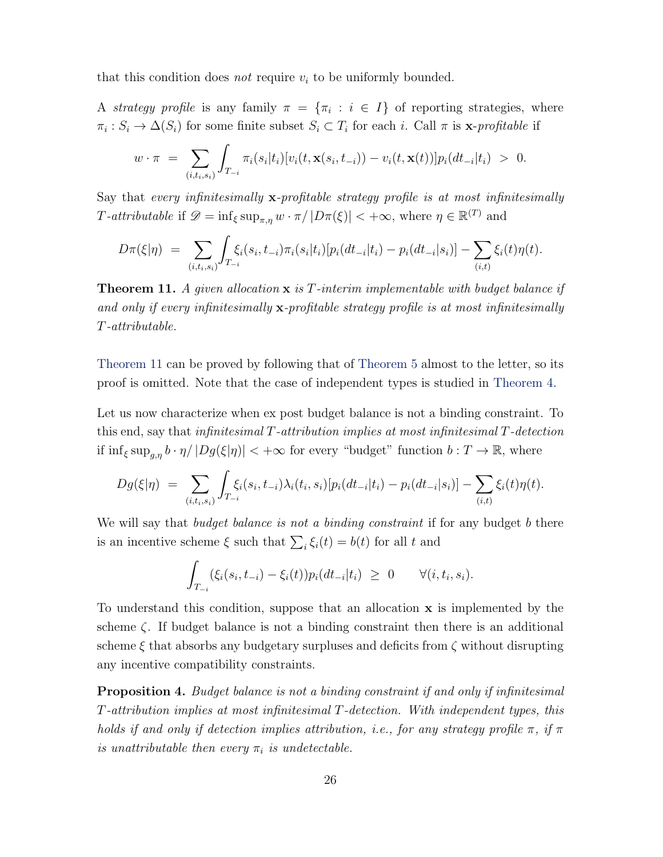that this condition does *not* require  $v_i$  to be uniformly bounded.

A strategy profile is any family  $\pi = {\pi_i : i \in I}$  of reporting strategies, where  $\pi_i: S_i \to \Delta(S_i)$  for some finite subset  $S_i \subset T_i$  for each i. Call  $\pi$  is **x**-profitable if

$$
w \cdot \pi = \sum_{(i,t_i,s_i)} \int_{T_{-i}} \pi_i(s_i|t_i) [v_i(t, \mathbf{x}(s_i, t_{-i})) - v_i(t, \mathbf{x}(t))] p_i(dt_{-i}|t_i) > 0.
$$

Say that every infinitesimally  $\mathbf{x}$ -profitable strategy profile is at most infinitesimally T-attributable if  $\mathscr{D} = \inf_{\xi} \sup_{\pi,\eta} w \cdot \pi / |D\pi(\xi)| < +\infty$ , where  $\eta \in \mathbb{R}^{(T)}$  and

$$
D\pi(\xi|\eta) = \sum_{(i,t_i,s_i)} \int_{T_{-i}} \xi_i(s_i,t_{-i})\pi_i(s_i|t_i)[p_i(dt_{-i}|t_i) - p_i(dt_{-i}|s_i)] - \sum_{(i,t)} \xi_i(t)\eta(t).
$$

<span id="page-25-0"></span>**Theorem 11.** A given allocation  $x$  is T-interim implementable with budget balance if and only if every infinitesimally x-profitable strategy profile is at most infinitesimally T-attributable.

[Theorem 11](#page-25-0) can be proved by following that of [Theorem 5](#page-13-0) almost to the letter, so its proof is omitted. Note that the case of independent types is studied in [Theorem 4.](#page-11-0)

Let us now characterize when ex post budget balance is not a binding constraint. To this end, say that infinitesimal  $T$ -attribution implies at most infinitesimal  $T$ -detection if  $\inf_{\xi} \sup_{g,\eta} b \cdot \eta / |Dg(\xi|\eta)| < +\infty$  for every "budget" function  $b : T \to \mathbb{R}$ , where

$$
Dg(\xi|\eta) = \sum_{(i,t_i,s_i)} \int_{T_{-i}} \xi_i(s_i,t_{-i}) \lambda_i(t_i,s_i) [p_i(dt_{-i}|t_i) - p_i(dt_{-i}|s_i)] - \sum_{(i,t)} \xi_i(t)\eta(t).
$$

We will say that *budget balance is not a binding constraint* if for any budget b there is an incentive scheme  $\xi$  such that  $\sum_i \xi_i(t) = b(t)$  for all t and

$$
\int_{T_{-i}} (\xi_i(s_i, t_{-i}) - \xi_i(t)) p_i(dt_{-i}|t_i) \geq 0 \qquad \forall (i, t_i, s_i).
$$

To understand this condition, suppose that an allocation x is implemented by the scheme  $\zeta$ . If budget balance is not a binding constraint then there is an additional scheme  $\xi$  that absorbs any budgetary surpluses and deficits from  $\zeta$  without disrupting any incentive compatibility constraints.

<span id="page-25-1"></span>**Proposition 4.** Budget balance is not a binding constraint if and only if infinitesimal T-attribution implies at most infinitesimal T-detection. With independent types, this holds if and only if detection implies attribution, i.e., for any strategy profile  $\pi$ , if  $\pi$ is unattributable then every  $\pi_i$  is undetectable.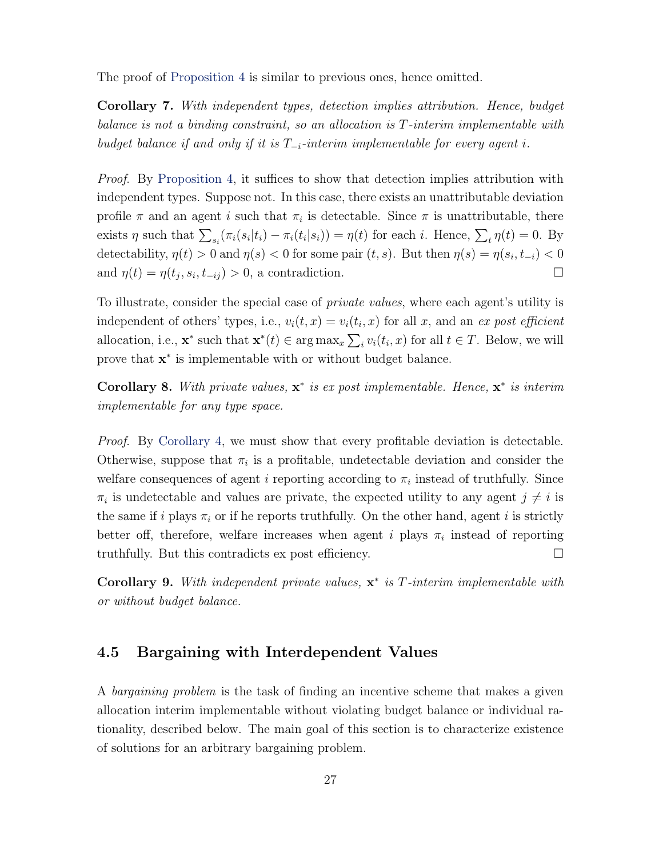The proof of [Proposition 4](#page-25-1) is similar to previous ones, hence omitted.

Corollary 7. With independent types, detection implies attribution. Hence, budget balance is not a binding constraint, so an allocation is T-interim implementable with budget balance if and only if it is  $T_{-i}$ -interim implementable for every agent i.

Proof. By [Proposition 4,](#page-25-1) it suffices to show that detection implies attribution with independent types. Suppose not. In this case, there exists an unattributable deviation profile  $\pi$  and an agent *i* such that  $\pi_i$  is detectable. Since  $\pi$  is unattributable, there exists  $\eta$  such that  $\sum_{s_i} (\pi_i(s_i|t_i) - \pi_i(t_i|s_i)) = \eta(t)$  for each i. Hence,  $\sum_t \eta(t) = 0$ . By detectability,  $\eta(t) > 0$  and  $\eta(s) < 0$  for some pair  $(t, s)$ . But then  $\eta(s) = \eta(s_i, t_{-i}) < 0$ and  $\eta(t) = \eta(t_j, s_i, t_{-ij}) > 0$ , a contradiction.

To illustrate, consider the special case of *private values*, where each agent's utility is independent of others' types, i.e.,  $v_i(t, x) = v_i(t_i, x)$  for all x, and an ex post efficient allocation, i.e.,  $\mathbf{x}^*$  such that  $\mathbf{x}^*(t) \in \arg \max_x \sum_i v_i(t_i, x)$  for all  $t \in T$ . Below, we will prove that  $x^*$  is implementable with or without budget balance.

Corollary 8. With private values,  $x^*$  is expost implementable. Hence,  $x^*$  is interim implementable for any type space.

*Proof.* By [Corollary 4,](#page-10-0) we must show that every profitable deviation is detectable. Otherwise, suppose that  $\pi_i$  is a profitable, undetectable deviation and consider the welfare consequences of agent *i* reporting according to  $\pi_i$  instead of truthfully. Since  $\pi_i$  is undetectable and values are private, the expected utility to any agent  $j \neq i$  is the same if i plays  $\pi_i$  or if he reports truthfully. On the other hand, agent i is strictly better off, therefore, welfare increases when agent i plays  $\pi_i$  instead of reporting truthfully. But this contradicts ex post efficiency.  $\Box$ 

Corollary 9. With independent private values,  $x^*$  is T-interim implementable with or without budget balance.

#### 4.5 Bargaining with Interdependent Values

A bargaining problem is the task of finding an incentive scheme that makes a given allocation interim implementable without violating budget balance or individual rationality, described below. The main goal of this section is to characterize existence of solutions for an arbitrary bargaining problem.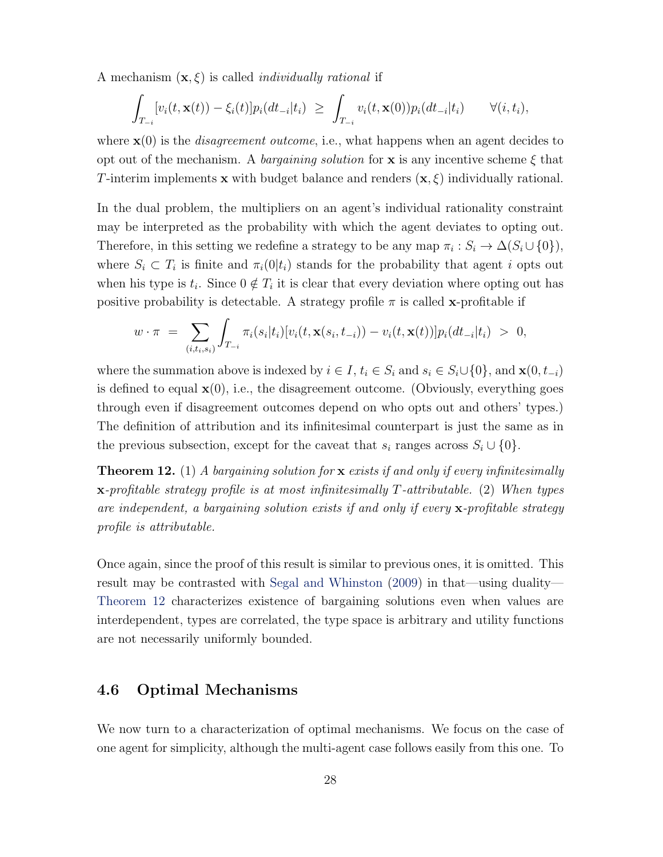<span id="page-27-1"></span>A mechanism  $(\mathbf{x}, \xi)$  is called *individually rational* if

$$
\int_{T_{-i}} [v_i(t, \mathbf{x}(t)) - \xi_i(t)] p_i(dt_{-i}|t_i) \geq \int_{T_{-i}} v_i(t, \mathbf{x}(0)) p_i(dt_{-i}|t_i) \qquad \forall (i, t_i),
$$

where  $\mathbf{x}(0)$  is the *disagreement outcome*, i.e., what happens when an agent decides to opt out of the mechanism. A *bargaining solution* for **x** is any incentive scheme  $\xi$  that T-interim implements x with budget balance and renders  $(x, \xi)$  individually rational.

In the dual problem, the multipliers on an agent's individual rationality constraint may be interpreted as the probability with which the agent deviates to opting out. Therefore, in this setting we redefine a strategy to be any map  $\pi_i : S_i \to \Delta(S_i \cup \{0\}),$ where  $S_i \subset T_i$  is finite and  $\pi_i(0|t_i)$  stands for the probability that agent i opts out when his type is  $t_i$ . Since  $0 \notin T_i$  it is clear that every deviation where opting out has positive probability is detectable. A strategy profile  $\pi$  is called x-profitable if

$$
w \cdot \pi = \sum_{(i,t_i,s_i)} \int_{T_{-i}} \pi_i(s_i|t_i) [v_i(t, \mathbf{x}(s_i, t_{-i})) - v_i(t, \mathbf{x}(t))] p_i(dt_{-i}|t_i) > 0,
$$

where the summation above is indexed by  $i \in I$ ,  $t_i \in S_i$  and  $s_i \in S_i \cup \{0\}$ , and  $\mathbf{x}(0, t_{-i})$ is defined to equal  $\mathbf{x}(0)$ , i.e., the disagreement outcome. (Obviously, everything goes through even if disagreement outcomes depend on who opts out and others' types.) The definition of attribution and its infinitesimal counterpart is just the same as in the previous subsection, except for the caveat that  $s_i$  ranges across  $S_i \cup \{0\}$ .

<span id="page-27-0"></span>**Theorem 12.** (1) A bargaining solution for **x** exists if and only if every infinitesimally x-profitable strategy profile is at most infinitesimally T-attributable. (2) When types are independent, a bargaining solution exists if and only if every  $\mathbf x$ -profitable strategy profile is attributable.

Once again, since the proof of this result is similar to previous ones, it is omitted. This result may be contrasted with [Segal and Whinston](#page-47-9) [\(2009\)](#page-47-9) in that—using duality— [Theorem 12](#page-27-0) characterizes existence of bargaining solutions even when values are interdependent, types are correlated, the type space is arbitrary and utility functions are not necessarily uniformly bounded.

#### 4.6 Optimal Mechanisms

We now turn to a characterization of optimal mechanisms. We focus on the case of one agent for simplicity, although the multi-agent case follows easily from this one. To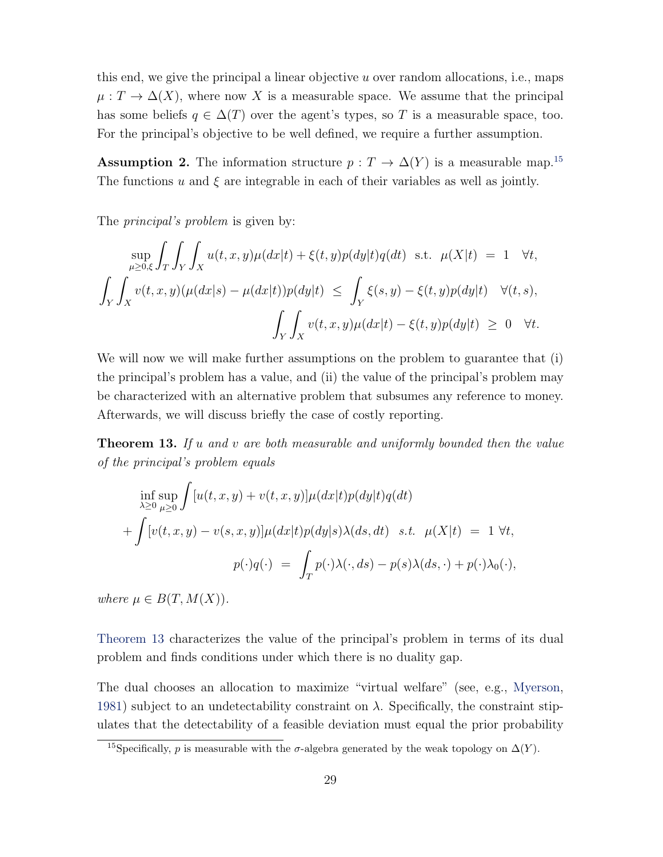<span id="page-28-2"></span>this end, we give the principal a linear objective  $u$  over random allocations, i.e., maps  $\mu: T \to \Delta(X)$ , where now X is a measurable space. We assume that the principal has some beliefs  $q \in \Delta(T)$  over the agent's types, so T is a measurable space, too. For the principal's objective to be well defined, we require a further assumption.

**Assumption 2.** The information structure  $p: T \to \Delta(Y)$  is a measurable map.<sup>[15](#page-28-0)</sup> The functions u and  $\xi$  are integrable in each of their variables as well as jointly.

The *principal's problem* is given by:

$$
\sup_{\mu \geq 0,\xi} \int_{T} \int_{Y} \int_{X} u(t,x,y) \mu(dx|t) + \xi(t,y) p(dy|t) q(dt) \text{ s.t. } \mu(X|t) = 1 \quad \forall t,
$$
  

$$
\int_{Y} \int_{X} v(t,x,y) (\mu(dx|s) - \mu(dx|t)) p(dy|t) \leq \int_{Y} \xi(s,y) - \xi(t,y) p(dy|t) \quad \forall (t,s),
$$
  

$$
\int_{Y} \int_{X} v(t,x,y) \mu(dx|t) - \xi(t,y) p(dy|t) \geq 0 \quad \forall t.
$$

We will now we will make further assumptions on the problem to guarantee that (i) the principal's problem has a value, and (ii) the value of the principal's problem may be characterized with an alternative problem that subsumes any reference to money. Afterwards, we will discuss briefly the case of costly reporting.

<span id="page-28-1"></span>**Theorem 13.** If  $u$  and  $v$  are both measurable and uniformly bounded then the value of the principal's problem equals

$$
\inf_{\lambda \ge 0} \sup_{\mu \ge 0} \int [u(t, x, y) + v(t, x, y)] \mu(dx|t) p(dy|t) q(dt)
$$
  
+ 
$$
\int [v(t, x, y) - v(s, x, y)] \mu(dx|t) p(dy|s) \lambda(ds, dt) \quad s.t. \quad \mu(X|t) = 1 \ \forall t,
$$
  

$$
p(\cdot)q(\cdot) = \int_T p(\cdot) \lambda(\cdot, ds) - p(s) \lambda(ds, \cdot) + p(\cdot) \lambda_0(\cdot),
$$

where  $\mu \in B(T, M(X))$ .

[Theorem 13](#page-28-1) characterizes the value of the principal's problem in terms of its dual problem and finds conditions under which there is no duality gap.

The dual chooses an allocation to maximize "virtual welfare" (see, e.g., [Myerson,](#page-47-10) [1981\)](#page-47-10) subject to an undetectability constraint on  $\lambda$ . Specifically, the constraint stipulates that the detectability of a feasible deviation must equal the prior probability

<span id="page-28-0"></span><sup>&</sup>lt;sup>15</sup>Specifically, p is measurable with the  $\sigma$ -algebra generated by the weak topology on  $\Delta(Y)$ .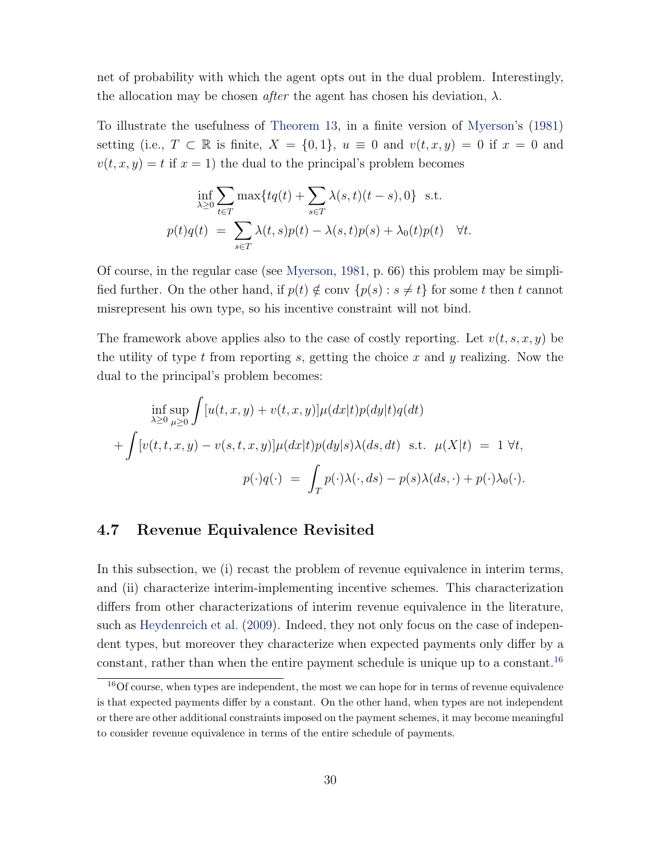<span id="page-29-2"></span>net of probability with which the agent opts out in the dual problem. Interestingly, the allocation may be chosen *after* the agent has chosen his deviation,  $\lambda$ .

To illustrate the usefulness of [Theorem 13,](#page-28-1) in a finite version of [Myerson'](#page-47-10)s [\(1981\)](#page-47-10) setting (i.e.,  $T \subset \mathbb{R}$  is finite,  $X = \{0, 1\}$ ,  $u \equiv 0$  and  $v(t, x, y) = 0$  if  $x = 0$  and  $v(t, x, y) = t$  if  $x = 1$ ) the dual to the principal's problem becomes

$$
\inf_{\lambda \ge 0} \sum_{t \in T} \max\{tq(t) + \sum_{s \in T} \lambda(s, t)(t - s), 0\} \text{ s.t.}
$$

$$
p(t)q(t) = \sum_{s \in T} \lambda(t, s)p(t) - \lambda(s, t)p(s) + \lambda_0(t)p(t) \quad \forall t.
$$

Of course, in the regular case (see [Myerson,](#page-47-10) [1981,](#page-47-10) p. 66) this problem may be simplified further. On the other hand, if  $p(t) \notin \text{conv } \{p(s) : s \neq t\}$  for some t then t cannot misrepresent his own type, so his incentive constraint will not bind.

The framework above applies also to the case of costly reporting. Let  $v(t, s, x, y)$  be the utility of type t from reporting s, getting the choice x and y realizing. Now the dual to the principal's problem becomes:

$$
\inf_{\lambda \ge 0} \sup_{\mu \ge 0} \int [u(t, x, y) + v(t, x, y)] \mu(dx|t) p(dy|t) q(dt)
$$
  
+ 
$$
\int [v(t, t, x, y) - v(s, t, x, y)] \mu(dx|t) p(dy|s) \lambda(ds, dt) \text{ s.t. } \mu(X|t) = 1 \forall t,
$$
  

$$
p(\cdot)q(\cdot) = \int_T p(\cdot) \lambda(\cdot, ds) - p(s) \lambda(ds, \cdot) + p(\cdot) \lambda_0(\cdot).
$$

#### <span id="page-29-0"></span>4.7 Revenue Equivalence Revisited

In this subsection, we (i) recast the problem of revenue equivalence in interim terms, and (ii) characterize interim-implementing incentive schemes. This characterization differs from other characterizations of interim revenue equivalence in the literature, such as [Heydenreich et al.](#page-47-1) [\(2009\)](#page-47-1). Indeed, they not only focus on the case of independent types, but moreover they characterize when expected payments only differ by a constant, rather than when the entire payment schedule is unique up to a constant.<sup>[16](#page-29-1)</sup>

<span id="page-29-1"></span><sup>&</sup>lt;sup>16</sup>Of course, when types are independent, the most we can hope for in terms of revenue equivalence is that expected payments differ by a constant. On the other hand, when types are not independent or there are other additional constraints imposed on the payment schemes, it may become meaningful to consider revenue equivalence in terms of the entire schedule of payments.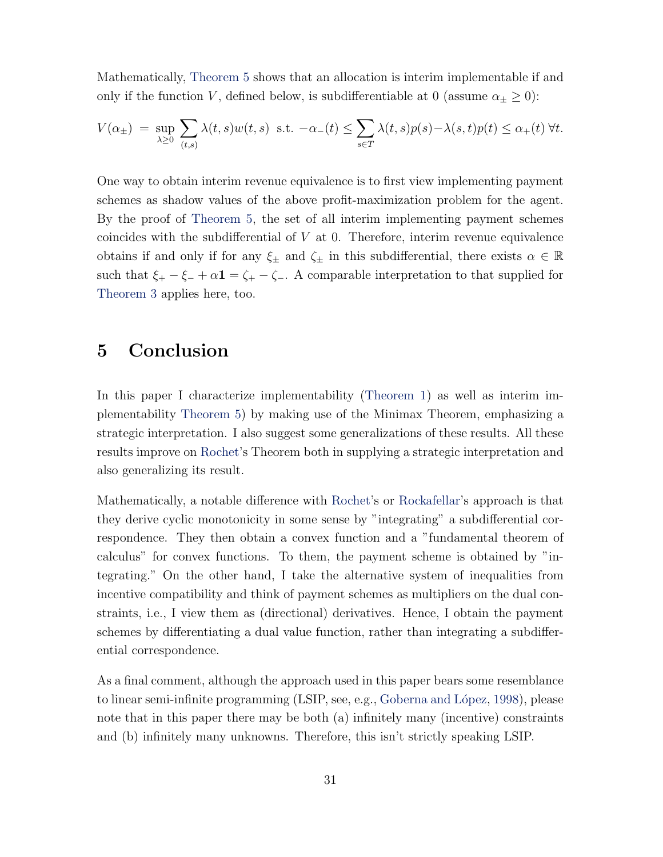<span id="page-30-0"></span>Mathematically, [Theorem 5](#page-13-0) shows that an allocation is interim implementable if and only if the function V, defined below, is subdifferentiable at 0 (assume  $\alpha_{\pm} \geq 0$ ):

$$
V(\alpha_{\pm}) = \sup_{\lambda \ge 0} \sum_{(t,s)} \lambda(t,s) w(t,s) \text{ s.t. } -\alpha_{-}(t) \le \sum_{s \in T} \lambda(t,s) p(s) - \lambda(s,t) p(t) \le \alpha_{+}(t) \ \forall t.
$$

One way to obtain interim revenue equivalence is to first view implementing payment schemes as shadow values of the above profit-maximization problem for the agent. By the proof of [Theorem 5,](#page-13-0) the set of all interim implementing payment schemes coincides with the subdifferential of  $V$  at 0. Therefore, interim revenue equivalence obtains if and only if for any  $\xi_{\pm}$  and  $\zeta_{\pm}$  in this subdifferential, there exists  $\alpha \in \mathbb{R}$ such that  $\xi_+ - \xi_- + \alpha \mathbf{1} = \zeta_+ - \zeta_-$ . A comparable interpretation to that supplied for [Theorem 3](#page-8-2) applies here, too.

### 5 Conclusion

In this paper I characterize implementability [\(Theorem 1\)](#page-4-0) as well as interim implementability [Theorem 5\)](#page-13-0) by making use of the Minimax Theorem, emphasizing a strategic interpretation. I also suggest some generalizations of these results. All these results improve on [Rochet'](#page-47-0)s Theorem both in supplying a strategic interpretation and also generalizing its result.

Mathematically, a notable difference with [Rochet'](#page-47-0)s or [Rockafellar'](#page-47-6)s approach is that they derive cyclic monotonicity in some sense by "integrating" a subdifferential correspondence. They then obtain a convex function and a "fundamental theorem of calculus" for convex functions. To them, the payment scheme is obtained by "integrating." On the other hand, I take the alternative system of inequalities from incentive compatibility and think of payment schemes as multipliers on the dual constraints, i.e., I view them as (directional) derivatives. Hence, I obtain the payment schemes by differentiating a dual value function, rather than integrating a subdifferential correspondence.

As a final comment, although the approach used in this paper bears some resemblance to linear semi-infinite programming (LSIP, see, e.g., Goberna and López, [1998\)](#page-47-11), please note that in this paper there may be both (a) infinitely many (incentive) constraints and (b) infinitely many unknowns. Therefore, this isn't strictly speaking LSIP.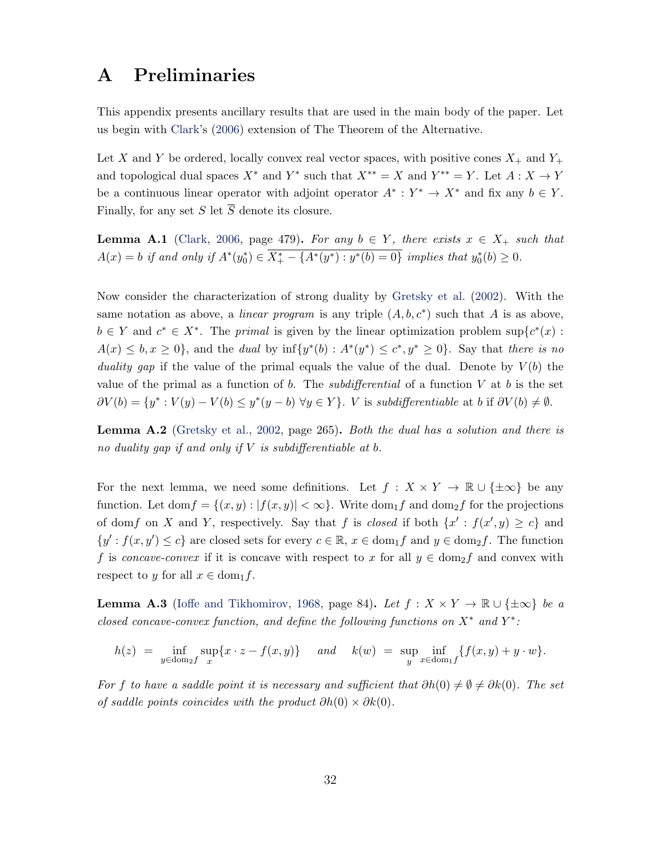## <span id="page-31-3"></span><span id="page-31-1"></span>A Preliminaries

This appendix presents ancillary results that are used in the main body of the paper. Let us begin with [Clark'](#page-46-4)s [\(2006\)](#page-46-4) extension of The Theorem of the Alternative.

Let X and Y be ordered, locally convex real vector spaces, with positive cones  $X_+$  and  $Y_+$ and topological dual spaces  $X^*$  and  $Y^*$  such that  $X^{**} = X$  and  $Y^{**} = Y$ . Let  $A: X \to Y$ be a continuous linear operator with adjoint operator  $A^*: Y^* \to X^*$  and fix any  $b \in Y$ . Finally, for any set S let  $\overline{S}$  denote its closure.

<span id="page-31-0"></span>**Lemma A.1** [\(Clark,](#page-46-4) [2006,](#page-46-4) page 479). For any  $b \in Y$ , there exists  $x \in X_+$  such that  $A(x) = b$  if and only if  $A^*(y_0^*) \in \overline{X_+^* - \{A^*(y^*) : y^*(b) = 0\}}$  implies that  $y_0^*(b) \ge 0$ .

Now consider the characterization of strong duality by [Gretsky et al.](#page-47-12) [\(2002\)](#page-47-12). With the same notation as above, a *linear program* is any triple  $(A, b, c^*)$  such that A is as above,  $b \in Y$  and  $c^* \in X^*$ . The *primal* is given by the linear optimization problem sup $\{c^*(x):$  $A(x) \leq b, x \geq 0$ , and the *dual* by  $\inf \{y^*(b) : A^*(y^*) \leq c^*, y^* \geq 0\}$ . Say that *there is no* duality gap if the value of the primal equals the value of the dual. Denote by  $V(b)$  the value of the primal as a function of b. The *subdifferential* of a function V at b is the set  $\partial V(b) = \{y^* : V(y) - V(b) \leq y^*(y - b) \,\forall y \in Y\}.$  V is subdifferentiable at b if  $\partial V(b) \neq \emptyset$ .

Lemma A.2 [\(Gretsky et al.,](#page-47-12) [2002,](#page-47-12) page 265). Both the dual has a solution and there is no duality gap if and only if  $V$  is subdifferentiable at b.

For the next lemma, we need some definitions. Let  $f: X \times Y \to \mathbb{R} \cup \{\pm \infty\}$  be any function. Let  $\text{dom} f = \{(x, y) : |f(x, y)| < \infty\}$ . Write  $\text{dom}_1 f$  and  $\text{dom}_2 f$  for the projections of domf on X and Y, respectively. Say that f is *closed* if both  $\{x': f(x', y) \ge c\}$  and  $\{y': f(x, y') \leq c\}$  are closed sets for every  $c \in \mathbb{R}$ ,  $x \in \text{dom}_1 f$  and  $y \in \text{dom}_2 f$ . The function f is concave-convex if it is concave with respect to x for all  $y \in \text{dom}_2 f$  and convex with respect to y for all  $x \in \text{dom}_1 f$ .

<span id="page-31-2"></span>**Lemma A.3** [\(Ioffe and Tikhomirov,](#page-47-13) [1968,](#page-47-13) page 84). Let  $f : X \times Y \to \mathbb{R} \cup \{\pm \infty\}$  be a closed concave-convex function, and define the following functions on  $X^*$  and  $Y^*$ :

$$
h(z) = \inf_{y \in \text{dom}_2 f} \sup_x \{x \cdot z - f(x, y)\} \quad \text{and} \quad k(w) = \sup_y \inf_{x \in \text{dom}_1 f} \{f(x, y) + y \cdot w\}.
$$

For f to have a saddle point it is necessary and sufficient that  $\partial h(0) \neq \emptyset \neq \partial k(0)$ . The set of saddle points coincides with the product  $\partial h(0) \times \partial k(0)$ .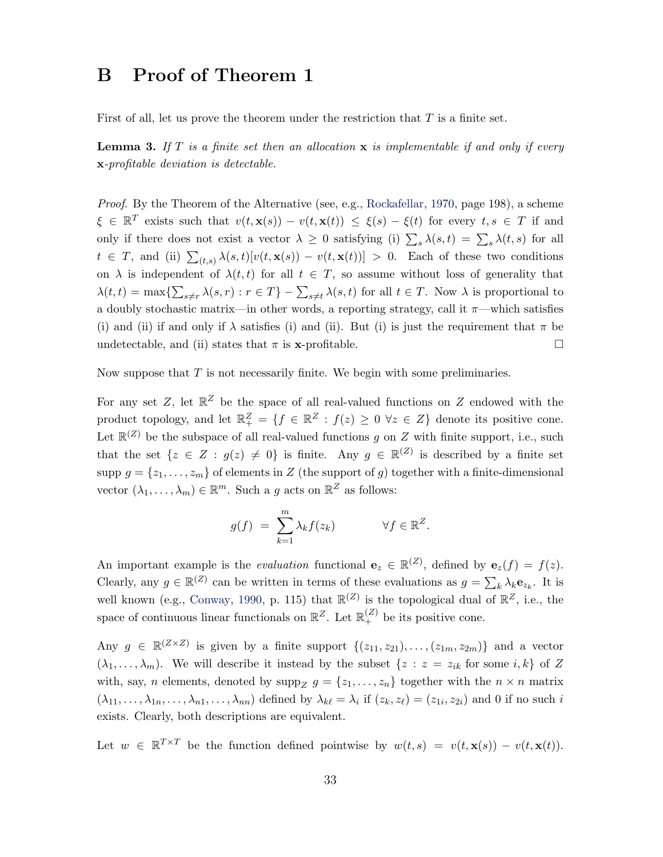## <span id="page-32-2"></span><span id="page-32-0"></span>B Proof of Theorem 1

First of all, let us prove the theorem under the restriction that  $T$  is a finite set.

<span id="page-32-1"></span>**Lemma 3.** If T is a finite set then an allocation  $x$  is implementable if and only if every x-profitable deviation is detectable.

Proof. By the Theorem of the Alternative (see, e.g., [Rockafellar,](#page-47-6) [1970,](#page-47-6) page 198), a scheme  $\xi \in \mathbb{R}^T$  exists such that  $v(t, \mathbf{x}(s)) - v(t, \mathbf{x}(t)) \leq \xi(s) - \xi(t)$  for every  $t, s \in T$  if and only if there does not exist a vector  $\lambda \geq 0$  satisfying (i)  $\sum_s \lambda(s,t) = \sum_s \lambda(t,s)$  for all  $t \in T$ , and (ii)  $\sum_{(t,s)} \lambda(s,t)[v(t,\mathbf{x}(s)) - v(t,\mathbf{x}(t))] > 0$ . Each of these two conditions on  $\lambda$  is independent of  $\lambda(t, t)$  for all  $t \in T$ , so assume without loss of generality that  $\lambda(t,t) = \max\{\sum_{s\neq r} \lambda(s,r) : r \in T\} - \sum_{s\neq t} \lambda(s,t)$  for all  $t \in T$ . Now  $\lambda$  is proportional to a doubly stochastic matrix—in other words, a reporting strategy, call it  $\pi$ —which satisfies (i) and (ii) if and only if  $\lambda$  satisfies (i) and (ii). But (i) is just the requirement that  $\pi$  be undetectable, and (ii) states that  $\pi$  is **x**-profitable.  $\Box$ 

Now suppose that  $T$  is not necessarily finite. We begin with some preliminaries.

For any set Z, let  $\mathbb{R}^Z$  be the space of all real-valued functions on Z endowed with the product topology, and let  $\mathbb{R}^Z_+ = \{f \in \mathbb{R}^Z : f(z) \geq 0 \ \forall z \in Z\}$  denote its positive cone. Let  $\mathbb{R}^{(Z)}$  be the subspace of all real-valued functions g on Z with finite support, i.e., such that the set  $\{z \in Z : g(z) \neq 0\}$  is finite. Any  $g \in \mathbb{R}^{(Z)}$  is described by a finite set supp  $g = \{z_1, \ldots, z_m\}$  of elements in Z (the support of g) together with a finite-dimensional vector  $(\lambda_1, \ldots, \lambda_m) \in \mathbb{R}^m$ . Such a g acts on  $\mathbb{R}^Z$  as follows:

$$
g(f) = \sum_{k=1}^{m} \lambda_k f(z_k) \qquad \forall f \in \mathbb{R}^Z.
$$

An important example is the *evaluation* functional  $\mathbf{e}_z \in \mathbb{R}^{(Z)}$ , defined by  $\mathbf{e}_z(f) = f(z)$ . Clearly, any  $g \in \mathbb{R}^{(Z)}$  can be written in terms of these evaluations as  $g = \sum_k \lambda_k \mathbf{e}_{z_k}$ . It is well known (e.g., [Conway,](#page-46-5) [1990,](#page-46-5) p. 115) that  $\mathbb{R}^{(Z)}$  is the topological dual of  $\mathbb{R}^{Z}$ , i.e., the space of continuous linear functionals on  $\mathbb{R}^Z$ . Let  $\mathbb{R}^{(Z)}_+$  be its positive cone.

Any  $g \in \mathbb{R}^{(\mathbb{Z} \times \mathbb{Z})}$  is given by a finite support  $\{(z_{11}, z_{21}), \ldots, (z_{1m}, z_{2m})\}$  and a vector  $(\lambda_1, \ldots, \lambda_m)$ . We will describe it instead by the subset  $\{z : z = z_{ik} \text{ for some } i, k\}$  of Z with, say, n elements, denoted by  $\text{supp}_Z g = \{z_1, \ldots, z_n\}$  together with the  $n \times n$  matrix  $(\lambda_{11},\ldots,\lambda_{1n},\ldots,\lambda_{n1},\ldots,\lambda_{nn})$  defined by  $\lambda_{k\ell} = \lambda_i$  if  $(z_k, z_{\ell}) = (z_{1i}, z_{2i})$  and 0 if no such i exists. Clearly, both descriptions are equivalent.

Let  $w \in \mathbb{R}^{T \times T}$  be the function defined pointwise by  $w(t,s) = v(t,\mathbf{x}(s)) - v(t,\mathbf{x}(t)).$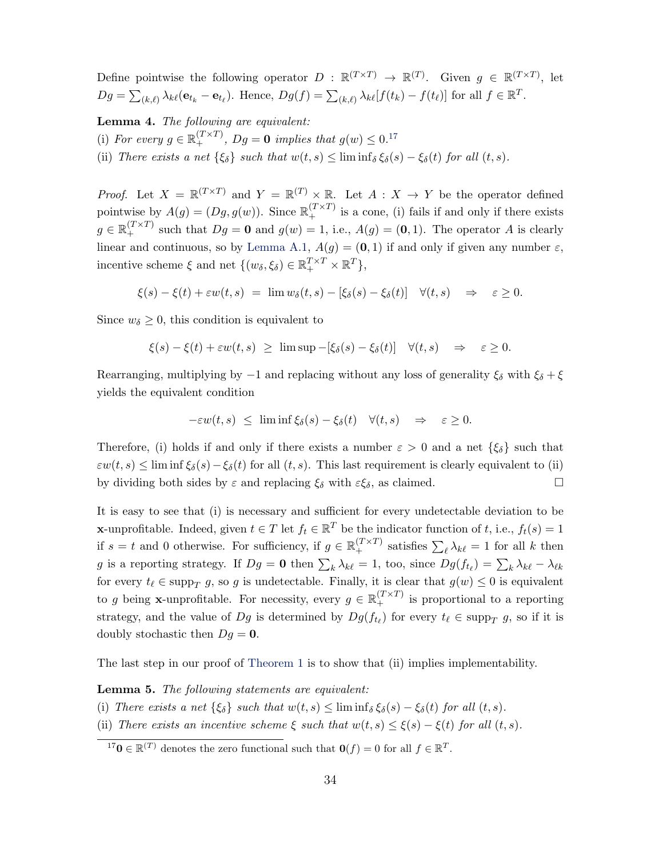Define pointwise the following operator  $D : \mathbb{R}^{(T \times T)} \to \mathbb{R}^{(T)}$ . Given  $g \in \mathbb{R}^{(T \times T)}$ , let  $Dg = \sum_{(k,\ell)} \lambda_{k\ell} (\mathbf{e}_{t_k} - \mathbf{e}_{t_\ell}).$  Hence,  $Dg(f) = \sum_{(k,\ell)} \lambda_{k\ell} [f(t_k) - f(t_\ell)]$  for all  $f \in \mathbb{R}^T$ .

<span id="page-33-1"></span>Lemma 4. The following are equivalent: (i) For every  $g \in \mathbb{R}_+^{(T \times T)}$ ,  $Dg = \mathbf{0}$  implies that  $g(w) \leq 0$ .<sup>[17](#page-33-0)</sup> (ii) There exists a net  $\{\xi_{\delta}\}\$  such that  $w(t, s) \leq \liminf_{\delta \xi_{\delta}} \xi_{\delta}(s) - \xi_{\delta}(t)$  for all  $(t, s)$ .

*Proof.* Let  $X = \mathbb{R}^{(T \times T)}$  and  $Y = \mathbb{R}^{(T)} \times \mathbb{R}$ . Let  $A : X \to Y$  be the operator defined pointwise by  $A(g) = (Dg, g(w))$ . Since  $\mathbb{R}^{(T \times T)}_+$  is a cone, (i) fails if and only if there exists  $g \in \mathbb{R}_+^{(T \times T)}$  such that  $Dg = \mathbf{0}$  and  $g(w) = 1$ , i.e.,  $A(g) = (\mathbf{0}, 1)$ . The operator A is clearly linear and continuous, so by [Lemma A.1,](#page-31-0)  $A(q) = (0, 1)$  if and only if given any number  $\varepsilon$ , incentive scheme  $\xi$  and net  $\{(w_\delta, \xi_\delta) \in \mathbb{R}_+^{T \times T} \times \mathbb{R}^T\},$ 

$$
\xi(s)-\xi(t)+\varepsilon w(t,s) ~=~ \lim w_\delta(t,s)-[\xi_\delta(s)-\xi_\delta(t)]\quad\forall (t,s)\quad\Rightarrow\quad \varepsilon\geq 0.
$$

Since  $w_{\delta} \geq 0$ , this condition is equivalent to

$$
\xi(s) - \xi(t) + \varepsilon w(t, s) \geq \limsup -[\xi_{\delta}(s) - \xi_{\delta}(t)] \quad \forall (t, s) \quad \Rightarrow \quad \varepsilon \geq 0.
$$

Rearranging, multiplying by  $-1$  and replacing without any loss of generality  $\xi_{\delta}$  with  $\xi_{\delta} + \xi$ yields the equivalent condition

$$
-\varepsilon w(t,s) \leq \liminf \xi_{\delta}(s) - \xi_{\delta}(t) \quad \forall (t,s) \quad \Rightarrow \quad \varepsilon \geq 0.
$$

Therefore, (i) holds if and only if there exists a number  $\varepsilon > 0$  and a net  $\{\xi_{\delta}\}\$  such that  $\varepsilon w(t,s) \leq \liminf \xi_{\delta}(s) - \xi_{\delta}(t)$  for all  $(t,s)$ . This last requirement is clearly equivalent to (ii) by dividing both sides by  $\varepsilon$  and replacing  $\xi_{\delta}$  with  $\varepsilon \xi_{\delta}$ , as claimed.

It is easy to see that (i) is necessary and sufficient for every undetectable deviation to be **x**-unprofitable. Indeed, given  $t \in T$  let  $f_t \in \mathbb{R}^T$  be the indicator function of t, i.e.,  $f_t(s) = 1$ if  $s = t$  and 0 otherwise. For sufficiency, if  $g \in \mathbb{R}_+^{(T \times T)}$  satisfies  $\sum_{\ell} \lambda_{k\ell} = 1$  for all k then g is a reporting strategy. If  $Dg = \mathbf{0}$  then  $\sum_k \lambda_{k\ell} = 1$ , too, since  $Dg(f_{t_\ell}) = \sum_k \lambda_{k\ell} - \lambda_{\ell k}$ for every  $t_\ell \in \text{supp}_T g$ , so g is undetectable. Finally, it is clear that  $g(w) \leq 0$  is equivalent to g being **x**-unprofitable. For necessity, every  $g \in \mathbb{R}_+^{(T \times T)}$  is proportional to a reporting strategy, and the value of  $Dg$  is determined by  $Dg(f_{t_\ell})$  for every  $t_\ell \in \text{supp}_T g$ , so if it is doubly stochastic then  $Dg = 0$ .

The last step in our proof of [Theorem 1](#page-4-0) is to show that (ii) implies implementability.

<span id="page-33-2"></span>**Lemma 5.** The following statements are equivalent:

- (i) There exists a net  $\{\xi_{\delta}\}\$  such that  $w(t, s) \leq \liminf_{\delta} \xi_{\delta}(s) \xi_{\delta}(t)$  for all  $(t, s)$ .
- (ii) There exists an incentive scheme  $\xi$  such that  $w(t, s) \leq \xi(s) \xi(t)$  for all  $(t, s)$ .

<span id="page-33-0"></span><sup>&</sup>lt;sup>17</sup>**0**  $\in \mathbb{R}^{(T)}$  denotes the zero functional such that **0**(*f*) = 0 for all  $f \in \mathbb{R}^{T}$ .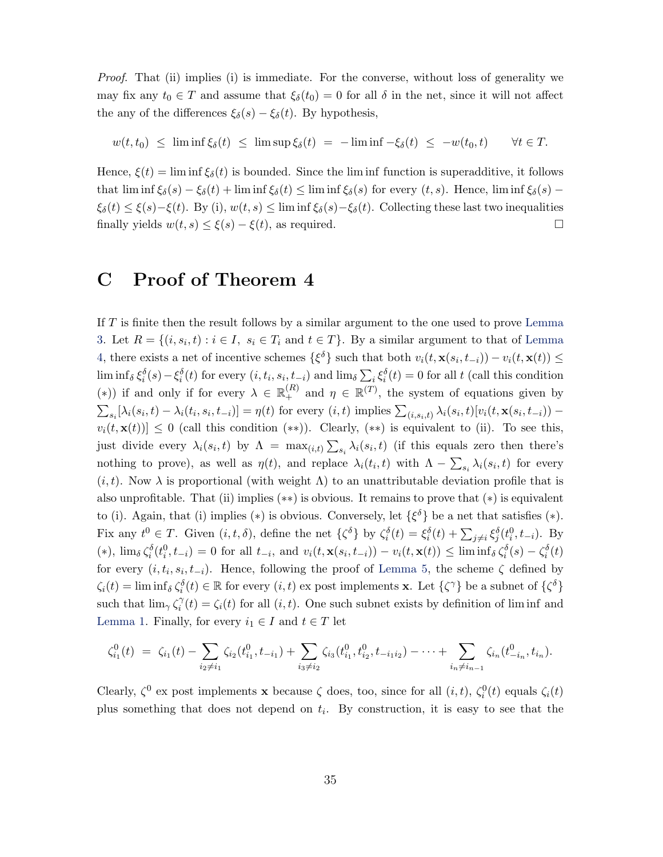Proof. That (ii) implies (i) is immediate. For the converse, without loss of generality we may fix any  $t_0 \in T$  and assume that  $\xi_\delta(t_0) = 0$  for all  $\delta$  in the net, since it will not affect the any of the differences  $\xi_{\delta}(s) - \xi_{\delta}(t)$ . By hypothesis,

$$
w(t,t_0) \leq \liminf \xi_\delta(t) \leq \limsup \xi_\delta(t) = -\liminf -\xi_\delta(t) \leq -w(t_0,t) \quad \forall t \in T.
$$

Hence,  $\xi(t) = \liminf \xi_{\delta}(t)$  is bounded. Since the limit function is superadditive, it follows that lim inf  $\xi_{\delta}(s) - \xi_{\delta}(t) + \liminf \xi_{\delta}(t) \leq \liminf \xi_{\delta}(s)$  for every  $(t, s)$ . Hence, lim inf  $\xi_{\delta}(s)$  –  $\xi_{\delta}(t) \leq \xi(s) - \xi(t)$ . By (i),  $w(t, s) \leq \liminf \xi_{\delta}(s) - \xi_{\delta}(t)$ . Collecting these last two inequalities finally yields  $w(t, s) \leq \xi(s) - \xi(t)$ , as required.

### C Proof of Theorem 4

If T is finite then the result follows by a similar argument to the one used to prove [Lemma](#page-32-1) [3.](#page-32-1) Let  $R = \{(i, s_i, t) : i \in I, s_i \in T_i \text{ and } t \in T\}$ . By a similar argument to that of [Lemma](#page-33-1) [4,](#page-33-1) there exists a net of incentive schemes  $\{\xi^{\delta}\}\$  such that both  $v_i(t, \mathbf{x}(s_i, t_{-i})) - v_i(t, \mathbf{x}(t)) \leq$  $\liminf_{\delta} \xi_i^{\delta}(s) - \xi_i^{\delta}(t)$  for every  $(i, t_i, s_i, t_{-i})$  and  $\lim_{\delta} \sum_i \xi_i^{\delta}(t) = 0$  for all t (call this condition (\*)) if and only if for every  $\lambda \in \mathbb{R}_+^{(R)}$  and  $\eta \in \mathbb{R}^{(T)}$ , the system of equations given by  $\sum_{s_i} [\lambda_i(s_i, t) - \lambda_i(t_i, s_i, t_{-i})] = \eta(t)$  for every  $(i, t)$  implies  $\sum_{(i, s_i, t)} \lambda_i(s_i, t)[v_i(t, \mathbf{x}(s_i, t_{-i}))$  $v_i(t, \mathbf{x}(t)) \leq 0$  (call this condition (\*\*)). Clearly, (\*\*) is equivalent to (ii). To see this, just divide every  $\lambda_i(s_i, t)$  by  $\Lambda = \max_{(i,t)} \sum_{s_i} \lambda_i(s_i, t)$  (if this equals zero then there's nothing to prove), as well as  $\eta(t)$ , and replace  $\lambda_i(t_i, t)$  with  $\Lambda - \sum_{s_i} \lambda_i(s_i, t)$  for every  $(i, t)$ . Now  $\lambda$  is proportional (with weight  $\Lambda$ ) to an unattributable deviation profile that is also unprofitable. That (ii) implies (∗∗) is obvious. It remains to prove that (∗) is equivalent to (i). Again, that (i) implies (\*) is obvious. Conversely, let  $\{\xi^{\delta}\}\$ be a net that satisfies (\*). Fix any  $t^0 \in T$ . Given  $(i, t, \delta)$ , define the net  $\{\zeta^{\delta}\}\$  by  $\zeta_i^{\delta}(t) = \xi_i^{\delta}(t) + \sum_{j \neq i} \xi_j^{\delta}(t_i^0, t_{-i})$ . By  $(*)$ ,  $\lim_{\delta} \zeta_i^{\delta}(t_i^0, t_{-i}) = 0$  for all  $t_{-i}$ , and  $v_i(t, \mathbf{x}(s_i, t_{-i})) - v_i(t, \mathbf{x}(t)) \leq \liminf_{\delta} \zeta_i^{\delta}(s) - \zeta_i^{\delta}(t)$ for every  $(i, t_i, s_i, t_{-i})$ . Hence, following the proof of [Lemma 5,](#page-33-2) the scheme  $\zeta$  defined by  $\zeta_i(t) = \liminf_{\delta} \zeta_i^{\delta}(t) \in \mathbb{R}$  for every  $(i, t)$  ex post implements **x**. Let  $\{\zeta^{\gamma}\}\$  be a subnet of  $\{\zeta^{\delta}\}\$ such that  $\lim_{\gamma} \zeta_i^{\gamma}$  $\hat{f}_i(t) = \zeta_i(t)$  for all  $(i, t)$ . One such subnet exists by definition of lim inf and [Lemma 1.](#page-7-0) Finally, for every  $i_1 \in I$  and  $t \in T$  let

$$
\zeta_{i_1}^0(t) = \zeta_{i_1}(t) - \sum_{i_2 \neq i_1} \zeta_{i_2}(t_{i_1}^0, t_{-i_1}) + \sum_{i_3 \neq i_2} \zeta_{i_3}(t_{i_1}^0, t_{i_2}^0, t_{-i_1 i_2}) - \cdots + \sum_{i_n \neq i_{n-1}} \zeta_{i_n}(t_{-i_n}^0, t_{i_n}).
$$

Clearly,  $\zeta^0$  ex post implements **x** because  $\zeta$  does, too, since for all  $(i, t)$ ,  $\zeta_i^0(t)$  equals  $\zeta_i(t)$ plus something that does not depend on  $t_i$ . By construction, it is easy to see that the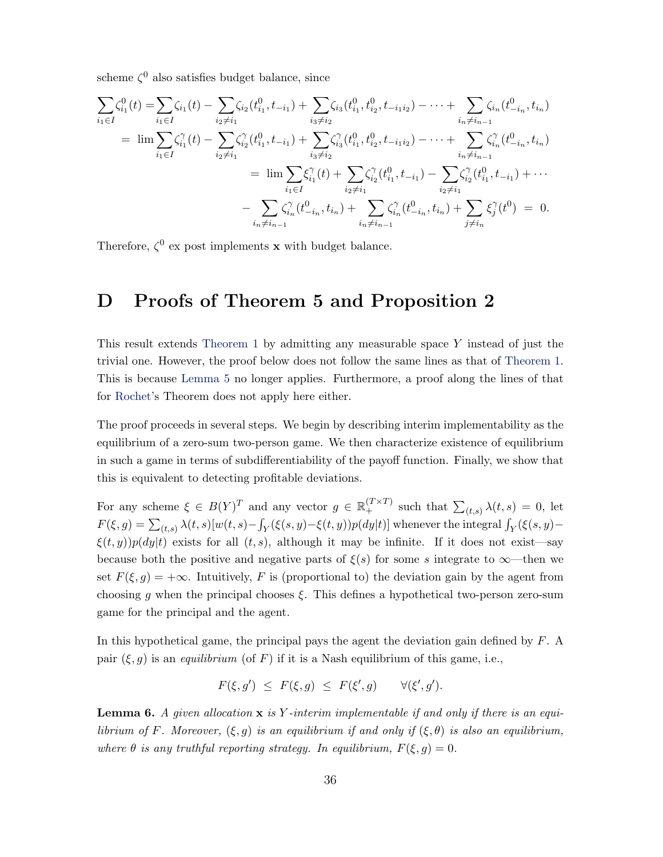<span id="page-35-1"></span>scheme  $\zeta^0$  also satisfies budget balance, since

$$
\sum_{i_1 \in I} \zeta_{i_1}^0(t) = \sum_{i_1 \in I} \zeta_{i_1}(t) - \sum_{i_2 \neq i_1} \zeta_{i_2}(t_{i_1}^0, t_{-i_1}^0) + \sum_{i_3 \neq i_2} \zeta_{i_3}(t_{i_1}^0, t_{i_2}^0, t_{-i_1 i_2}^0) - \dots + \sum_{i_n \neq i_{n-1}} \zeta_{i_n}(t_{-i_n}^0, t_{i_n})
$$
\n
$$
= \lim_{i_1 \in I} \sum_{i_1 \in I} \zeta_{i_1}^{\gamma}(t) - \sum_{i_2 \neq i_1} \zeta_{i_2}^{\gamma}(t_{i_1}^0, t_{-i_1}^0) + \sum_{i_3 \neq i_2} \zeta_{i_3}^{\gamma}(t_{i_1}^0, t_{i_2}^0, t_{-i_1 i_2}^0) - \dots + \sum_{i_n \neq i_{n-1}} \zeta_{i_n}^{\gamma}(t_{-i_n}^0, t_{i_n})
$$
\n
$$
= \lim_{i_1 \in I} \sum_{i_2 \neq i_1} \zeta_{i_1}^{\gamma}(t) + \sum_{i_2 \neq i_1} \zeta_{i_2}^{\gamma}(t_{i_1}^0, t_{-i_1}^0) - \sum_{i_2 \neq i_1} \zeta_{i_2}^{\gamma}(t_{i_1}^0, t_{-i_1}^0) + \dots
$$
\n
$$
- \sum_{i_n \neq i_{n-1}} \zeta_{i_n}^{\gamma}(t_{-i_n}^0, t_{i_n}) + \sum_{i_n \neq i_{n-1}} \zeta_{i_n}^{\gamma}(t_{-i_n}^0, t_{i_n}^0) + \sum_{j \neq i_n} \zeta_{j}^{\gamma}(t_0^0) = 0.
$$

Therefore,  $\zeta^0$  ex post implements **x** with budget balance.

## D Proofs of Theorem 5 and Proposition 2

This result extends [Theorem 1](#page-4-0) by admitting any measurable space Y instead of just the trivial one. However, the proof below does not follow the same lines as that of [Theorem 1.](#page-4-0) This is because [Lemma 5](#page-33-2) no longer applies. Furthermore, a proof along the lines of that for [Rochet'](#page-47-0)s Theorem does not apply here either.

The proof proceeds in several steps. We begin by describing interim implementability as the equilibrium of a zero-sum two-person game. We then characterize existence of equilibrium in such a game in terms of subdifferentiability of the payoff function. Finally, we show that this is equivalent to detecting profitable deviations.

For any scheme  $\xi \in B(Y)^T$  and any vector  $g \in \mathbb{R}_+^{(T \times T)}$  such that  $\sum_{(t,s)} \lambda(t,s) = 0$ , let  $F(\xi, g) = \sum_{(t,s)} \lambda(t,s) [w(t,s) - \int_Y (\xi(s,y) - \xi(t,y)) p(dy|t)]$  whenever the integral  $\int_Y (\xi(s,y) - \xi(t,y)) p(dy|t)$  $\xi(t, y)p(dy|t)$  exists for all  $(t, s)$ , although it may be infinite. If it does not exist—say because both the positive and negative parts of  $\xi(s)$  for some s integrate to  $\infty$ —then we set  $F(\xi, g) = +\infty$ . Intuitively, F is (proportional to) the deviation gain by the agent from choosing g when the principal chooses  $\xi$ . This defines a hypothetical two-person zero-sum game for the principal and the agent.

In this hypothetical game, the principal pays the agent the deviation gain defined by F. A pair  $(\xi, g)$  is an *equilibrium* (of F) if it is a Nash equilibrium of this game, i.e.,

$$
F(\xi, g') \leq F(\xi, g) \leq F(\xi', g) \qquad \forall (\xi', g').
$$

<span id="page-35-0"></span>**Lemma 6.** A given allocation  $x$  is Y-interim implementable if and only if there is an equilibrium of F. Moreover,  $(\xi, g)$  is an equilibrium if and only if  $(\xi, \theta)$  is also an equilibrium, where  $\theta$  is any truthful reporting strategy. In equilibrium,  $F(\xi, g) = 0$ .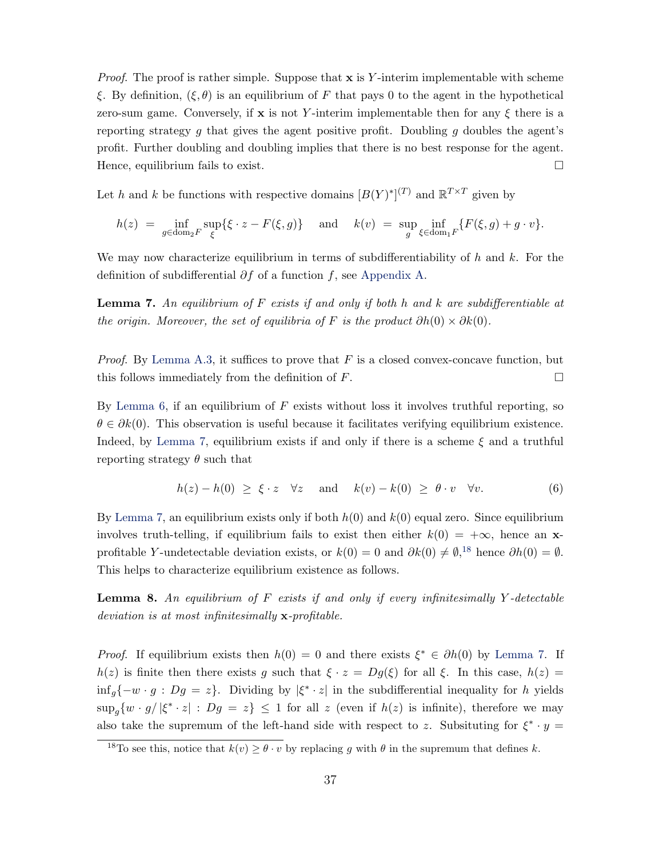*Proof.* The proof is rather simple. Suppose that  $x$  is Y-interim implementable with scheme ξ. By definition,  $(\xi, \theta)$  is an equilibrium of F that pays 0 to the agent in the hypothetical zero-sum game. Conversely, if x is not Y-interim implementable then for any  $\xi$  there is a reporting strategy g that gives the agent positive profit. Doubling g doubles the agent's profit. Further doubling and doubling implies that there is no best response for the agent. Hence, equilibrium fails to exist.

Let h and k be functions with respective domains  $[B(Y)^*]^{(T)}$  and  $\mathbb{R}^{T\times T}$  given by

$$
h(z) = \inf_{g \in \text{dom}_2 F} \sup_{\xi} \{ \xi \cdot z - F(\xi, g) \} \quad \text{ and } \quad k(v) = \sup_g \inf_{\xi \in \text{dom}_1 F} \{ F(\xi, g) + g \cdot v \}.
$$

We may now characterize equilibrium in terms of subdifferentiability of h and k. For the definition of subdifferential  $\partial f$  of a function f, see [Appendix A.](#page-31-1)

<span id="page-36-0"></span>**Lemma 7.** An equilibrium of F exists if and only if both h and k are subdifferentiable at the origin. Moreover, the set of equilibria of F is the product  $\partial h(0) \times \partial k(0)$ .

*Proof.* By [Lemma A.3,](#page-31-2) it suffices to prove that F is a closed convex-concave function, but this follows immediately from the definition of  $F$ .

By [Lemma 6,](#page-35-0) if an equilibrium of  $F$  exists without loss it involves truthful reporting, so  $\theta \in \partial k(0)$ . This observation is useful because it facilitates verifying equilibrium existence. Indeed, by [Lemma 7,](#page-36-0) equilibrium exists if and only if there is a scheme  $\xi$  and a truthful reporting strategy  $\theta$  such that

$$
h(z) - h(0) \geq \xi \cdot z \quad \forall z \quad \text{and} \quad k(v) - k(0) \geq \theta \cdot v \quad \forall v. \tag{6}
$$

By [Lemma 7,](#page-36-0) an equilibrium exists only if both  $h(0)$  and  $k(0)$  equal zero. Since equilibrium involves truth-telling, if equilibrium fails to exist then either  $k(0) = +\infty$ , hence an xprofitable Y-undetectable deviation exists, or  $k(0) = 0$  and  $\partial k(0) \neq \emptyset$ ,<sup>[18](#page-36-1)</sup> hence  $\partial h(0) = \emptyset$ . This helps to characterize equilibrium existence as follows.

**Lemma 8.** An equilibrium of  $F$  exists if and only if every infinitesimally  $Y$ -detectable deviation is at most infinitesimally **x**-profitable.

*Proof.* If equilibrium exists then  $h(0) = 0$  and there exists  $\xi^* \in \partial h(0)$  by [Lemma 7.](#page-36-0) If  $h(z)$  is finite then there exists g such that  $\xi \cdot z = Dg(\xi)$  for all  $\xi$ . In this case,  $h(z) =$  $\inf_{g} \{-w \cdot g : Dg = z\}.$  Dividing by  $|\xi^* \cdot z|$  in the subdifferential inequality for h yields  $\sup_{g} \{ w \cdot g / |\xi^* \cdot z| : Dg = z \} \leq 1$  for all z (even if  $h(z)$  is infinite), therefore we may also take the supremum of the left-hand side with respect to z. Subsituting for  $\xi^* \cdot y =$ 

<span id="page-36-1"></span><sup>&</sup>lt;sup>18</sup>To see this, notice that  $k(v) \ge \theta \cdot v$  by replacing g with  $\theta$  in the supremum that defines k.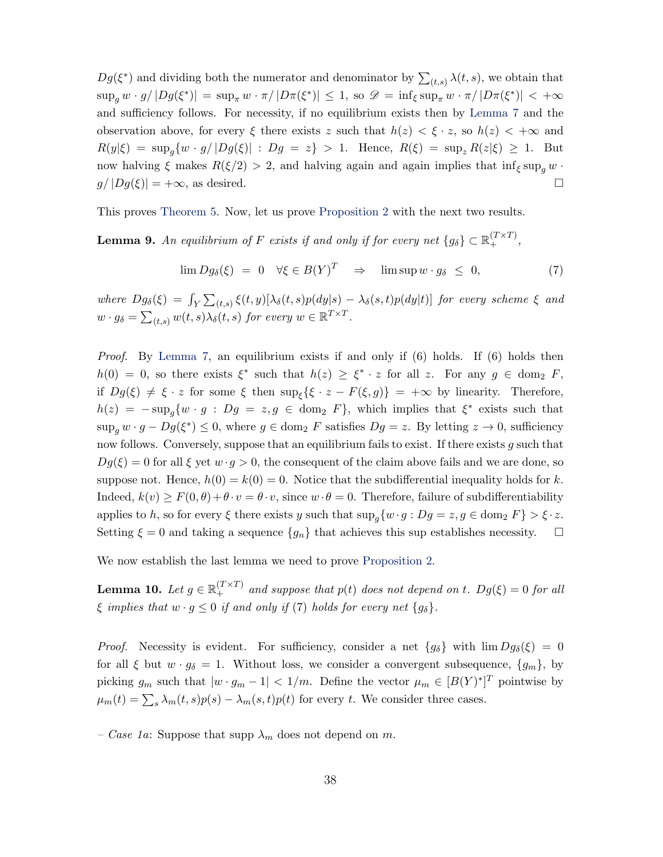$Dg(\xi^*)$  and dividing both the numerator and denominator by  $\sum_{(t,s)} \lambda(t,s)$ , we obtain that  $\sup_g w \cdot g / |Dg(\xi^*)| = \sup_{\pi} w \cdot \pi / |D\pi(\xi^*)| \leq 1$ , so  $\mathscr{D} = \inf_{\xi} \sup_{\pi} w \cdot \pi / |D\pi(\xi^*)| < +\infty$ and sufficiency follows. For necessity, if no equilibrium exists then by [Lemma 7](#page-36-0) and the observation above, for every  $\xi$  there exists z such that  $h(z) < \xi \cdot z$ , so  $h(z) < +\infty$  and  $R(y|\xi) = \sup_{g} \{ w \cdot g / |Dg(\xi)| : Dg = z \} > 1.$  Hence,  $R(\xi) = \sup_{z} R(z|\xi) \geq 1.$  But now halving  $\xi$  makes  $R(\xi/2) > 2$ , and halving again and again implies that  $\inf_{\xi} \sup_{\alpha} w$ .  $g/|Dg(\xi)| = +\infty$ , as desired.

This proves [Theorem 5.](#page-13-0) Now, let us prove [Proposition 2](#page-15-1) with the next two results.

<span id="page-37-0"></span>**Lemma 9.** An equilibrium of F exists if and only if for every net  $\{g_\delta\} \subset \mathbb{R}_+^{(T \times T)}$ ,

$$
\lim Dg_{\delta}(\xi) = 0 \quad \forall \xi \in B(Y)^{T} \quad \Rightarrow \quad \limsup w \cdot g_{\delta} \leq 0, \tag{7}
$$

where  $Dg_{\delta}(\xi) = \int_{Y} \sum_{(t,s)} \xi(t,y) [\lambda_{\delta}(t,s)p(dy|s) - \lambda_{\delta}(s,t)p(dy|t)]$  for every scheme  $\xi$  and  $w \cdot g_{\delta} = \sum_{(t,s)} w(t,s) \lambda_{\delta}(t,s)$  for every  $w \in \mathbb{R}^{T \times T}$ .

*Proof.* By [Lemma 7,](#page-36-0) an equilibrium exists if and only if  $(6)$  holds. If  $(6)$  holds then  $h(0) = 0$ , so there exists  $\xi^*$  such that  $h(z) \geq \xi^* \cdot z$  for all z. For any  $g \in \text{dom}_2$  F, if  $Dg(\xi) \neq \xi \cdot z$  for some  $\xi$  then  $\sup_{\xi} {\{\xi \cdot z - F(\xi, g)\}} = +\infty$  by linearity. Therefore,  $h(z) = -\sup_{g} \{ w \cdot g : Dg = z, g \in \text{dom}_2 \ F\}$ , which implies that  $\xi^*$  exists such that  $\sup_g w \cdot g - Dg(\xi^*) \leq 0$ , where  $g \in \text{dom}_2$  F satisfies  $Dg = z$ . By letting  $z \to 0$ , sufficiency now follows. Conversely, suppose that an equilibrium fails to exist. If there exists  $g$  such that  $Dg(\xi) = 0$  for all  $\xi$  yet  $w \cdot g > 0$ , the consequent of the claim above fails and we are done, so suppose not. Hence,  $h(0) = k(0) = 0$ . Notice that the subdifferential inequality holds for k. Indeed,  $k(v) \geq F(0, \theta) + \theta \cdot v = \theta \cdot v$ , since  $w \cdot \theta = 0$ . Therefore, failure of subdifferentiability applies to h, so for every  $\xi$  there exists y such that  $\sup_{q} \{w \cdot g : Dg = z, g \in \text{dom}_2 F\} > \xi \cdot z$ . Setting  $\xi = 0$  and taking a sequence  $\{g_n\}$  that achieves this sup establishes necessity.  $\Box$ 

We now establish the last lemma we need to prove [Proposition 2.](#page-15-1)

<span id="page-37-1"></span>**Lemma 10.** Let  $g \in \mathbb{R}_+^{(T \times T)}$  and suppose that  $p(t)$  does not depend on t.  $Dg(\xi) = 0$  for all  $\xi$  implies that  $w \cdot g \leq 0$  if and only if (7) holds for every net  $\{g_\delta\}.$ 

*Proof.* Necessity is evident. For sufficiency, consider a net  ${g_{\delta}}$  with  $\lim Dg_{\delta}(\xi) = 0$ for all  $\xi$  but  $w \cdot g_\delta = 1$ . Without loss, we consider a convergent subsequence,  $\{g_m\}$ , by picking  $g_m$  such that  $|w \cdot g_m - 1| < 1/m$ . Define the vector  $\mu_m \in [B(Y)^*]^T$  pointwise by  $\mu_m(t) = \sum_s \lambda_m(t,s)p(s) - \lambda_m(s,t)p(t)$  for every t. We consider three cases.

– Case 1a: Suppose that supp  $\lambda_m$  does not depend on m.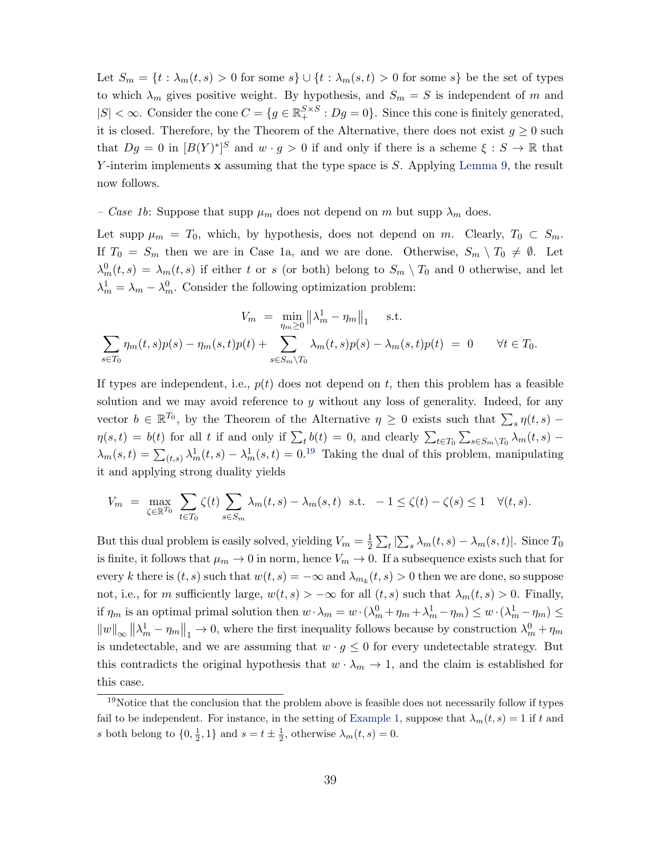Let  $S_m = \{t : \lambda_m(t,s) > 0 \text{ for some } s\} \cup \{t : \lambda_m(s,t) > 0 \text{ for some } s\}$  be the set of types to which  $\lambda_m$  gives positive weight. By hypothesis, and  $S_m = S$  is independent of m and  $|S| < \infty$ . Consider the cone  $C = \{g \in \mathbb{R}^{S \times S}_+ : Dg = 0\}$ . Since this cone is finitely generated, it is closed. Therefore, by the Theorem of the Alternative, there does not exist  $g \geq 0$  such that  $Dg = 0$  in  $[B(Y)^*]^S$  and  $w \cdot g > 0$  if and only if there is a scheme  $\xi : S \to \mathbb{R}$  that Y-interim implements  $\bf{x}$  assuming that the type space is S. Applying [Lemma 9,](#page-37-0) the result now follows.

– Case 1b: Suppose that supp  $\mu_m$  does not depend on m but supp  $\lambda_m$  does.

Let supp  $\mu_m = T_0$ , which, by hypothesis, does not depend on m. Clearly,  $T_0 \subset S_m$ . If  $T_0 = S_m$  then we are in Case 1a, and we are done. Otherwise,  $S_m \setminus T_0 \neq \emptyset$ . Let  $\lambda_m^0(t,s) = \lambda_m(t,s)$  if either t or s (or both) belong to  $S_m \setminus T_0$  and 0 otherwise, and let  $\lambda_m^1 = \lambda_m - \lambda_m^0$ . Consider the following optimization problem:

$$
V_m = \min_{\eta_m \geq 0} \left\| \lambda_m^1 - \eta_m \right\|_1 \quad \text{s.t.}
$$
  

$$
\sum_{s \in T_0} \eta_m(t, s) p(s) - \eta_m(s, t) p(t) + \sum_{s \in S_m \setminus T_0} \lambda_m(t, s) p(s) - \lambda_m(s, t) p(t) = 0 \quad \forall t \in T_0.
$$

If types are independent, i.e.,  $p(t)$  does not depend on t, then this problem has a feasible solution and we may avoid reference to y without any loss of generality. Indeed, for any vector  $b \in \mathbb{R}^{T_0}$ , by the Theorem of the Alternative  $\eta \geq 0$  exists such that  $\sum_s \eta(t,s)$  –  $\eta(s,t) = b(t)$  for all t if and only if  $\sum_t b(t) = 0$ , and clearly  $\sum_{t \in T_0} \sum_{s \in S_m \setminus T_0} \lambda_m(t,s)$  $\lambda_m(s,t) = \sum_{(t,s)} \lambda_m^1(t,s) - \lambda_m^1(s,t) = 0^{19}$  $\lambda_m(s,t) = \sum_{(t,s)} \lambda_m^1(t,s) - \lambda_m^1(s,t) = 0^{19}$  $\lambda_m(s,t) = \sum_{(t,s)} \lambda_m^1(t,s) - \lambda_m^1(s,t) = 0^{19}$  Taking the dual of this problem, manipulating it and applying strong duality yields

$$
V_m = \max_{\zeta \in \mathbb{R}^{T_0}} \sum_{t \in T_0} \zeta(t) \sum_{s \in S_m} \lambda_m(t, s) - \lambda_m(s, t) \text{ s.t. } -1 \le \zeta(t) - \zeta(s) \le 1 \quad \forall (t, s).
$$

But this dual problem is easily solved, yielding  $V_m = \frac{1}{2}$  $\frac{1}{2}\sum_{t}|\sum_{s}\lambda_{m}(t,s)-\lambda_{m}(s,t)|.$  Since  $T_{0}$ is finite, it follows that  $\mu_m \to 0$  in norm, hence  $V_m \to 0$ . If a subsequence exists such that for every k there is  $(t, s)$  such that  $w(t, s) = -\infty$  and  $\lambda_{m_k}(t, s) > 0$  then we are done, so suppose not, i.e., for m sufficiently large,  $w(t, s) > -\infty$  for all  $(t, s)$  such that  $\lambda_m(t, s) > 0$ . Finally, if  $\eta_m$  is an optimal primal solution then  $w \cdot \lambda_m = w \cdot (\lambda_m^0 + \eta_m + \lambda_m^1 - \eta_m) \leq w \cdot (\lambda_m^1 - \eta_m) \leq$  $||w||_{\infty} ||\lambda_m^1 - \eta_m||_1 \to 0$ , where the first inequality follows because by construction  $\lambda_m^0 + \eta_m$ is undetectable, and we are assuming that  $w \cdot g \leq 0$  for every undetectable strategy. But this contradicts the original hypothesis that  $w \cdot \lambda_m \to 1$ , and the claim is established for this case.

<span id="page-38-0"></span> $19$ Notice that the conclusion that the problem above is feasible does not necessarily follow if types fail to be independent. For instance, in the setting of [Example 1,](#page-13-3) suppose that  $\lambda_m(t,s) = 1$  if t and s both belong to  $\{0, \frac{1}{2}, 1\}$  and  $s = t \pm \frac{1}{2}$ , otherwise  $\lambda_m(t, s) = 0$ .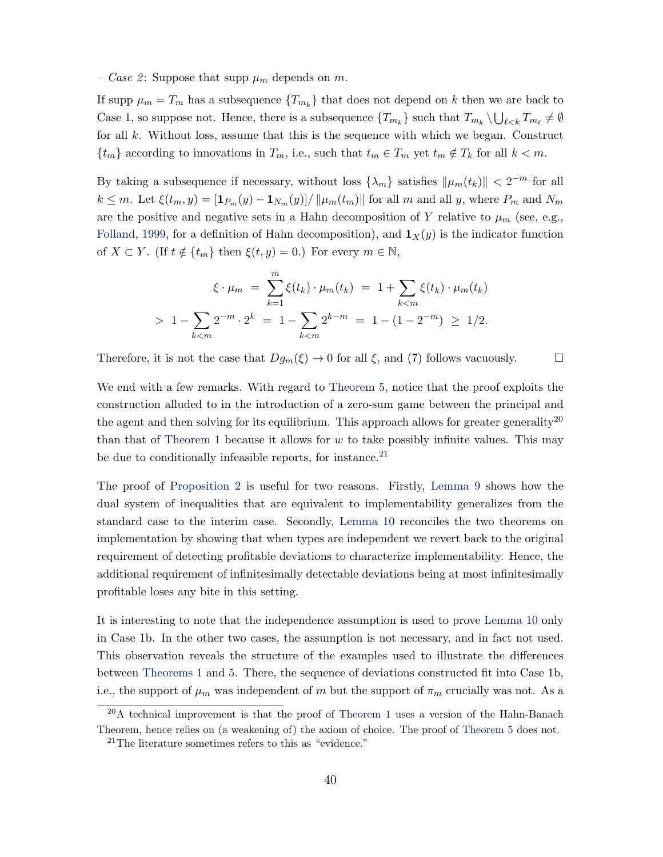<span id="page-39-2"></span>– Case 2: Suppose that supp  $\mu_m$  depends on m.

If supp  $\mu_m = T_m$  has a subsequence  $\{T_{m_k}\}\$  that does not depend on k then we are back to Case 1, so suppose not. Hence, there is a subsequence  $\{T_{m_k}\}\$  such that  $T_{m_k}\setminus\bigcup_{\ell\leq k}T_{m_\ell}\neq\emptyset$ for all  $k$ . Without loss, assume that this is the sequence with which we began. Construct  ${t_m}$  according to innovations in  $T_m$ , i.e., such that  $t_m \in T_m$  yet  $t_m \notin T_k$  for all  $k < m$ .

By taking a subsequence if necessary, without loss  $\{\lambda_m\}$  satisfies  $\|\mu_m(t_k)\| < 2^{-m}$  for all  $k \leq m$ . Let  $\xi(t_m, y) = \frac{\left[\mathbf{1}_{P_m}(y) - \mathbf{1}_{N_m}(y)\right]}{\left|\mathbf{1}_{P_m}(t_m)\right|}$  for all m and all y, where  $P_m$  and  $N_m$ are the positive and negative sets in a Hahn decomposition of Y relative to  $\mu_m$  (see, e.g., [Folland,](#page-47-14) [1999,](#page-47-14) for a definition of Hahn decomposition), and  $\mathbf{1}_X(y)$  is the indicator function of  $X \subset Y$ . (If  $t \notin \{t_m\}$  then  $\xi(t, y) = 0$ .) For every  $m \in \mathbb{N}$ ,

$$
\xi \cdot \mu_m = \sum_{k=1}^m \xi(t_k) \cdot \mu_m(t_k) = 1 + \sum_{k < m} \xi(t_k) \cdot \mu_m(t_k)
$$
\n
$$
> 1 - \sum_{k < m} 2^{-m} \cdot 2^k = 1 - \sum_{k < m} 2^{k-m} = 1 - (1 - 2^{-m}) \ge 1/2.
$$

Therefore, it is not the case that  $Dg_m(\xi) \to 0$  for all  $\xi$ , and (7) follows vacuously.

We end with a few remarks. With regard to [Theorem 5,](#page-13-0) notice that the proof exploits the construction alluded to in the introduction of a zero-sum game between the principal and the agent and then solving for its equilibrium. This approach allows for greater generality<sup>[20](#page-39-0)</sup> than that of [Theorem 1](#page-4-0) because it allows for  $w$  to take possibly infinite values. This may be due to conditionally infeasible reports, for instance.<sup>[21](#page-39-1)</sup>

The proof of [Proposition 2](#page-15-1) is useful for two reasons. Firstly, [Lemma 9](#page-37-0) shows how the dual system of inequalities that are equivalent to implementability generalizes from the standard case to the interim case. Secondly, [Lemma 10](#page-37-1) reconciles the two theorems on implementation by showing that when types are independent we revert back to the original requirement of detecting profitable deviations to characterize implementability. Hence, the additional requirement of infinitesimally detectable deviations being at most infinitesimally profitable loses any bite in this setting.

It is interesting to note that the independence assumption is used to prove [Lemma 10](#page-37-1) only in Case 1b. In the other two cases, the assumption is not necessary, and in fact not used. This observation reveals the structure of the examples used to illustrate the differences between [Theorems 1](#page-4-0) and [5.](#page-13-0) There, the sequence of deviations constructed fit into Case 1b, i.e., the support of  $\mu_m$  was independent of m but the support of  $\pi_m$  crucially was not. As a

<span id="page-39-0"></span><sup>20</sup>A technical improvement is that the proof of [Theorem 1](#page-4-0) uses a version of the Hahn-Banach Theorem, hence relies on (a weakening of) the axiom of choice. The proof of [Theorem 5](#page-13-0) does not.

<span id="page-39-1"></span><sup>21</sup>The literature sometimes refers to this as "evidence."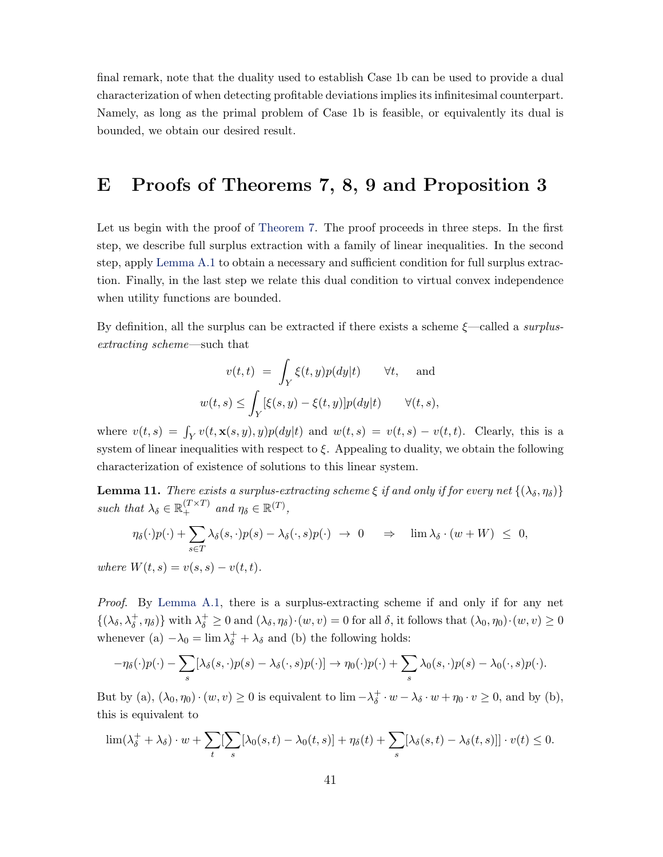final remark, note that the duality used to establish Case 1b can be used to provide a dual characterization of when detecting profitable deviations implies its infinitesimal counterpart. Namely, as long as the primal problem of Case 1b is feasible, or equivalently its dual is bounded, we obtain our desired result.

## E Proofs of Theorems 7, 8, 9 and Proposition 3

Let us begin with the proof of [Theorem 7.](#page-18-1) The proof proceeds in three steps. In the first step, we describe full surplus extraction with a family of linear inequalities. In the second step, apply [Lemma A.1](#page-31-0) to obtain a necessary and sufficient condition for full surplus extraction. Finally, in the last step we relate this dual condition to virtual convex independence when utility functions are bounded.

By definition, all the surplus can be extracted if there exists a scheme  $\xi$ —called a surplusextracting scheme—such that

$$
v(t,t) = \int_Y \xi(t,y)p(dy|t) \quad \forall t, \text{ and}
$$

$$
w(t,s) \le \int_Y [\xi(s,y) - \xi(t,y)]p(dy|t) \quad \forall (t,s),
$$

where  $v(t,s) = \int_Y v(t, \mathbf{x}(s, y), y)p(dy|t)$  and  $w(t, s) = v(t, s) - v(t, t)$ . Clearly, this is a system of linear inequalities with respect to  $\xi$ . Appealing to duality, we obtain the following characterization of existence of solutions to this linear system.

<span id="page-40-0"></span>**Lemma 11.** There exists a surplus-extracting scheme  $\xi$  if and only if for every net  $\{(\lambda_{\delta},\eta_{\delta})\}$ such that  $\lambda_{\delta} \in \mathbb{R}_+^{(T \times T)}$  and  $\eta_{\delta} \in \mathbb{R}^{(T)}$ ,

$$
\eta_{\delta}(\cdot)p(\cdot)+\sum_{s\in T}\lambda_{\delta}(s,\cdot)p(s)-\lambda_{\delta}(\cdot,s)p(\cdot) \rightarrow 0 \quad \Rightarrow \quad \lim \lambda_{\delta}\cdot(w+W) \leq 0,
$$

where  $W(t, s) = v(s, s) - v(t, t)$ .

Proof. By [Lemma A.1,](#page-31-0) there is a surplus-extracting scheme if and only if for any net  $\{(\lambda_{\delta}, \lambda_{\delta}^+, \eta_{\delta})\}\$ with  $\lambda_{\delta}^+\geq 0$  and  $(\lambda_{\delta}, \eta_{\delta})\cdot(w, v)=0$  for all  $\delta$ , it follows that  $(\lambda_0, \eta_0)\cdot(w, v)\geq 0$ whenever (a)  $-\lambda_0 = \lim_{\delta} \lambda_{\delta}^+ + \lambda_{\delta}$  and (b) the following holds:

$$
-\eta_{\delta}(\cdot)p(\cdot)-\sum_{s}[\lambda_{\delta}(s,\cdot)p(s)-\lambda_{\delta}(\cdot,s)p(\cdot)]\to\eta_{0}(\cdot)p(\cdot)+\sum_{s}\lambda_{0}(s,\cdot)p(s)-\lambda_{0}(\cdot,s)p(\cdot).
$$

But by (a),  $(\lambda_0, \eta_0) \cdot (w, v) \geq 0$  is equivalent to  $\lim_{z \to \delta} -\lambda_{\delta}^+$  $\chi^+_{\delta} \cdot w - \lambda_{\delta} \cdot w + \eta_0 \cdot v \geq 0$ , and by (b), this is equivalent to

$$
\lim_{\delta \to 0} (\lambda_{\delta}^+ + \lambda_{\delta}) \cdot w + \sum_{t} [\sum_{s} [\lambda_0(s, t) - \lambda_0(t, s)] + \eta_{\delta}(t) + \sum_{s} [\lambda_{\delta}(s, t) - \lambda_{\delta}(t, s)]] \cdot v(t) \le 0.
$$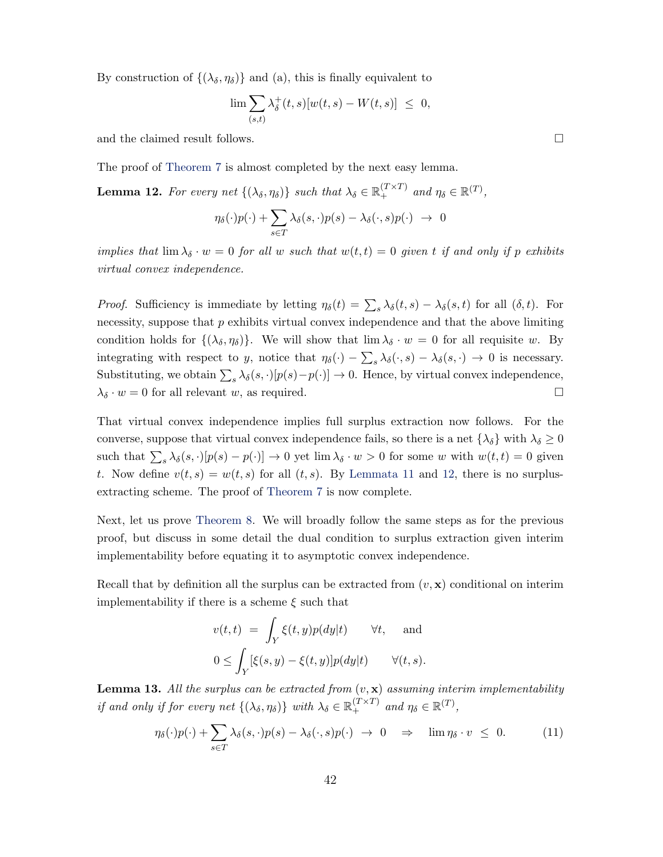By construction of  $\{(\lambda_{\delta}, \eta_{\delta})\}$  and (a), this is finally equivalent to

$$
\lim \sum_{(s,t)} \lambda_{\delta}^{+}(t,s)[w(t,s)-W(t,s)] \leq 0,
$$

and the claimed result follows.  $\Box$ 

The proof of [Theorem 7](#page-18-1) is almost completed by the next easy lemma.

<span id="page-41-0"></span>**Lemma 12.** For every net  $\{(\lambda_{\delta}, \eta_{\delta})\}$  such that  $\lambda_{\delta} \in \mathbb{R}^{(T \times T)}_+$  and  $\eta_{\delta} \in \mathbb{R}^{(T)}$ ,

$$
\eta_{\delta}(\cdot)p(\cdot)+\sum_{s\in T}\lambda_{\delta}(s,\cdot)p(s)-\lambda_{\delta}(\cdot,s)p(\cdot) \rightarrow 0
$$

implies that  $\lim_{\lambda} \lambda_{\delta} \cdot w = 0$  for all w such that  $w(t,t) = 0$  given t if and only if p exhibits virtual convex independence.

*Proof.* Sufficiency is immediate by letting  $\eta_{\delta}(t) = \sum_{s} \lambda_{\delta}(t, s) - \lambda_{\delta}(s, t)$  for all  $(\delta, t)$ . For necessity, suppose that  $p$  exhibits virtual convex independence and that the above limiting condition holds for  $\{(\lambda_{\delta}, \eta_{\delta})\}$ . We will show that  $\lim \lambda_{\delta} \cdot w = 0$  for all requisite w. By integrating with respect to y, notice that  $\eta_{\delta}(\cdot) - \sum_{s} \lambda_{\delta}(\cdot, s) - \lambda_{\delta}(s, \cdot) \to 0$  is necessary. Substituting, we obtain  $\sum_s \lambda_\delta(s, \cdot) [p(s) - p(\cdot)] \to 0$ . Hence, by virtual convex independence,  $\lambda_{\delta} \cdot w = 0$  for all relevant w, as required.

That virtual convex independence implies full surplus extraction now follows. For the converse, suppose that virtual convex independence fails, so there is a net  $\{\lambda_{\delta}\}\$  with  $\lambda_{\delta}\geq 0$ such that  $\sum_s \lambda_\delta(s, \cdot) [p(s) - p(\cdot)] \to 0$  yet  $\lim \lambda_\delta \cdot w > 0$  for some w with  $w(t, t) = 0$  given t. Now define  $v(t, s) = w(t, s)$  for all  $(t, s)$ . By [Lemmata 11](#page-40-0) and [12,](#page-41-0) there is no surplusextracting scheme. The proof of [Theorem 7](#page-18-1) is now complete.

Next, let us prove [Theorem 8.](#page-19-1) We will broadly follow the same steps as for the previous proof, but discuss in some detail the dual condition to surplus extraction given interim implementability before equating it to asymptotic convex independence.

Recall that by definition all the surplus can be extracted from  $(v, x)$  conditional on interim implementability if there is a scheme  $\xi$  such that

$$
v(t,t) = \int_Y \xi(t,y)p(dy|t) \quad \forall t, \text{ and}
$$
  

$$
0 \le \int_Y [\xi(s,y) - \xi(t,y)]p(dy|t) \quad \forall (t,s).
$$

<span id="page-41-1"></span>**Lemma 13.** All the surplus can be extracted from  $(v, \mathbf{x})$  assuming interim implementability if and only if for every net  $\{(\lambda_{\delta}, \eta_{\delta})\}$  with  $\lambda_{\delta} \in \mathbb{R}_{+}^{(T \times T)}$  and  $\eta_{\delta} \in \mathbb{R}^{(T)}$ ,

$$
\eta_{\delta}(\cdot)p(\cdot)+\sum_{s\in T}\lambda_{\delta}(s,\cdot)p(s)-\lambda_{\delta}(\cdot,s)p(\cdot) \rightarrow 0 \quad \Rightarrow \quad \lim \eta_{\delta} \cdot v \leq 0. \tag{11}
$$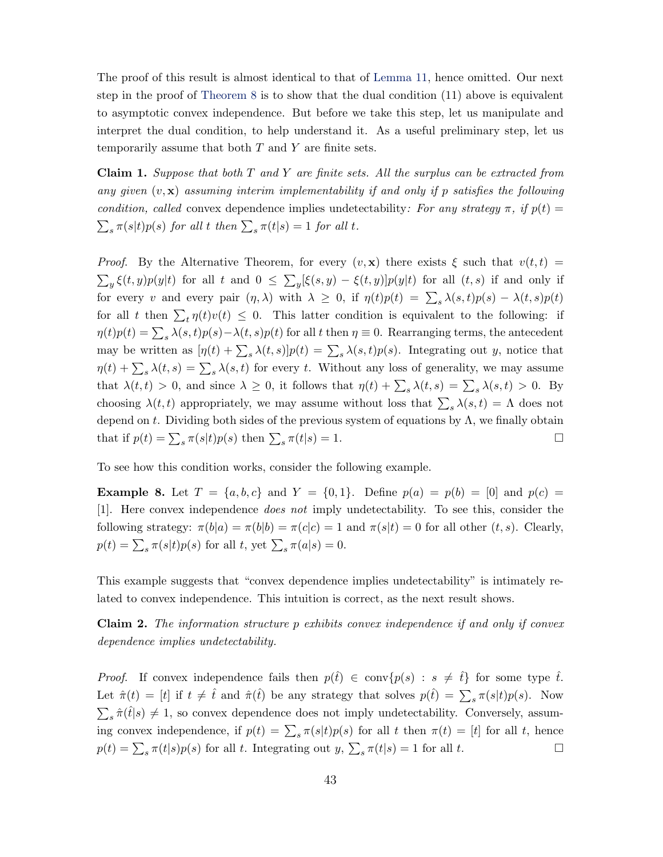The proof of this result is almost identical to that of [Lemma 11,](#page-40-0) hence omitted. Our next step in the proof of [Theorem 8](#page-19-1) is to show that the dual condition (11) above is equivalent to asymptotic convex independence. But before we take this step, let us manipulate and interpret the dual condition, to help understand it. As a useful preliminary step, let us temporarily assume that both  $T$  and  $Y$  are finite sets.

<span id="page-42-1"></span>**Claim 1.** Suppose that both  $T$  and  $Y$  are finite sets. All the surplus can be extracted from any given  $(v, \mathbf{x})$  assuming interim implementability if and only if p satisfies the following condition, called convex dependence implies undetectability: For any strategy  $\pi$ , if  $p(t) =$  $\sum_{s} \pi(s|t)p(s)$  for all t then  $\sum_{s} \pi(t|s) = 1$  for all t.

*Proof.* By the Alternative Theorem, for every  $(v, x)$  there exists  $\xi$  such that  $v(t, t)$  =  $\sum_{y} \xi(t, y)p(y|t)$  for all t and  $0 \leq \sum_{y} [\xi(s, y) - \xi(t, y)]p(y|t)$  for all  $(t, s)$  if and only if for every v and every pair  $(\eta, \lambda)$  with  $\lambda \geq 0$ , if  $\eta(t)p(t) = \sum_{s} \lambda(s,t)p(s) - \lambda(t,s)p(t)$ for all t then  $\sum_t \eta(t)v(t) \leq 0$ . This latter condition is equivalent to the following: if  $\eta(t)p(t) = \sum_{s} \lambda(s,t)p(s) - \lambda(t,s)p(t)$  for all t then  $\eta \equiv 0$ . Rearranging terms, the antecedent may be written as  $[\eta(t) + \sum_s \lambda(t,s)]p(t) = \sum_s \lambda(s,t)p(s)$ . Integrating out y, notice that  $\eta(t) + \sum_{s} \lambda(t, s) = \sum_{s} \lambda(s, t)$  for every t. Without any loss of generality, we may assume that  $\lambda(t,t) > 0$ , and since  $\lambda \geq 0$ , it follows that  $\eta(t) + \sum_{s} \lambda(t,s) = \sum_{s} \lambda(s,t) > 0$ . By choosing  $\lambda(t, t)$  appropriately, we may assume without loss that  $\sum_{s} \lambda(s, t) = \Lambda$  does not depend on t. Dividing both sides of the previous system of equations by  $\Lambda$ , we finally obtain that if  $p(t) = \sum_{s} \pi(s|t)p(s)$  then  $\sum_{s} \pi(t|s) = 1$ .

To see how this condition works, consider the following example.

**Example 8.** Let  $T = \{a, b, c\}$  and  $Y = \{0, 1\}$ . Define  $p(a) = p(b) = [0]$  and  $p(c) =$ [1]. Here convex independence does not imply undetectability. To see this, consider the following strategy:  $\pi(b|a) = \pi(b|b) = \pi(c|c) = 1$  and  $\pi(s|t) = 0$  for all other  $(t, s)$ . Clearly,  $p(t) = \sum_{s} \pi(s|t) p(s)$  for all t, yet  $\sum_{s} \pi(a|s) = 0$ .

This example suggests that "convex dependence implies undetectability" is intimately related to convex independence. This intuition is correct, as the next result shows.

<span id="page-42-0"></span>**Claim 2.** The information structure  $p$  exhibits convex independence if and only if convex dependence implies undetectability.

*Proof.* If convex independence fails then  $p(\hat{t}) \in \text{conv}\{p(s) : s \neq \hat{t}\}\)$  for some type  $\hat{t}$ . Let  $\hat{\pi}(t) = [t]$  if  $t \neq \hat{t}$  and  $\hat{\pi}(\hat{t})$  be any strategy that solves  $p(\hat{t}) = \sum_{s} \pi(s|t)p(s)$ . Now  $\sum_{s} \hat{\pi}(\hat{t}|s) \neq 1$ , so convex dependence does not imply undetectability. Conversely, assuming convex independence, if  $p(t) = \sum_{s} \pi(s|t)p(s)$  for all t then  $\pi(t) = [t]$  for all t, hence  $p(t) = \sum_{s} \pi(t|s)p(s)$  for all t. Integrating out  $y, \sum_{s} \pi(t|s) = 1$  for all t.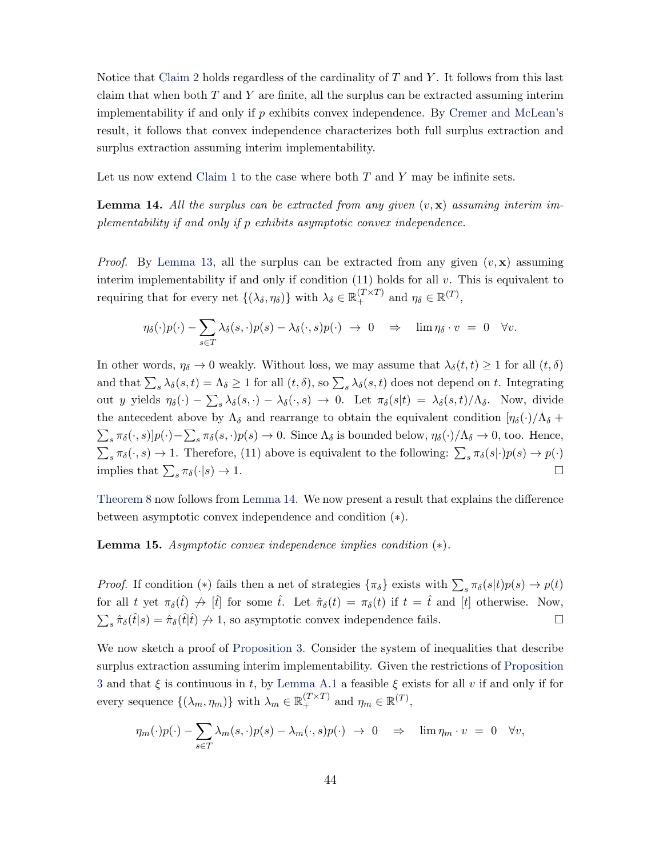<span id="page-43-1"></span>Notice that [Claim 2](#page-42-0) holds regardless of the cardinality of  $T$  and  $Y$ . It follows from this last claim that when both  $T$  and  $Y$  are finite, all the surplus can be extracted assuming interim implementability if and only if  $p$  exhibits convex independence. By [Cremer and McLean'](#page-46-0)s result, it follows that convex independence characterizes both full surplus extraction and surplus extraction assuming interim implementability.

Let us now extend [Claim 1](#page-42-1) to the case where both  $T$  and  $Y$  may be infinite sets.

<span id="page-43-0"></span>**Lemma 14.** All the surplus can be extracted from any given  $(v, x)$  assuming interim implementability if and only if p exhibits asymptotic convex independence.

*Proof.* By [Lemma 13,](#page-41-1) all the surplus can be extracted from any given  $(v, x)$  assuming interim implementability if and only if condition  $(11)$  holds for all v. This is equivalent to requiring that for every net  $\{(\lambda_{\delta}, \eta_{\delta})\}$  with  $\lambda_{\delta} \in \mathbb{R}_{+}^{(T \times T)}$  and  $\eta_{\delta} \in \mathbb{R}^{(T)}$ ,

$$
\eta_{\delta}(\cdot)p(\cdot)-\sum_{s\in T}\lambda_{\delta}(s,\cdot)p(s)-\lambda_{\delta}(\cdot,s)p(\cdot) \rightarrow 0 \Rightarrow \lim \eta_{\delta} \cdot v = 0 \quad \forall v.
$$

In other words,  $\eta_{\delta} \to 0$  weakly. Without loss, we may assume that  $\lambda_{\delta}(t, t) \geq 1$  for all  $(t, \delta)$ and that  $\sum_s \lambda_\delta(s, t) = \Lambda_\delta \ge 1$  for all  $(t, \delta)$ , so  $\sum_s \lambda_\delta(s, t)$  does not depend on t. Integrating out y yields  $\eta_{\delta}(\cdot) - \sum_{s} \lambda_{\delta}(s, \cdot) - \lambda_{\delta}(\cdot, s) \to 0$ . Let  $\pi_{\delta}(s|t) = \lambda_{\delta}(s, t)/\Lambda_{\delta}$ . Now, divide the antecedent above by  $\Lambda_{\delta}$  and rearrange to obtain the equivalent condition  $[\eta_{\delta}(\cdot)/\Lambda_{\delta} +$  $\sum_{s} \pi_{\delta}(\cdot, s) | p(\cdot) - \sum_{s} \pi_{\delta}(s, \cdot) p(s) \to 0$ . Since  $\Lambda_{\delta}$  is bounded below,  $\eta_{\delta}(\cdot)/\Lambda_{\delta} \to 0$ , too. Hence,  $\sum_s \pi_\delta(\cdot, s) \to 1$ . Therefore, (11) above is equivalent to the following:  $\sum_s \pi_\delta(s|\cdot)p(s) \to p(\cdot)$ implies that  $\sum_{s} \pi_{\delta}(\cdot | s) \to 1$ .

[Theorem 8](#page-19-1) now follows from [Lemma 14.](#page-43-0) We now present a result that explains the difference between asymptotic convex independence and condition (∗).

**Lemma 15.** Asymptotic convex independence implies condition  $(*).$ 

*Proof.* If condition (\*) fails then a net of strategies  $\{\pi_{\delta}\}\)$  exists with  $\sum_{s} \pi_{\delta}(s|t)p(s) \to p(t)$ for all t yet  $\pi_{\delta}(\hat{t}) \to [\hat{t}]$  for some  $\hat{t}$ . Let  $\hat{\pi}_{\delta}(t) = \pi_{\delta}(t)$  if  $t = \hat{t}$  and  $[t]$  otherwise. Now,  $\sum_s \hat{\pi}_{\delta}(\hat{t}|s) = \hat{\pi}_{\delta}(\hat{t}|\hat{t}) \nrightarrow 1$ , so asymptotic convex independence fails.

We now sketch a proof of [Proposition 3.](#page-20-3) Consider the system of inequalities that describe surplus extraction assuming interim implementability. Given the restrictions of [Proposition](#page-20-3) [3](#page-20-3) and that  $\xi$  is continuous in t, by [Lemma A.1](#page-31-0) a feasible  $\xi$  exists for all v if and only if for every sequence  $\{(\lambda_m, \eta_m)\}\$  with  $\lambda_m \in \mathbb{R}_+^{(T \times T)}$  and  $\eta_m \in \mathbb{R}^{(T)}$ ,

$$
\eta_m(\cdot)p(\cdot) - \sum_{s \in T} \lambda_m(s,\cdot)p(s) - \lambda_m(\cdot,s)p(\cdot) \rightarrow 0 \quad \Rightarrow \quad \lim \eta_m \cdot v = 0 \quad \forall v,
$$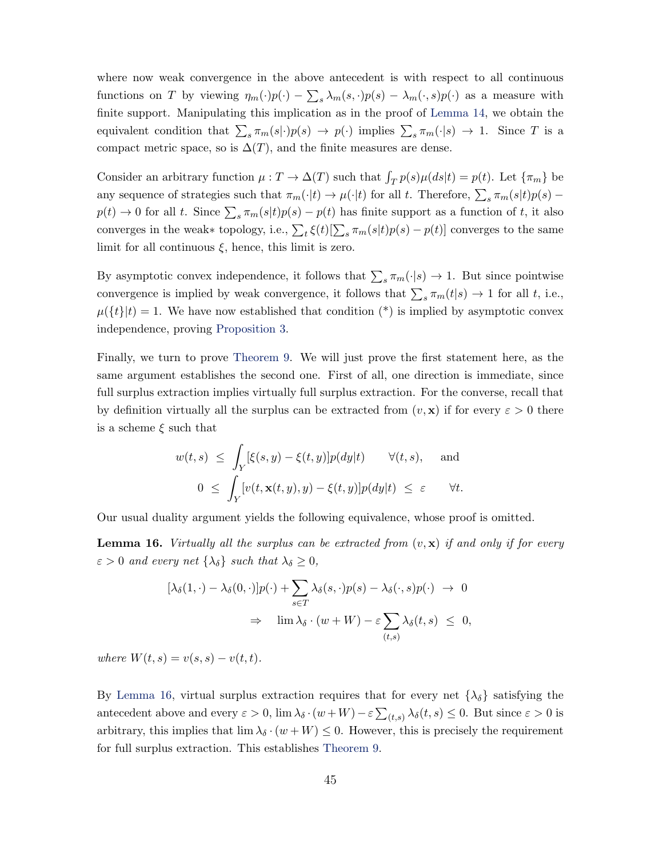where now weak convergence in the above antecedent is with respect to all continuous functions on T by viewing  $\eta_m(\cdot)p(\cdot) - \sum_s \lambda_m(s, \cdot)p(s) - \lambda_m(\cdot, s)p(\cdot)$  as a measure with finite support. Manipulating this implication as in the proof of [Lemma 14,](#page-43-0) we obtain the equivalent condition that  $\sum_{s} \pi_m(s|\cdot)p(s) \to p(\cdot)$  implies  $\sum_{s} \pi_m(\cdot|s) \to 1$ . Since T is a compact metric space, so is  $\Delta(T)$ , and the finite measures are dense.

Consider an arbitrary function  $\mu : T \to \Delta(T)$  such that  $\int_T p(s) \mu(ds|t) = p(t)$ . Let  $\{\pi_m\}$  be any sequence of strategies such that  $\pi_m(\cdot|t) \to \mu(\cdot|t)$  for all t. Therefore,  $\sum_s \pi_m(s|t)p(s)$  –  $p(t) \to 0$  for all t. Since  $\sum_{s} \pi_m(s|t)p(s) - p(t)$  has finite support as a function of t, it also converges in the weak∗ topology, i.e.,  $\sum_{t} \xi(t) [\sum_{s} \pi_m(s|t) p(s) - p(t)]$  converges to the same limit for all continuous  $\xi$ , hence, this limit is zero.

By asymptotic convex independence, it follows that  $\sum_{s} \pi_m(\cdot|s) \to 1$ . But since pointwise convergence is implied by weak convergence, it follows that  $\sum_{s} \pi_m(t|s) \to 1$  for all t, i.e.,  $\mu({t}|t) = 1$ . We have now established that condition (\*) is implied by asymptotic convex independence, proving [Proposition 3.](#page-20-3)

Finally, we turn to prove [Theorem 9.](#page-21-0) We will just prove the first statement here, as the same argument establishes the second one. First of all, one direction is immediate, since full surplus extraction implies virtually full surplus extraction. For the converse, recall that by definition virtually all the surplus can be extracted from  $(v, \mathbf{x})$  if for every  $\varepsilon > 0$  there is a scheme  $\xi$  such that

$$
w(t,s) \leq \int_Y [\xi(s,y) - \xi(t,y)] p(dy|t) \quad \forall (t,s), \quad \text{and}
$$
  

$$
0 \leq \int_Y [v(t, \mathbf{x}(t,y), y) - \xi(t,y)] p(dy|t) \leq \varepsilon \quad \forall t.
$$

Our usual duality argument yields the following equivalence, whose proof is omitted.

<span id="page-44-0"></span>**Lemma 16.** Virtually all the surplus can be extracted from  $(v, x)$  if and only if for every  $\varepsilon > 0$  and every net  $\{\lambda_{\delta}\}\$  such that  $\lambda_{\delta} \geq 0$ ,

$$
[\lambda_{\delta}(1,\cdot) - \lambda_{\delta}(0,\cdot)]p(\cdot) + \sum_{s \in T} \lambda_{\delta}(s,\cdot)p(s) - \lambda_{\delta}(\cdot,s)p(\cdot) \to 0
$$
  

$$
\Rightarrow \lim \lambda_{\delta} \cdot (w + W) - \varepsilon \sum_{(t,s)} \lambda_{\delta}(t,s) \leq 0,
$$

where  $W(t, s) = v(s, s) - v(t, t)$ .

By [Lemma 16,](#page-44-0) virtual surplus extraction requires that for every net  $\{\lambda_{\delta}\}\$  satisfying the antecedent above and every  $\varepsilon > 0$ ,  $\lim_{\lambda} \lambda_{\delta} \cdot (w + W) - \varepsilon \sum_{(t,s)} \lambda_{\delta}(t,s) \leq 0$ . But since  $\varepsilon > 0$  is arbitrary, this implies that  $\lim_{\lambda} \lambda_{\delta} \cdot (w + W) \leq 0$ . However, this is precisely the requirement for full surplus extraction. This establishes [Theorem 9.](#page-21-0)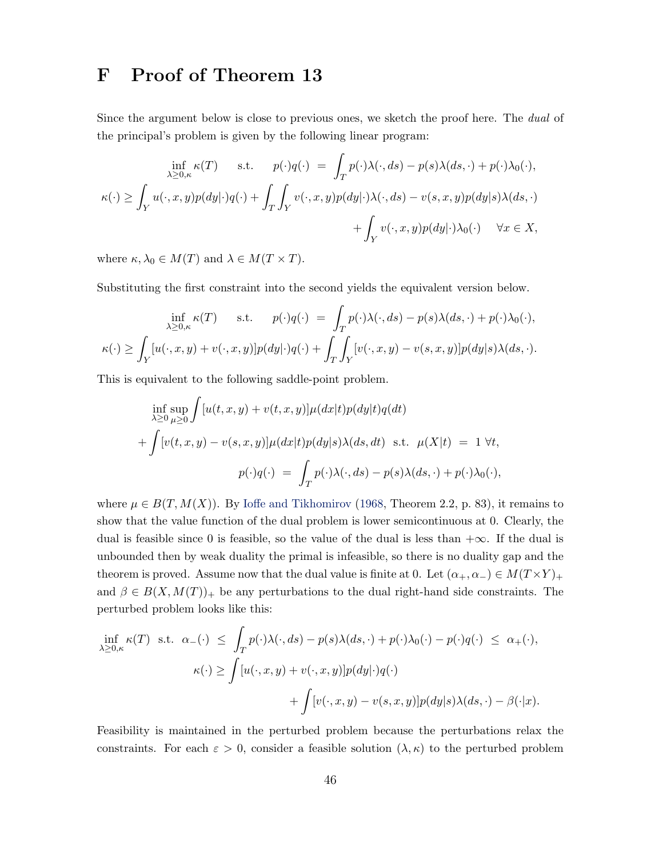# <span id="page-45-0"></span>F Proof of Theorem 13

Since the argument below is close to previous ones, we sketch the proof here. The dual of the principal's problem is given by the following linear program:

$$
\inf_{\lambda \ge 0,\kappa} \kappa(T) \quad \text{s.t.} \quad p(\cdot)q(\cdot) = \int_T p(\cdot)\lambda(\cdot, ds) - p(s)\lambda(ds, \cdot) + p(\cdot)\lambda_0(\cdot),
$$

$$
\kappa(\cdot) \ge \int_Y u(\cdot, x, y)p(dy|\cdot)q(\cdot) + \int_T \int_Y v(\cdot, x, y)p(dy|\cdot)\lambda(\cdot, ds) - v(s, x, y)p(dy|s)\lambda(ds, \cdot) + \int_Y v(\cdot, x, y)p(dy|\cdot)\lambda_0(\cdot) \quad \forall x \in X,
$$

where  $\kappa, \lambda_0 \in M(T)$  and  $\lambda \in M(T \times T)$ .

Substituting the first constraint into the second yields the equivalent version below.

$$
\inf_{\lambda \ge 0, \kappa} \kappa(T) \quad \text{s.t.} \quad p(\cdot)q(\cdot) = \int_T p(\cdot)\lambda(\cdot, ds) - p(s)\lambda(ds, \cdot) + p(\cdot)\lambda_0(\cdot),
$$

$$
\kappa(\cdot) \ge \int_Y [u(\cdot, x, y) + v(\cdot, x, y)]p(dy|\cdot)q(\cdot) + \int_T \int_Y [v(\cdot, x, y) - v(s, x, y)]p(dy|s)\lambda(ds, \cdot).
$$

This is equivalent to the following saddle-point problem.

$$
\inf_{\lambda \ge 0} \sup_{\mu \ge 0} \int [u(t, x, y) + v(t, x, y)] \mu(dx|t) p(dy|t) q(dt)
$$
  
+ 
$$
\int [v(t, x, y) - v(s, x, y)] \mu(dx|t) p(dy|s) \lambda(ds, dt) \text{ s.t. } \mu(X|t) = 1 \forall t,
$$
  

$$
p(\cdot)q(\cdot) = \int_T p(\cdot) \lambda(\cdot, ds) - p(s) \lambda(ds, \cdot) + p(\cdot) \lambda_0(\cdot),
$$

where  $\mu \in B(T, M(X))$ . By [Ioffe and Tikhomirov](#page-47-13) [\(1968,](#page-47-13) Theorem 2.2, p. 83), it remains to show that the value function of the dual problem is lower semicontinuous at 0. Clearly, the dual is feasible since 0 is feasible, so the value of the dual is less than  $+\infty$ . If the dual is unbounded then by weak duality the primal is infeasible, so there is no duality gap and the theorem is proved. Assume now that the dual value is finite at 0. Let  $(\alpha_+, \alpha_-) \in M(T \times Y)_+$ and  $\beta \in B(X, M(T))_+$  be any perturbations to the dual right-hand side constraints. The perturbed problem looks like this:

$$
\inf_{\lambda \ge 0,\kappa} \kappa(T) \text{ s.t. } \alpha_{-}(\cdot) \le \int_{T} p(\cdot)\lambda(\cdot, ds) - p(s)\lambda(ds, \cdot) + p(\cdot)\lambda_{0}(\cdot) - p(\cdot)q(\cdot) \le \alpha_{+}(\cdot),
$$

$$
\kappa(\cdot) \ge \int [u(\cdot, x, y) + v(\cdot, x, y)] p(dy|\cdot)q(\cdot)
$$

$$
+ \int [v(\cdot, x, y) - v(s, x, y)] p(dy|s) \lambda(ds, \cdot) - \beta(\cdot|x).
$$

Feasibility is maintained in the perturbed problem because the perturbations relax the constraints. For each  $\varepsilon > 0$ , consider a feasible solution  $(\lambda, \kappa)$  to the perturbed problem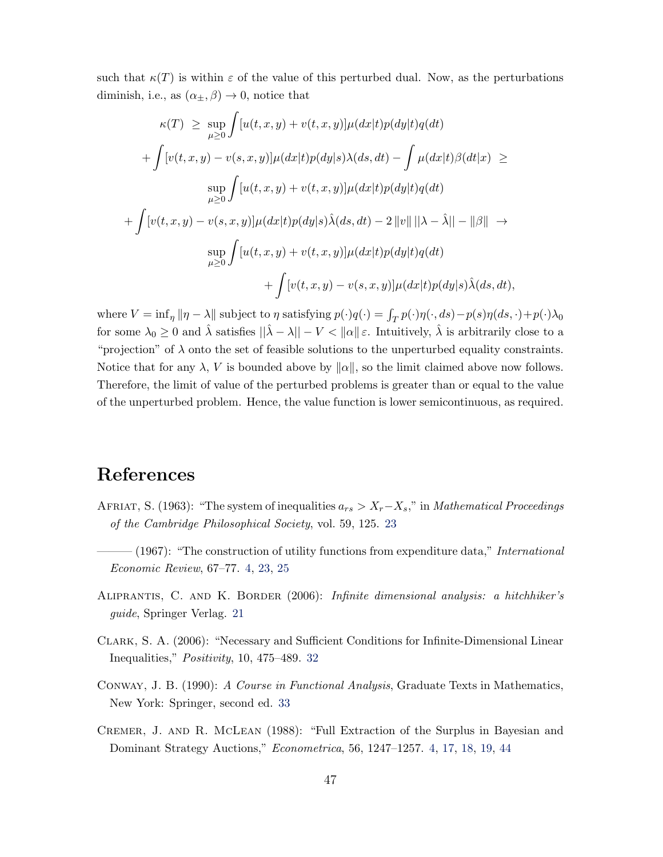such that  $\kappa(T)$  is within  $\varepsilon$  of the value of this perturbed dual. Now, as the perturbations diminish, i.e., as  $(\alpha_{+}, \beta) \rightarrow 0$ , notice that

$$
\kappa(T) \ge \sup_{\mu \ge 0} \int [u(t, x, y) + v(t, x, y)] \mu(dx|t) p(dy|t) q(dt)
$$
  
+ 
$$
\int [v(t, x, y) - v(s, x, y)] \mu(dx|t) p(dy|s) \lambda(ds, dt) - \int \mu(dx|t) \beta(dt|x) \ge
$$
  

$$
\sup_{\mu \ge 0} \int [u(t, x, y) + v(t, x, y)] \mu(dx|t) p(dy|t) q(dt)
$$
  
+ 
$$
\int [v(t, x, y) - v(s, x, y)] \mu(dx|t) p(dy|s) \hat{\lambda}(ds, dt) - 2 ||v|| ||\lambda - \hat{\lambda}|| - ||\beta|| \rightarrow
$$
  

$$
\sup_{\mu \ge 0} \int [u(t, x, y) + v(t, x, y)] \mu(dx|t) p(dy|t) q(dt)
$$
  
+ 
$$
\int [v(t, x, y) - v(s, x, y)] \mu(dx|t) p(dy|s) \hat{\lambda}(ds, dt),
$$

where  $V = \inf_{\eta} ||\eta - \lambda||$  subject to  $\eta$  satisfying  $p(\cdot)q(\cdot) = \int_T p(\cdot)\eta(\cdot, ds) - p(s)\eta(ds, \cdot) + p(\cdot)\lambda_0$ for some  $\lambda_0 \geq 0$  and  $\hat{\lambda}$  satisfies  $\|\hat{\lambda} - \lambda\| - V < \|\alpha\| \varepsilon$ . Intuitively,  $\hat{\lambda}$  is arbitrarily close to a "projection" of  $\lambda$  onto the set of feasible solutions to the unperturbed equality constraints. Notice that for any  $\lambda$ , V is bounded above by  $\|\alpha\|$ , so the limit claimed above now follows. Therefore, the limit of value of the perturbed problems is greater than or equal to the value of the unperturbed problem. Hence, the value function is lower semicontinuous, as required.

### References

- <span id="page-46-3"></span>AFRIAT, S. (1963): "The system of inequalities  $a_{rs} > X_r - X_s$ ," in *Mathematical Proceedings* of the Cambridge Philosophical Society, vol. 59, 125. [23](#page-22-1)
- <span id="page-46-1"></span> $(1967)$ : "The construction of utility functions from expenditure data," *International* Economic Review, 67–77. [4,](#page-3-4) [23,](#page-22-1) [25](#page-24-0)
- <span id="page-46-2"></span>ALIPRANTIS, C. AND K. BORDER (2006): Infinite dimensional analysis: a hitchhiker's guide, Springer Verlag. [21](#page-20-4)
- <span id="page-46-4"></span>Clark, S. A. (2006): "Necessary and Sufficient Conditions for Infinite-Dimensional Linear Inequalities," Positivity, 10, 475–489. [32](#page-31-3)
- <span id="page-46-5"></span>Conway, J. B. (1990): A Course in Functional Analysis, Graduate Texts in Mathematics, New York: Springer, second ed. [33](#page-32-2)
- <span id="page-46-0"></span>Cremer, J. and R. McLean (1988): "Full Extraction of the Surplus in Bayesian and Dominant Strategy Auctions," Econometrica, 56, 1247–1257. [4,](#page-3-4) [17,](#page-16-1) [18,](#page-17-1) [19,](#page-18-3) [44](#page-43-1)